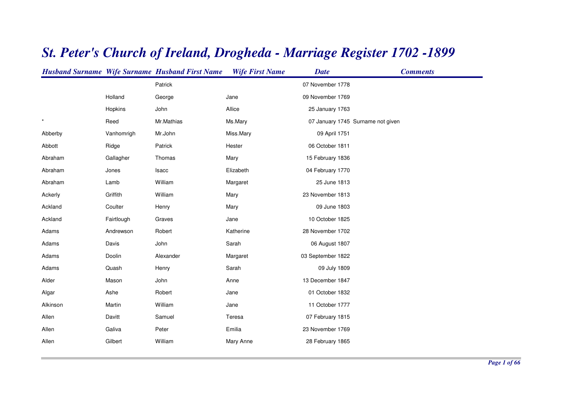|          |            | <b>Husband Surname Wife Surname Husband First Name</b> | <b>Wife First Name</b> | <b>Date</b>       | <b>Comments</b>                   |
|----------|------------|--------------------------------------------------------|------------------------|-------------------|-----------------------------------|
|          |            | Patrick                                                |                        | 07 November 1778  |                                   |
|          | Holland    | George                                                 | Jane                   | 09 November 1769  |                                   |
|          | Hopkins    | John                                                   | Allice                 | 25 January 1763   |                                   |
| $\star$  | Reed       | Mr.Mathias                                             | Ms.Mary                |                   | 07 January 1745 Surname not given |
| Abberby  | Vanhomrigh | Mr.John                                                | Miss.Mary              | 09 April 1751     |                                   |
| Abbott   | Ridge      | Patrick                                                | Hester                 | 06 October 1811   |                                   |
| Abraham  | Gallagher  | Thomas                                                 | Mary                   | 15 February 1836  |                                   |
| Abraham  | Jones      | Isacc                                                  | Elizabeth              | 04 February 1770  |                                   |
| Abraham  | Lamb       | William                                                | Margaret               | 25 June 1813      |                                   |
| Ackerly  | Griffith   | William                                                | Mary                   | 23 November 1813  |                                   |
| Ackland  | Coulter    | Henry                                                  | Mary                   | 09 June 1803      |                                   |
| Ackland  | Fairtlough | Graves                                                 | Jane                   | 10 October 1825   |                                   |
| Adams    | Andrewson  | Robert                                                 | Katherine              | 28 November 1702  |                                   |
| Adams    | Davis      | John                                                   | Sarah                  | 06 August 1807    |                                   |
| Adams    | Doolin     | Alexander                                              | Margaret               | 03 September 1822 |                                   |
| Adams    | Quash      | Henry                                                  | Sarah                  | 09 July 1809      |                                   |
| Alder    | Mason      | John                                                   | Anne                   | 13 December 1847  |                                   |
| Algar    | Ashe       | Robert                                                 | Jane                   | 01 October 1832   |                                   |
| Alkinson | Martin     | William                                                | Jane                   | 11 October 1777   |                                   |
| Allen    | Davitt     | Samuel                                                 | Teresa                 | 07 February 1815  |                                   |
| Allen    | Galiva     | Peter                                                  | Emilia                 | 23 November 1769  |                                   |
| Allen    | Gilbert    | William                                                | Mary Anne              | 28 February 1865  |                                   |
|          |            |                                                        |                        |                   |                                   |

## *St. Peter's Church of Ireland, Drogheda - Marriage Register 1702 -1899*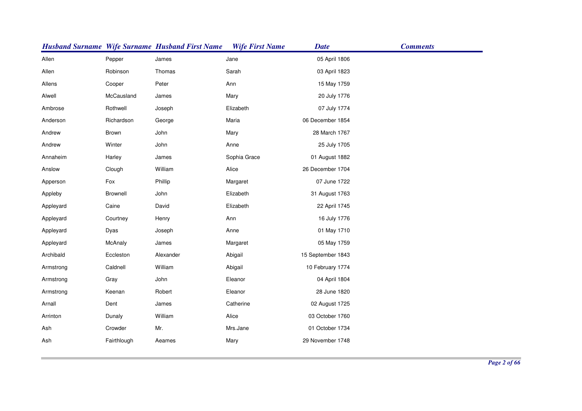|           |             | <b>Husband Surname Wife Surname Husband First Name</b> | <b>Wife First Name</b> | <b>Date</b>       | <b>Comments</b> |
|-----------|-------------|--------------------------------------------------------|------------------------|-------------------|-----------------|
| Allen     | Pepper      | James                                                  | Jane                   | 05 April 1806     |                 |
| Allen     | Robinson    | Thomas                                                 | Sarah                  | 03 April 1823     |                 |
| Allens    | Cooper      | Peter                                                  | Ann                    | 15 May 1759       |                 |
| Alwell    | McCausland  | James                                                  | Mary                   | 20 July 1776      |                 |
| Ambrose   | Rothwell    | Joseph                                                 | Elizabeth              | 07 July 1774      |                 |
| Anderson  | Richardson  | George                                                 | Maria                  | 06 December 1854  |                 |
| Andrew    | Brown       | John                                                   | Mary                   | 28 March 1767     |                 |
| Andrew    | Winter      | John                                                   | Anne                   | 25 July 1705      |                 |
| Annaheim  | Harley      | James                                                  | Sophia Grace           | 01 August 1882    |                 |
| Anslow    | Clough      | William                                                | Alice                  | 26 December 1704  |                 |
| Apperson  | Fox         | Phillip                                                | Margaret               | 07 June 1722      |                 |
| Appleby   | Brownell    | John                                                   | Elizabeth              | 31 August 1763    |                 |
| Appleyard | Caine       | David                                                  | Elizabeth              | 22 April 1745     |                 |
| Appleyard | Courtney    | Henry                                                  | Ann                    | 16 July 1776      |                 |
| Appleyard | Dyas        | Joseph                                                 | Anne                   | 01 May 1710       |                 |
| Appleyard | McAnaly     | James                                                  | Margaret               | 05 May 1759       |                 |
| Archibald | Eccleston   | Alexander                                              | Abigail                | 15 September 1843 |                 |
| Armstrong | Caldnell    | William                                                | Abigail                | 10 February 1774  |                 |
| Armstrong | Gray        | John                                                   | Eleanor                | 04 April 1804     |                 |
| Armstrong | Keenan      | Robert                                                 | Eleanor                | 28 June 1820      |                 |
| Arnall    | Dent        | James                                                  | Catherine              | 02 August 1725    |                 |
| Arrinton  | Dunaly      | William                                                | Alice                  | 03 October 1760   |                 |
| Ash       | Crowder     | Mr.                                                    | Mrs.Jane               | 01 October 1734   |                 |
| Ash       | Fairthlough | Aeames                                                 | Mary                   | 29 November 1748  |                 |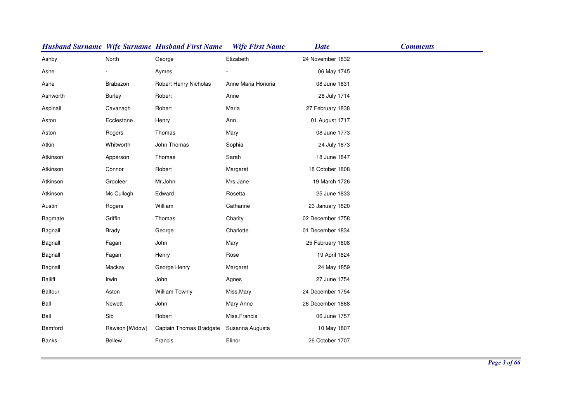|                |                | <b>Husband Surname Wife Surname Husband First Name</b> | <b>Wife First Name</b> | <b>Date</b>      | <b>Comments</b> |
|----------------|----------------|--------------------------------------------------------|------------------------|------------------|-----------------|
| Ashby          | North          | George                                                 | Elizabeth              | 24 November 1832 |                 |
| Ashe           |                | Aymes                                                  |                        | 06 May 1745      |                 |
| Ashe           | Brabazon       | Robert Henry Nicholas                                  | Anne Maria Honoria     | 08 June 1831     |                 |
| Ashworth       | <b>Burley</b>  | Robert                                                 | Anne                   | 28 July 1714     |                 |
| Aspinall       | Cavanagh       | Robert                                                 | Maria                  | 27 February 1838 |                 |
| Aston          | Ecclestone     | Henry                                                  | Ann                    | 01 August 1717   |                 |
| Aston          | Rogers         | Thomas                                                 | Mary                   | 08 June 1773     |                 |
| Atkin          | Whitworth      | John Thomas                                            | Sophia                 | 24 July 1873     |                 |
| Atkinson       | Apperson       | Thomas                                                 | Sarah                  | 18 June 1847     |                 |
| Atkinson       | Connor         | Robert                                                 | Margaret               | 18 October 1808  |                 |
| Atkinson       | Grooleer       | Mr.John                                                | Mrs.Jane               | 19 March 1726    |                 |
| Atkinson       | Mc Cullogh     | Edward                                                 | Rosetta                | 25 June 1833     |                 |
| Austin         | Rogers         | William                                                | Catharine              | 23 January 1820  |                 |
| Bagmate        | Griffin        | Thomas                                                 | Charity                | 02 December 1758 |                 |
| Bagnall        | <b>Brady</b>   | George                                                 | Charlotte              | 01 December 1834 |                 |
| Bagnall        | Fagan          | John                                                   | Mary                   | 25 February 1808 |                 |
| Bagnall        | Fagan          | Henry                                                  | Rose                   | 19 April 1824    |                 |
| Bagnall        | Mackay         | George Henry                                           | Margaret               | 24 May 1859      |                 |
| <b>Bailiff</b> | Irwin          | John                                                   | Agnes                  | 27 June 1754     |                 |
| Balfour        | Aston          | William Townly                                         | Miss.Mary              | 24 December 1754 |                 |
| Ball           | <b>Newett</b>  | John                                                   | Mary Anne              | 26 December 1868 |                 |
| Ball           | Sib            | Robert                                                 | Miss.Francis           | 06 June 1757     |                 |
| Bamford        | Rawson [Widow] | Captain Thomas Bradgate                                | Susanna Augusta        | 10 May 1807      |                 |
| Banks          | <b>Bellew</b>  | Francis                                                | Elinor                 | 26 October 1707  |                 |
|                |                |                                                        |                        |                  |                 |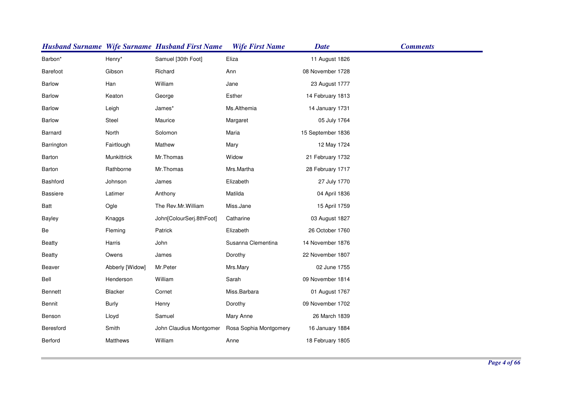|                 |                 | <b>Husband Surname Wife Surname Husband First Name</b> | <b>Wife First Name</b> | <b>Date</b>       | <b>Comments</b> |
|-----------------|-----------------|--------------------------------------------------------|------------------------|-------------------|-----------------|
| Barbon*         | Henry*          | Samuel [30th Foot]                                     | Eliza                  | 11 August 1826    |                 |
| Barefoot        | Gibson          | Richard                                                | Ann                    | 08 November 1728  |                 |
| Barlow          | Han             | William                                                | Jane                   | 23 August 1777    |                 |
| Barlow          | Keaton          | George                                                 | Esther                 | 14 February 1813  |                 |
| Barlow          | Leigh           | James*                                                 | Ms.Althemia            | 14 January 1731   |                 |
| <b>Barlow</b>   | Steel           | Maurice                                                | Margaret               | 05 July 1764      |                 |
| Barnard         | North           | Solomon                                                | Maria                  | 15 September 1836 |                 |
| Barrington      | Fairtlough      | Mathew                                                 | Mary                   | 12 May 1724       |                 |
| Barton          | Munkittrick     | Mr.Thomas                                              | Widow                  | 21 February 1732  |                 |
| Barton          | Rathborne       | Mr.Thomas                                              | Mrs.Martha             | 28 February 1717  |                 |
| Bashford        | Johnson         | James                                                  | Elizabeth              | 27 July 1770      |                 |
| <b>Bassiere</b> | Latimer         | Anthony                                                | Matilda                | 04 April 1836     |                 |
| Batt            | Ogle            | The Rev.Mr.William                                     | Miss.Jane              | 15 April 1759     |                 |
| <b>Bayley</b>   | Knaggs          | John[ColourSerj.8thFoot]                               | Catharine              | 03 August 1827    |                 |
| Be              | Fleming         | Patrick                                                | Elizabeth              | 26 October 1760   |                 |
| <b>Beatty</b>   | Harris          | John                                                   | Susanna Clementina     | 14 November 1876  |                 |
| <b>Beatty</b>   | Owens           | James                                                  | Dorothy                | 22 November 1807  |                 |
| Beaver          | Abberly [Widow] | Mr.Peter                                               | Mrs.Mary               | 02 June 1755      |                 |
| Bell            | Henderson       | William                                                | Sarah                  | 09 November 1814  |                 |
| Bennett         | <b>Blacker</b>  | Cornet                                                 | Miss.Barbara           | 01 August 1767    |                 |
| Bennit          | <b>Burly</b>    | Henry                                                  | Dorothy                | 09 November 1702  |                 |
| Benson          | Lloyd           | Samuel                                                 | Mary Anne              | 26 March 1839     |                 |
| Beresford       | Smith           | John Claudius Montgomer                                | Rosa Sophia Montgomery | 16 January 1884   |                 |
| Berford         | <b>Matthews</b> | William                                                | Anne                   | 18 February 1805  |                 |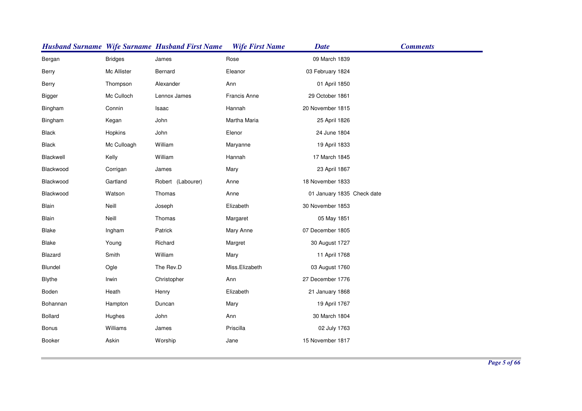|               |                | <b>Husband Surname Wife Surname Husband First Name</b> | <b>Wife First Name</b> | <b>Date</b>                | <b>Comments</b> |
|---------------|----------------|--------------------------------------------------------|------------------------|----------------------------|-----------------|
| Bergan        | <b>Bridges</b> | James                                                  | Rose                   | 09 March 1839              |                 |
| Berry         | Mc Allister    | Bernard                                                | Eleanor                | 03 February 1824           |                 |
| Berry         | Thompson       | Alexander                                              | Ann                    | 01 April 1850              |                 |
| <b>Bigger</b> | Mc Culloch     | Lennox James                                           | Francis Anne           | 29 October 1861            |                 |
| Bingham       | Connin         | Isaac                                                  | Hannah                 | 20 November 1815           |                 |
| Bingham       | Kegan          | John                                                   | Martha Maria           | 25 April 1826              |                 |
| <b>Black</b>  | Hopkins        | John                                                   | Elenor                 | 24 June 1804               |                 |
| <b>Black</b>  | Mc Culloagh    | William                                                | Maryanne               | 19 April 1833              |                 |
| Blackwell     | Kelly          | William                                                | Hannah                 | 17 March 1845              |                 |
| Blackwood     | Corrigan       | James                                                  | Mary                   | 23 April 1867              |                 |
| Blackwood     | Gartland       | Robert (Labourer)                                      | Anne                   | 18 November 1833           |                 |
| Blackwood     | Watson         | Thomas                                                 | Anne                   | 01 January 1835 Check date |                 |
| Blain         | Neill          | Joseph                                                 | Elizabeth              | 30 November 1853           |                 |
| Blain         | Neill          | Thomas                                                 | Margaret               | 05 May 1851                |                 |
| Blake         | Ingham         | Patrick                                                | Mary Anne              | 07 December 1805           |                 |
| <b>Blake</b>  | Young          | Richard                                                | Margret                | 30 August 1727             |                 |
| Blazard       | Smith          | William                                                | Mary                   | 11 April 1768              |                 |
| Blundel       | Ogle           | The Rev.D                                              | Miss.Elizabeth         | 03 August 1760             |                 |
| <b>Blythe</b> | Irwin          | Christopher                                            | Ann                    | 27 December 1776           |                 |
| Boden         | Heath          | Henry                                                  | Elizabeth              | 21 January 1868            |                 |
| Bohannan      | Hampton        | Duncan                                                 | Mary                   | 19 April 1767              |                 |
| Bollard       | Hughes         | John                                                   | Ann                    | 30 March 1804              |                 |
| <b>Bonus</b>  | Williams       | James                                                  | Priscilla              | 02 July 1763               |                 |
| Booker        | Askin          | Worship                                                | Jane                   | 15 November 1817           |                 |
|               |                |                                                        |                        |                            |                 |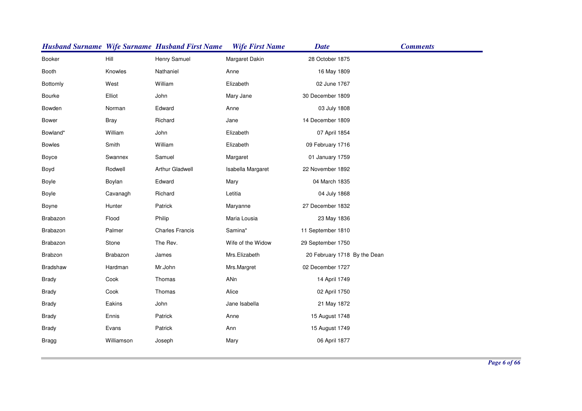|                 |             | <b>Husband Surname Wife Surname Husband First Name</b> | <b>Wife First Name</b> | <b>Date</b>                  | <b>Comments</b> |
|-----------------|-------------|--------------------------------------------------------|------------------------|------------------------------|-----------------|
| <b>Booker</b>   | Hill        | Henry Samuel                                           | Margaret Dakin         | 28 October 1875              |                 |
| Booth           | Knowles     | Nathaniel                                              | Anne                   | 16 May 1809                  |                 |
| Bottomly        | West        | William                                                | Elizabeth              | 02 June 1767                 |                 |
| Bourke          | Elliot      | John                                                   | Mary Jane              | 30 December 1809             |                 |
| Bowden          | Norman      | Edward                                                 | Anne                   | 03 July 1808                 |                 |
| <b>Bower</b>    | <b>Bray</b> | Richard                                                | Jane                   | 14 December 1809             |                 |
| Bowland*        | William     | John                                                   | Elizabeth              | 07 April 1854                |                 |
| <b>Bowles</b>   | Smith       | William                                                | Elizabeth              | 09 February 1716             |                 |
| Boyce           | Swannex     | Samuel                                                 | Margaret               | 01 January 1759              |                 |
| Boyd            | Rodwell     | Arthur Gladwell                                        | Isabella Margaret      | 22 November 1892             |                 |
| Boyle           | Boylan      | Edward                                                 | Mary                   | 04 March 1835                |                 |
| Boyle           | Cavanagh    | Richard                                                | Letitia                | 04 July 1868                 |                 |
| Boyne           | Hunter      | Patrick                                                | Maryanne               | 27 December 1832             |                 |
| Brabazon        | Flood       | Philip                                                 | Maria Lousia           | 23 May 1836                  |                 |
| Brabazon        | Palmer      | <b>Charles Francis</b>                                 | Samina*                | 11 September 1810            |                 |
| Brabazon        | Stone       | The Rev.                                               | Wife of the Widow      | 29 September 1750            |                 |
| Brabzon         | Brabazon    | James                                                  | Mrs.Elizabeth          | 20 February 1718 By the Dean |                 |
| <b>Bradshaw</b> | Hardman     | Mr.John                                                | Mrs.Margret            | 02 December 1727             |                 |
| <b>Brady</b>    | Cook        | Thomas                                                 | ANn                    | 14 April 1749                |                 |
| <b>Brady</b>    | Cook        | Thomas                                                 | Alice                  | 02 April 1750                |                 |
| <b>Brady</b>    | Eakins      | John                                                   | Jane Isabella          | 21 May 1872                  |                 |
| <b>Brady</b>    | Ennis       | Patrick                                                | Anne                   | 15 August 1748               |                 |
| <b>Brady</b>    | Evans       | Patrick                                                | Ann                    | 15 August 1749               |                 |
| <b>Bragg</b>    | Williamson  | Joseph                                                 | Mary                   | 06 April 1877                |                 |
|                 |             |                                                        |                        |                              |                 |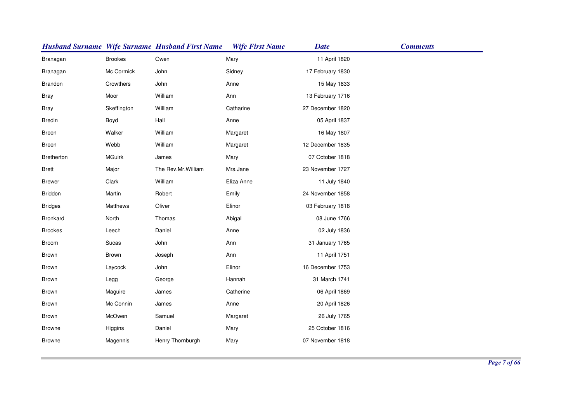|                |                | <b>Husband Surname Wife Surname Husband First Name</b> | <b>Wife First Name</b> | <b>Date</b>      | <b>Comments</b> |
|----------------|----------------|--------------------------------------------------------|------------------------|------------------|-----------------|
| Branagan       | <b>Brookes</b> | Owen                                                   | Mary                   | 11 April 1820    |                 |
| Branagan       | Mc Cormick     | John                                                   | Sidney                 | 17 February 1830 |                 |
| Brandon        | Crowthers      | John                                                   | Anne                   | 15 May 1833      |                 |
| <b>Bray</b>    | Moor           | William                                                | Ann                    | 13 February 1716 |                 |
| <b>Bray</b>    | Skeffington    | William                                                | Catharine              | 27 December 1820 |                 |
| <b>Bredin</b>  | Boyd           | Hall                                                   | Anne                   | 05 April 1837    |                 |
| Breen          | Walker         | William                                                | Margaret               | 16 May 1807      |                 |
| Breen          | Webb           | William                                                | Margaret               | 12 December 1835 |                 |
| Bretherton     | <b>MGuirk</b>  | James                                                  | Mary                   | 07 October 1818  |                 |
| <b>Brett</b>   | Major          | The Rev.Mr.William                                     | Mrs.Jane               | 23 November 1727 |                 |
| <b>Brewer</b>  | Clark          | William                                                | Eliza Anne             | 11 July 1840     |                 |
| Briddon        | Martin         | Robert                                                 | Emily                  | 24 November 1858 |                 |
| <b>Bridges</b> | Matthews       | Oliver                                                 | Elinor                 | 03 February 1818 |                 |
| Bronkard       | North          | Thomas                                                 | Abigal                 | 08 June 1766     |                 |
| <b>Brookes</b> | Leech          | Daniel                                                 | Anne                   | 02 July 1836     |                 |
| Broom          | Sucas          | John                                                   | Ann                    | 31 January 1765  |                 |
| Brown          | Brown          | Joseph                                                 | Ann                    | 11 April 1751    |                 |
| Brown          | Laycock        | John                                                   | Elinor                 | 16 December 1753 |                 |
| Brown          | Legg           | George                                                 | Hannah                 | 31 March 1741    |                 |
| Brown          | Maguire        | James                                                  | Catherine              | 06 April 1869    |                 |
| Brown          | Mc Connin      | James                                                  | Anne                   | 20 April 1826    |                 |
| Brown          | McOwen         | Samuel                                                 | Margaret               | 26 July 1765     |                 |
| <b>Browne</b>  | Higgins        | Daniel                                                 | Mary                   | 25 October 1816  |                 |
| <b>Browne</b>  | Magennis       | Henry Thornburgh                                       | Mary                   | 07 November 1818 |                 |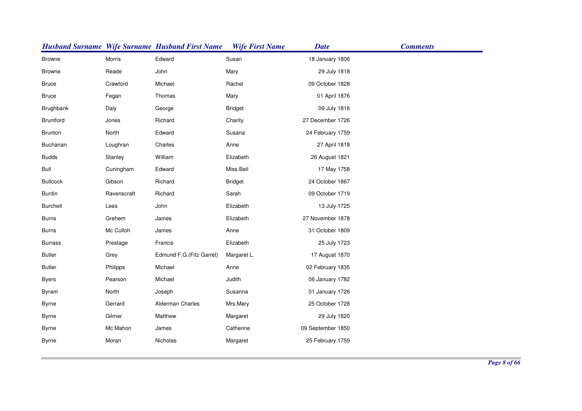|                 |             | <b>Husband Surname Wife Surname Husband First Name</b> | <b>Wife First Name</b> | <b>Date</b>       | <b>Comments</b> |
|-----------------|-------------|--------------------------------------------------------|------------------------|-------------------|-----------------|
| <b>Browne</b>   | Morris      | Edward                                                 | Susan                  | 18 January 1806   |                 |
| <b>Browne</b>   | Reade       | John                                                   | Mary                   | 29 July 1818      |                 |
| <b>Bruce</b>    | Crawford    | Michael                                                | Rachel                 | 09 October 1828   |                 |
| <b>Bruce</b>    | Fegan       | Thomas                                                 | Mary                   | 01 April 1876     |                 |
| Brughbank       | Daly        | George                                                 | <b>Bridget</b>         | 09 July 1816      |                 |
| Bruntford       | Jones       | Richard                                                | Charity                | 27 December 1726  |                 |
| Brunton         | North       | Edward                                                 | Susana                 | 24 February 1759  |                 |
| Buchanan        | Loughran    | Charles                                                | Anne                   | 27 April 1818     |                 |
| <b>Budds</b>    | Stanley     | William                                                | Elizabeth              | 26 August 1821    |                 |
| <b>Bull</b>     | Cuningham   | Edward                                                 | Miss.Bell              | 17 May 1758       |                 |
| <b>Bullcock</b> | Gibson      | Richard                                                | <b>Bridget</b>         | 24 October 1867   |                 |
| <b>Buntin</b>   | Ravenscraft | Richard                                                | Sarah                  | 09 October 1719   |                 |
| Burchell        | Lees        | John                                                   | Elizabeth              | 13 July 1725      |                 |
| <b>Burns</b>    | Grehem      | James                                                  | Elizabeth              | 27 November 1878  |                 |
| <b>Burns</b>    | Mc Culloh   | James                                                  | Anne                   | 31 October 1809   |                 |
| <b>Burrass</b>  | Prestage    | Francis                                                | Elizabeth              | 25 July 1723      |                 |
| <b>Butler</b>   | Grey        | Edmund F.G. (Fitz Garret)                              | Margaret L.            | 17 August 1870    |                 |
| <b>Butler</b>   | Philipps    | Michael                                                | Anne                   | 02 February 1835  |                 |
| <b>Byers</b>    | Pearson     | Michael                                                | Judith                 | 06 January 1782   |                 |
| Byram           | North       | Joseph                                                 | Susanna                | 01 January 1726   |                 |
| <b>Byrne</b>    | Gerrard     | Alderman Charles                                       | Mrs.Mary               | 25 October 1728   |                 |
| <b>Byrne</b>    | Gilmer      | Matthew                                                | Margaret               | 29 July 1820      |                 |
| <b>Byrne</b>    | Mc Mahon    | James                                                  | Catherine              | 09 September 1850 |                 |
| <b>Byrne</b>    | Moran       | Nicholas                                               | Margaret               | 25 February 1759  |                 |
|                 |             |                                                        |                        |                   |                 |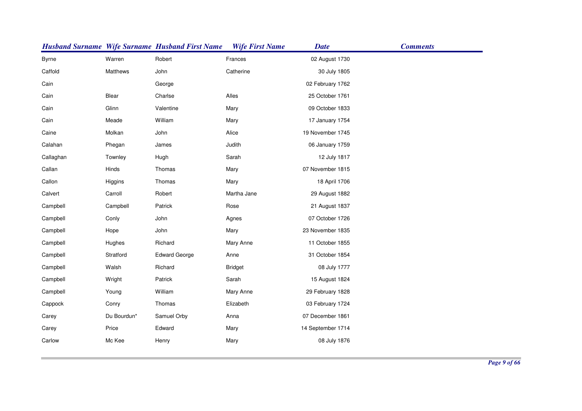|              |             | <b>Husband Surname Wife Surname Husband First Name</b> | <b>Wife First Name</b> | <b>Date</b>       | <b>Comments</b> |
|--------------|-------------|--------------------------------------------------------|------------------------|-------------------|-----------------|
| <b>Byrne</b> | Warren      | Robert                                                 | Frances                | 02 August 1730    |                 |
| Caffold      | Matthews    | John                                                   | Catherine              | 30 July 1805      |                 |
| Cain         |             | George                                                 |                        | 02 February 1762  |                 |
| Cain         | Blear       | Charlse                                                | Alles                  | 25 October 1761   |                 |
| Cain         | Glinn       | Valentine                                              | Mary                   | 09 October 1833   |                 |
| Cain         | Meade       | William                                                | Mary                   | 17 January 1754   |                 |
| Caine        | Molkan      | John                                                   | Alice                  | 19 November 1745  |                 |
| Calahan      | Phegan      | James                                                  | Judith                 | 06 January 1759   |                 |
| Callaghan    | Townley     | Hugh                                                   | Sarah                  | 12 July 1817      |                 |
| Callan       | Hinds       | Thomas                                                 | Mary                   | 07 November 1815  |                 |
| Callon       | Higgins     | Thomas                                                 | Mary                   | 18 April 1706     |                 |
| Calvert      | Carroll     | Robert                                                 | Martha Jane            | 29 August 1882    |                 |
| Campbell     | Campbell    | Patrick                                                | Rose                   | 21 August 1837    |                 |
| Campbell     | Conly       | John                                                   | Agnes                  | 07 October 1726   |                 |
| Campbell     | Hope        | John                                                   | Mary                   | 23 November 1835  |                 |
| Campbell     | Hughes      | Richard                                                | Mary Anne              | 11 October 1855   |                 |
| Campbell     | Stratford   | <b>Edward George</b>                                   | Anne                   | 31 October 1854   |                 |
| Campbell     | Walsh       | Richard                                                | <b>Bridget</b>         | 08 July 1777      |                 |
| Campbell     | Wright      | Patrick                                                | Sarah                  | 15 August 1824    |                 |
| Campbell     | Young       | William                                                | Mary Anne              | 29 February 1828  |                 |
| Cappock      | Conry       | Thomas                                                 | Elizabeth              | 03 February 1724  |                 |
| Carey        | Du Bourdun* | Samuel Orby                                            | Anna                   | 07 December 1861  |                 |
| Carey        | Price       | Edward                                                 | Mary                   | 14 September 1714 |                 |
| Carlow       | Mc Kee      | Henry                                                  | Mary                   | 08 July 1876      |                 |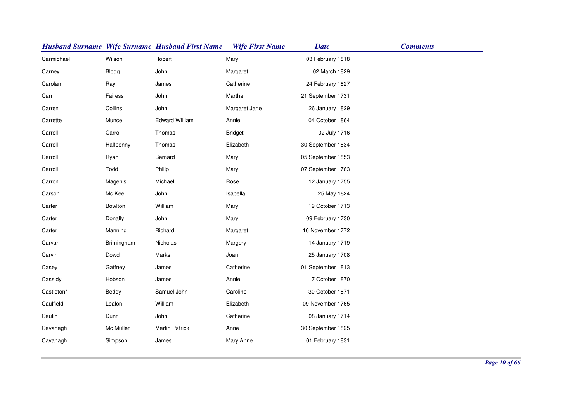|            |              | <b>Husband Surname Wife Surname Husband First Name</b> | <b>Wife First Name</b> | <b>Date</b>       | <b>Comments</b> |
|------------|--------------|--------------------------------------------------------|------------------------|-------------------|-----------------|
| Carmichael | Wilson       | Robert                                                 | Mary                   | 03 February 1818  |                 |
| Carney     | <b>Blogg</b> | John                                                   | Margaret               | 02 March 1829     |                 |
| Carolan    | Ray          | James                                                  | Catherine              | 24 February 1827  |                 |
| Carr       | Fairess      | John                                                   | Martha                 | 21 September 1731 |                 |
| Carren     | Collins      | John                                                   | Margaret Jane          | 26 January 1829   |                 |
| Carrette   | Munce        | <b>Edward William</b>                                  | Annie                  | 04 October 1864   |                 |
| Carroll    | Carroll      | Thomas                                                 | <b>Bridget</b>         | 02 July 1716      |                 |
| Carroll    | Halfpenny    | Thomas                                                 | Elizabeth              | 30 September 1834 |                 |
| Carroll    | Ryan         | Bernard                                                | Mary                   | 05 September 1853 |                 |
| Carroll    | Todd         | Philip                                                 | Mary                   | 07 September 1763 |                 |
| Carron     | Magenis      | Michael                                                | Rose                   | 12 January 1755   |                 |
| Carson     | Mc Kee       | John                                                   | Isabella               | 25 May 1824       |                 |
| Carter     | Bowlton      | William                                                | Mary                   | 19 October 1713   |                 |
| Carter     | Donally      | John                                                   | Mary                   | 09 February 1730  |                 |
| Carter     | Manning      | Richard                                                | Margaret               | 16 November 1772  |                 |
| Carvan     | Brimingham   | Nicholas                                               | Margery                | 14 January 1719   |                 |
| Carvin     | Dowd         | Marks                                                  | Joan                   | 25 January 1708   |                 |
| Casey      | Gaffney      | James                                                  | Catherine              | 01 September 1813 |                 |
| Cassidy    | Hobson       | James                                                  | Annie                  | 17 October 1870   |                 |
| Castleton* | Beddy        | Samuel John                                            | Caroline               | 30 October 1871   |                 |
| Caulfield  | Lealon       | William                                                | Elizabeth              | 09 November 1765  |                 |
| Caulin     | Dunn         | John                                                   | Catherine              | 08 January 1714   |                 |
| Cavanagh   | Mc Mullen    | <b>Martin Patrick</b>                                  | Anne                   | 30 September 1825 |                 |
| Cavanagh   | Simpson      | James                                                  | Mary Anne              | 01 February 1831  |                 |
|            |              |                                                        |                        |                   |                 |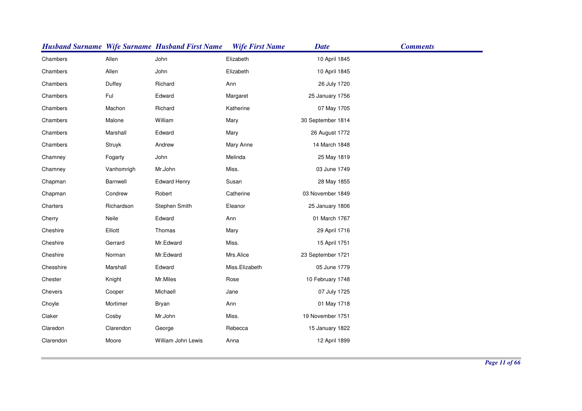|           |            | <b>Husband Surname Wife Surname Husband First Name</b> | <b>Wife First Name</b> | <b>Date</b>       | <b>Comments</b> |
|-----------|------------|--------------------------------------------------------|------------------------|-------------------|-----------------|
| Chambers  | Allen      | John                                                   | Elizabeth              | 10 April 1845     |                 |
| Chambers  | Allen      | John                                                   | Elizabeth              | 10 April 1845     |                 |
| Chambers  | Duffey     | Richard                                                | Ann                    | 26 July 1720      |                 |
| Chambers  | Ful        | Edward                                                 | Margaret               | 25 January 1756   |                 |
| Chambers  | Machon     | Richard                                                | Katherine              | 07 May 1705       |                 |
| Chambers  | Malone     | William                                                | Mary                   | 30 September 1814 |                 |
| Chambers  | Marshall   | Edward                                                 | Mary                   | 26 August 1772    |                 |
| Chambers  | Struyk     | Andrew                                                 | Mary Anne              | 14 March 1848     |                 |
| Chamney   | Fogarty    | John                                                   | Melinda                | 25 May 1819       |                 |
| Chamney   | Vanhomrigh | Mr.John                                                | Miss.                  | 03 June 1749      |                 |
| Chapman   | Barnwell   | <b>Edward Henry</b>                                    | Susan                  | 28 May 1855       |                 |
| Chapman   | Condrew    | Robert                                                 | Catherine              | 03 November 1849  |                 |
| Charters  | Richardson | Stephen Smith                                          | Eleanor                | 25 January 1806   |                 |
| Cherry    | Neile      | Edward                                                 | Ann                    | 01 March 1767     |                 |
| Cheshire  | Elliott    | Thomas                                                 | Mary                   | 29 April 1716     |                 |
| Cheshire  | Gerrard    | Mr.Edward                                              | Miss.                  | 15 April 1751     |                 |
| Cheshire  | Norman     | Mr.Edward                                              | Mrs.Alice              | 23 September 1721 |                 |
| Chesshire | Marshall   | Edward                                                 | Miss.Elizabeth         | 05 June 1779      |                 |
| Chester   | Knight     | Mr.Miles                                               | Rose                   | 10 February 1748  |                 |
| Chevers   | Cooper     | Michaell                                               | Jane                   | 07 July 1725      |                 |
| Choyle    | Mortimer   | <b>Bryan</b>                                           | Ann                    | 01 May 1718       |                 |
| Claker    | Cosby      | Mr.John                                                | Miss.                  | 19 November 1751  |                 |
| Claredon  | Clarendon  | George                                                 | Rebecca                | 15 January 1822   |                 |
| Clarendon | Moore      | William John Lewis                                     | Anna                   | 12 April 1899     |                 |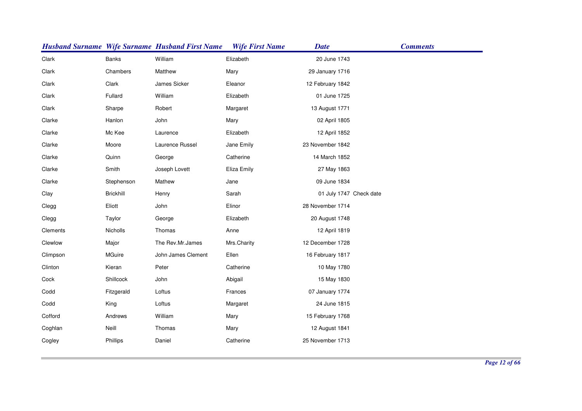|          |                  | <b>Husband Surname Wife Surname Husband First Name</b> | <b>Wife First Name</b> | <b>Date</b>             | <b>Comments</b> |
|----------|------------------|--------------------------------------------------------|------------------------|-------------------------|-----------------|
| Clark    | <b>Banks</b>     | William                                                | Elizabeth              | 20 June 1743            |                 |
| Clark    | Chambers         | Matthew                                                | Mary                   | 29 January 1716         |                 |
| Clark    | Clark            | James Sicker                                           | Eleanor                | 12 February 1842        |                 |
| Clark    | Fullard          | William                                                | Elizabeth              | 01 June 1725            |                 |
| Clark    | Sharpe           | Robert                                                 | Margaret               | 13 August 1771          |                 |
| Clarke   | Hanlon           | John                                                   | Mary                   | 02 April 1805           |                 |
| Clarke   | Mc Kee           | Laurence                                               | Elizabeth              | 12 April 1852           |                 |
| Clarke   | Moore            | Laurence Russel                                        | Jane Emily             | 23 November 1842        |                 |
| Clarke   | Quinn            | George                                                 | Catherine              | 14 March 1852           |                 |
| Clarke   | Smith            | Joseph Lovett                                          | Eliza Emily            | 27 May 1863             |                 |
| Clarke   | Stephenson       | Mathew                                                 | Jane                   | 09 June 1834            |                 |
| Clay     | <b>Brickhill</b> | Henry                                                  | Sarah                  | 01 July 1747 Check date |                 |
| Clegg    | Eliott           | John                                                   | Elinor                 | 28 November 1714        |                 |
| Clegg    | Taylor           | George                                                 | Elizabeth              | 20 August 1748          |                 |
| Clements | Nicholls         | Thomas                                                 | Anne                   | 12 April 1819           |                 |
| Clewlow  | Major            | The Rev.Mr.James                                       | Mrs.Charity            | 12 December 1728        |                 |
| Climpson | MGuire           | John James Clement                                     | Ellen                  | 16 February 1817        |                 |
| Clinton  | Kieran           | Peter                                                  | Catherine              | 10 May 1780             |                 |
| Cock     | Shillcock        | John                                                   | Abigail                | 15 May 1830             |                 |
| Codd     | Fitzgerald       | Loftus                                                 | Frances                | 07 January 1774         |                 |
| Codd     | King             | Loftus                                                 | Margaret               | 24 June 1815            |                 |
| Cofford  | Andrews          | William                                                | Mary                   | 15 February 1768        |                 |
| Coghlan  | Neill            | Thomas                                                 | Mary                   | 12 August 1841          |                 |
| Cogley   | Phillips         | Daniel                                                 | Catherine              | 25 November 1713        |                 |
|          |                  |                                                        |                        |                         |                 |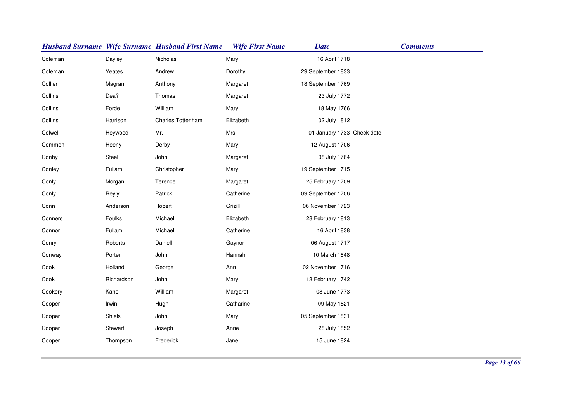|         |            | <b>Husband Surname Wife Surname Husband First Name</b> | <b>Wife First Name</b> | <b>Date</b>                | <b>Comments</b> |
|---------|------------|--------------------------------------------------------|------------------------|----------------------------|-----------------|
| Coleman | Dayley     | Nicholas                                               | Mary                   | 16 April 1718              |                 |
| Coleman | Yeates     | Andrew                                                 | Dorothy                | 29 September 1833          |                 |
| Collier | Magran     | Anthony                                                | Margaret               | 18 September 1769          |                 |
| Collins | Dea?       | Thomas                                                 | Margaret               | 23 July 1772               |                 |
| Collins | Forde      | William                                                | Mary                   | 18 May 1766                |                 |
| Collins | Harrison   | Charles Tottenham                                      | Elizabeth              | 02 July 1812               |                 |
| Colwell | Heywood    | Mr.                                                    | Mrs.                   | 01 January 1733 Check date |                 |
| Common  | Heeny      | Derby                                                  | Mary                   | 12 August 1706             |                 |
| Conby   | Steel      | John                                                   | Margaret               | 08 July 1764               |                 |
| Conley  | Fullam     | Christopher                                            | Mary                   | 19 September 1715          |                 |
| Conly   | Morgan     | Terence                                                | Margaret               | 25 February 1709           |                 |
| Conly   | Reyly      | Patrick                                                | Catherine              | 09 September 1706          |                 |
| Conn    | Anderson   | Robert                                                 | Grizill                | 06 November 1723           |                 |
| Conners | Foulks     | Michael                                                | Elizabeth              | 28 February 1813           |                 |
| Connor  | Fullam     | Michael                                                | Catherine              | 16 April 1838              |                 |
| Conry   | Roberts    | Daniell                                                | Gaynor                 | 06 August 1717             |                 |
| Conway  | Porter     | John                                                   | Hannah                 | 10 March 1848              |                 |
| Cook    | Holland    | George                                                 | Ann                    | 02 November 1716           |                 |
| Cook    | Richardson | John                                                   | Mary                   | 13 February 1742           |                 |
| Cookery | Kane       | William                                                | Margaret               | 08 June 1773               |                 |
| Cooper  | Irwin      | Hugh                                                   | Catharine              | 09 May 1821                |                 |
| Cooper  | Shiels     | John                                                   | Mary                   | 05 September 1831          |                 |
| Cooper  | Stewart    | Joseph                                                 | Anne                   | 28 July 1852               |                 |
| Cooper  | Thompson   | Frederick                                              | Jane                   | 15 June 1824               |                 |
|         |            |                                                        |                        |                            |                 |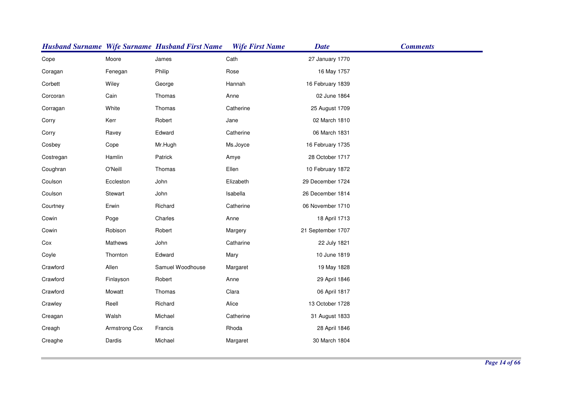|           |               | <b>Husband Surname Wife Surname Husband First Name</b> | <b>Wife First Name</b> | <b>Date</b>       | <b>Comments</b> |
|-----------|---------------|--------------------------------------------------------|------------------------|-------------------|-----------------|
| Cope      | Moore         | James                                                  | Cath                   | 27 January 1770   |                 |
| Coragan   | Fenegan       | Philip                                                 | Rose                   | 16 May 1757       |                 |
| Corbett   | Wiley         | George                                                 | Hannah                 | 16 February 1839  |                 |
| Corcoran  | Cain          | Thomas                                                 | Anne                   | 02 June 1864      |                 |
| Corragan  | White         | Thomas                                                 | Catherine              | 25 August 1709    |                 |
| Corry     | Kerr          | Robert                                                 | Jane                   | 02 March 1810     |                 |
| Corry     | Ravey         | Edward                                                 | Catherine              | 06 March 1831     |                 |
| Cosbey    | Cope          | Mr.Hugh                                                | Ms.Joyce               | 16 February 1735  |                 |
| Costregan | Hamlin        | Patrick                                                | Amye                   | 28 October 1717   |                 |
| Coughran  | O'Neill       | Thomas                                                 | Ellen                  | 10 February 1872  |                 |
| Coulson   | Eccleston     | John                                                   | Elizabeth              | 29 December 1724  |                 |
| Coulson   | Stewart       | John                                                   | Isabella               | 26 December 1814  |                 |
| Courtney  | Erwin         | Richard                                                | Catherine              | 06 November 1710  |                 |
| Cowin     | Poge          | Charles                                                | Anne                   | 18 April 1713     |                 |
| Cowin     | Robison       | Robert                                                 | Margery                | 21 September 1707 |                 |
| Cox       | Mathews       | John                                                   | Catharine              | 22 July 1821      |                 |
| Coyle     | Thornton      | Edward                                                 | Mary                   | 10 June 1819      |                 |
| Crawford  | Allen         | Samuel Woodhouse                                       | Margaret               | 19 May 1828       |                 |
| Crawford  | Finlayson     | Robert                                                 | Anne                   | 29 April 1846     |                 |
| Crawford  | Mowatt        | Thomas                                                 | Clara                  | 06 April 1817     |                 |
| Crawley   | Reell         | Richard                                                | Alice                  | 13 October 1728   |                 |
| Creagan   | Walsh         | Michael                                                | Catherine              | 31 August 1833    |                 |
| Creagh    | Armstrong Cox | Francis                                                | Rhoda                  | 28 April 1846     |                 |
| Creaghe   | Dardis        | Michael                                                | Margaret               | 30 March 1804     |                 |
|           |               |                                                        |                        |                   |                 |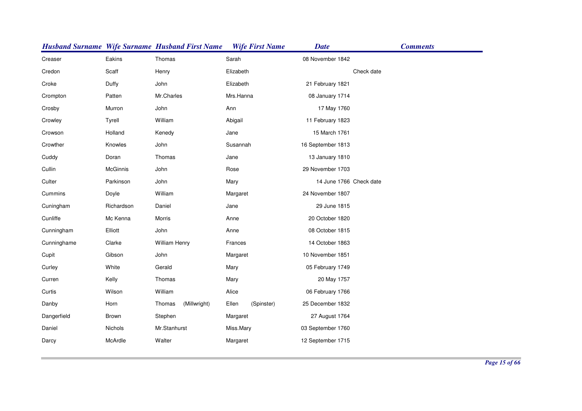|             |                 | <b>Husband Surname Wife Surname Husband First Name</b> | <b>Wife First Name</b> | <b>Date</b>             | <b>Comments</b> |
|-------------|-----------------|--------------------------------------------------------|------------------------|-------------------------|-----------------|
| Creaser     | Eakins          | Thomas                                                 | Sarah                  | 08 November 1842        |                 |
| Credon      | Scaff           | Henry                                                  | Elizabeth              |                         | Check date      |
| Croke       | Duffy           | John                                                   | Elizabeth              | 21 February 1821        |                 |
| Crompton    | Patten          | Mr.Charles                                             | Mrs.Hanna              | 08 January 1714         |                 |
| Crosby      | Murron          | John                                                   | Ann                    | 17 May 1760             |                 |
| Crowley     | Tyrell          | William                                                | Abigail                | 11 February 1823        |                 |
| Crowson     | Holland         | Kenedy                                                 | Jane                   | 15 March 1761           |                 |
| Crowther    | Knowles         | John                                                   | Susannah               | 16 September 1813       |                 |
| Cuddy       | Doran           | Thomas                                                 | Jane                   | 13 January 1810         |                 |
| Cullin      | <b>McGinnis</b> | John                                                   | Rose                   | 29 November 1703        |                 |
| Culter      | Parkinson       | John                                                   | Mary                   | 14 June 1766 Check date |                 |
| Cummins     | Doyle           | William                                                | Margaret               | 24 November 1807        |                 |
| Cuningham   | Richardson      | Daniel                                                 | Jane                   | 29 June 1815            |                 |
| Cunliffe    | Mc Kenna        | Morris                                                 | Anne                   | 20 October 1820         |                 |
| Cunningham  | Elliott         | John                                                   | Anne                   | 08 October 1815         |                 |
| Cunninghame | Clarke          | William Henry                                          | Frances                | 14 October 1863         |                 |
| Cupit       | Gibson          | John                                                   | Margaret               | 10 November 1851        |                 |
| Curley      | White           | Gerald                                                 | Mary                   | 05 February 1749        |                 |
| Curren      | Kelly           | Thomas                                                 | Mary                   | 20 May 1757             |                 |
| Curtis      | Wilson          | William                                                | Alice                  | 06 February 1766        |                 |
| Danby       | Horn            | (Millwright)<br>Thomas                                 | Ellen<br>(Spinster)    | 25 December 1832        |                 |
| Dangerfield | Brown           | Stephen                                                | Margaret               | 27 August 1764          |                 |
| Daniel      | Nichols         | Mr.Stanhurst                                           | Miss.Mary              | 03 September 1760       |                 |
| Darcy       | McArdle         | Walter                                                 | Margaret               | 12 September 1715       |                 |
|             |                 |                                                        |                        |                         |                 |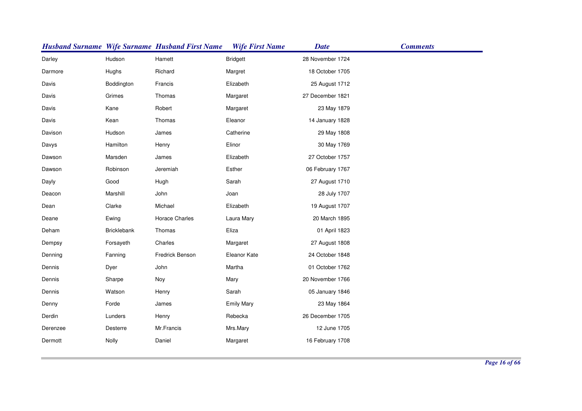|          |                    | <b>Husband Surname Wife Surname Husband First Name</b> | <b>Wife First Name</b> | <b>Date</b>      | <b>Comments</b> |
|----------|--------------------|--------------------------------------------------------|------------------------|------------------|-----------------|
| Darley   | Hudson             | Hamett                                                 | <b>Bridgett</b>        | 28 November 1724 |                 |
| Darmore  | Hughs              | Richard                                                | Margret                | 18 October 1705  |                 |
| Davis    | Boddington         | Francis                                                | Elizabeth              | 25 August 1712   |                 |
| Davis    | Grimes             | Thomas                                                 | Margaret               | 27 December 1821 |                 |
| Davis    | Kane               | Robert                                                 | Margaret               | 23 May 1879      |                 |
| Davis    | Kean               | Thomas                                                 | Eleanor                | 14 January 1828  |                 |
| Davison  | Hudson             | James                                                  | Catherine              | 29 May 1808      |                 |
| Davys    | Hamilton           | Henry                                                  | Elinor                 | 30 May 1769      |                 |
| Dawson   | Marsden            | James                                                  | Elizabeth              | 27 October 1757  |                 |
| Dawson   | Robinson           | Jeremiah                                               | Esther                 | 06 February 1767 |                 |
| Dayly    | Good               | Hugh                                                   | Sarah                  | 27 August 1710   |                 |
| Deacon   | Marshill           | John                                                   | Joan                   | 28 July 1707     |                 |
| Dean     | Clarke             | Michael                                                | Elizabeth              | 19 August 1707   |                 |
| Deane    | Ewing              | Horace Charles                                         | Laura Mary             | 20 March 1895    |                 |
| Deham    | <b>Bricklebank</b> | Thomas                                                 | Eliza                  | 01 April 1823    |                 |
| Dempsy   | Forsayeth          | Charles                                                | Margaret               | 27 August 1808   |                 |
| Denning  | Fanning            | Fredrick Benson                                        | Eleanor Kate           | 24 October 1848  |                 |
| Dennis   | Dyer               | John                                                   | Martha                 | 01 October 1762  |                 |
| Dennis   | Sharpe             | Noy                                                    | Mary                   | 20 November 1766 |                 |
| Dennis   | Watson             | Henry                                                  | Sarah                  | 05 January 1846  |                 |
| Denny    | Forde              | James                                                  | <b>Emily Mary</b>      | 23 May 1864      |                 |
| Derdin   | Lunders            | Henry                                                  | Rebecka                | 26 December 1705 |                 |
| Derenzee | <b>Desterre</b>    | Mr.Francis                                             | Mrs.Mary               | 12 June 1705     |                 |
| Dermott  | Nolly              | Daniel                                                 | Margaret               | 16 February 1708 |                 |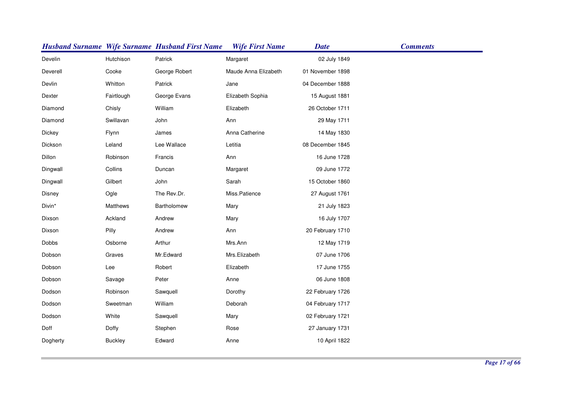|              |                 | <b>Husband Surname Wife Surname Husband First Name</b> | <b>Wife First Name</b> | <b>Date</b>      | <b>Comments</b> |
|--------------|-----------------|--------------------------------------------------------|------------------------|------------------|-----------------|
| Develin      | Hutchison       | Patrick                                                | Margaret               | 02 July 1849     |                 |
| Deverell     | Cooke           | George Robert                                          | Maude Anna Elizabeth   | 01 November 1898 |                 |
| Devlin       | Whitton         | Patrick                                                | Jane                   | 04 December 1888 |                 |
| Dexter       | Fairtlough      | George Evans                                           | Elizabeth Sophia       | 15 August 1881   |                 |
| Diamond      | Chisly          | William                                                | Elizabeth              | 26 October 1711  |                 |
| Diamond      | Swillavan       | John                                                   | Ann                    | 29 May 1711      |                 |
| Dickey       | Flynn           | James                                                  | Anna Catherine         | 14 May 1830      |                 |
| Dickson      | Leland          | Lee Wallace                                            | Letitia                | 08 December 1845 |                 |
| Dillon       | Robinson        | Francis                                                | Ann                    | 16 June 1728     |                 |
| Dingwall     | Collins         | Duncan                                                 | Margaret               | 09 June 1772     |                 |
| Dingwall     | Gilbert         | John                                                   | Sarah                  | 15 October 1860  |                 |
| Disney       | Ogle            | The Rev.Dr.                                            | Miss.Patience          | 27 August 1761   |                 |
| Divin*       | <b>Matthews</b> | Bartholomew                                            | Mary                   | 21 July 1823     |                 |
| Dixson       | Ackland         | Andrew                                                 | Mary                   | 16 July 1707     |                 |
| Dixson       | Pilly           | Andrew                                                 | Ann                    | 20 February 1710 |                 |
| <b>Dobbs</b> | Osborne         | Arthur                                                 | Mrs.Ann                | 12 May 1719      |                 |
| Dobson       | Graves          | Mr.Edward                                              | Mrs.Elizabeth          | 07 June 1706     |                 |
| Dobson       | Lee             | Robert                                                 | Elizabeth              | 17 June 1755     |                 |
| Dobson       | Savage          | Peter                                                  | Anne                   | 06 June 1808     |                 |
| Dodson       | Robinson        | Sawquell                                               | Dorothy                | 22 February 1726 |                 |
| Dodson       | Sweetman        | William                                                | Deborah                | 04 February 1717 |                 |
| Dodson       | White           | Sawquell                                               | Mary                   | 02 February 1721 |                 |
| Doff         | Doffy           | Stephen                                                | Rose                   | 27 January 1731  |                 |
| Dogherty     | <b>Buckley</b>  | Edward                                                 | Anne                   | 10 April 1822    |                 |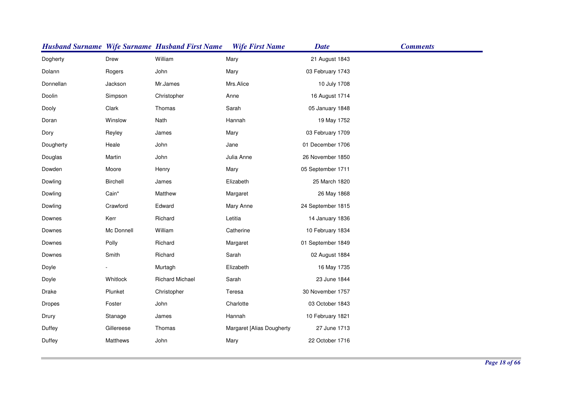|           |            | <b>Husband Surname Wife Surname Husband First Name</b> | <b>Wife First Name</b>    | <b>Date</b>       | <b>Comments</b> |
|-----------|------------|--------------------------------------------------------|---------------------------|-------------------|-----------------|
| Dogherty  | Drew       | William                                                | Mary                      | 21 August 1843    |                 |
| Dolann    | Rogers     | John                                                   | Mary                      | 03 February 1743  |                 |
| Donnellan | Jackson    | Mr.James                                               | Mrs.Alice                 | 10 July 1708      |                 |
| Doolin    | Simpson    | Christopher                                            | Anne                      | 16 August 1714    |                 |
| Dooly     | Clark      | Thomas                                                 | Sarah                     | 05 January 1848   |                 |
| Doran     | Winslow    | Nath                                                   | Hannah                    | 19 May 1752       |                 |
| Dory      | Reyley     | James                                                  | Mary                      | 03 February 1709  |                 |
| Dougherty | Heale      | John                                                   | Jane                      | 01 December 1706  |                 |
| Douglas   | Martin     | John                                                   | Julia Anne                | 26 November 1850  |                 |
| Dowden    | Moore      | Henry                                                  | Mary                      | 05 September 1711 |                 |
| Dowling   | Birchell   | James                                                  | Elizabeth                 | 25 March 1820     |                 |
| Dowling   | Cain*      | Matthew                                                | Margaret                  | 26 May 1868       |                 |
| Dowling   | Crawford   | Edward                                                 | Mary Anne                 | 24 September 1815 |                 |
| Downes    | Kerr       | Richard                                                | Letitia                   | 14 January 1836   |                 |
| Downes    | Mc Donnell | William                                                | Catherine                 | 10 February 1834  |                 |
| Downes    | Polly      | Richard                                                | Margaret                  | 01 September 1849 |                 |
| Downes    | Smith      | Richard                                                | Sarah                     | 02 August 1884    |                 |
| Doyle     |            | Murtagh                                                | Elizabeth                 | 16 May 1735       |                 |
| Doyle     | Whitlock   | <b>Richard Michael</b>                                 | Sarah                     | 23 June 1844      |                 |
| Drake     | Plunket    | Christopher                                            | Teresa                    | 30 November 1757  |                 |
| Dropes    | Foster     | John                                                   | Charlotte                 | 03 October 1843   |                 |
| Drury     | Stanage    | James                                                  | Hannah                    | 10 February 1821  |                 |
| Duffey    | Gillereese | Thomas                                                 | Margaret [Alias Dougherty | 27 June 1713      |                 |
| Duffey    | Matthews   | John                                                   | Mary                      | 22 October 1716   |                 |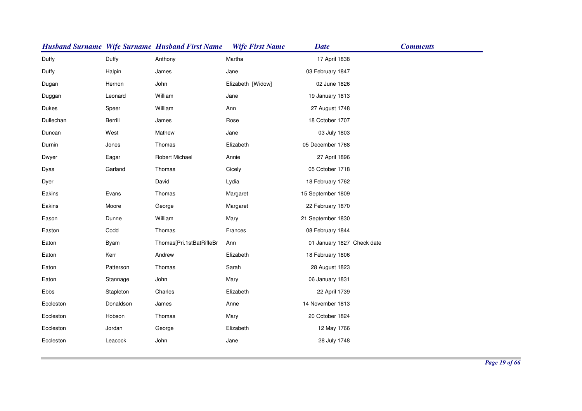|           |           | <b>Husband Surname Wife Surname Husband First Name</b> | <b>Wife First Name</b> | <b>Date</b>                | <b>Comments</b> |
|-----------|-----------|--------------------------------------------------------|------------------------|----------------------------|-----------------|
| Duffy     | Duffy     | Anthony                                                | Martha                 | 17 April 1838              |                 |
| Duffy     | Halpin    | James                                                  | Jane                   | 03 February 1847           |                 |
| Dugan     | Hernon    | John                                                   | Elizabeth [Widow]      | 02 June 1826               |                 |
| Duggan    | Leonard   | William                                                | Jane                   | 19 January 1813            |                 |
| Dukes     | Speer     | William                                                | Ann                    | 27 August 1748             |                 |
| Dullechan | Berrill   | James                                                  | Rose                   | 18 October 1707            |                 |
| Duncan    | West      | Mathew                                                 | Jane                   | 03 July 1803               |                 |
| Durnin    | Jones     | Thomas                                                 | Elizabeth              | 05 December 1768           |                 |
| Dwyer     | Eagar     | Robert Michael                                         | Annie                  | 27 April 1896              |                 |
| Dyas      | Garland   | Thomas                                                 | Cicely                 | 05 October 1718            |                 |
| Dyer      |           | David                                                  | Lydia                  | 18 February 1762           |                 |
| Eakins    | Evans     | Thomas                                                 | Margaret               | 15 September 1809          |                 |
| Eakins    | Moore     | George                                                 | Margaret               | 22 February 1870           |                 |
| Eason     | Dunne     | William                                                | Mary                   | 21 September 1830          |                 |
| Easton    | Codd      | Thomas                                                 | Frances                | 08 February 1844           |                 |
| Eaton     | Byam      | Thomas[Pri.1stBatRifleBr                               | Ann                    | 01 January 1827 Check date |                 |
| Eaton     | Kerr      | Andrew                                                 | Elizabeth              | 18 February 1806           |                 |
| Eaton     | Patterson | Thomas                                                 | Sarah                  | 28 August 1823             |                 |
| Eaton     | Stannage  | John                                                   | Mary                   | 06 January 1831            |                 |
| Ebbs      | Stapleton | Charles                                                | Elizabeth              | 22 April 1739              |                 |
| Eccleston | Donaldson | James                                                  | Anne                   | 14 November 1813           |                 |
| Eccleston | Hobson    | Thomas                                                 | Mary                   | 20 October 1824            |                 |
| Eccleston | Jordan    | George                                                 | Elizabeth              | 12 May 1766                |                 |
| Eccleston | Leacock   | John                                                   | Jane                   | 28 July 1748               |                 |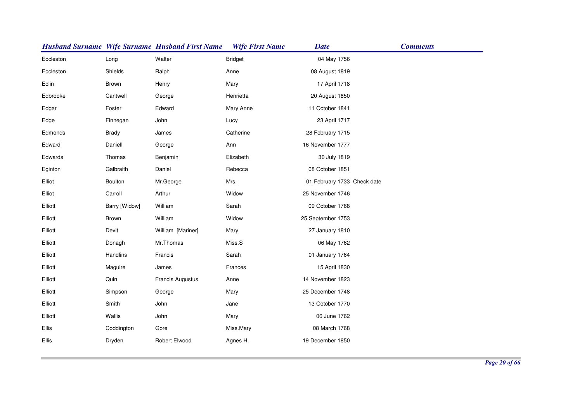|           |               | <b>Husband Surname Wife Surname Husband First Name</b> | <b>Wife First Name</b> | <b>Date</b>                 | <b>Comments</b> |
|-----------|---------------|--------------------------------------------------------|------------------------|-----------------------------|-----------------|
| Eccleston | Long          | Walter                                                 | <b>Bridget</b>         | 04 May 1756                 |                 |
| Eccleston | Shields       | Ralph                                                  | Anne                   | 08 August 1819              |                 |
| Eclin     | Brown         | Henry                                                  | Mary                   | 17 April 1718               |                 |
| Edbrooke  | Cantwell      | George                                                 | Henrietta              | 20 August 1850              |                 |
| Edgar     | Foster        | Edward                                                 | Mary Anne              | 11 October 1841             |                 |
| Edge      | Finnegan      | John                                                   | Lucy                   | 23 April 1717               |                 |
| Edmonds   | <b>Brady</b>  | James                                                  | Catherine              | 28 February 1715            |                 |
| Edward    | Daniell       | George                                                 | Ann                    | 16 November 1777            |                 |
| Edwards   | Thomas        | Benjamin                                               | Elizabeth              | 30 July 1819                |                 |
| Eginton   | Galbraith     | Daniel                                                 | Rebecca                | 08 October 1851             |                 |
| Elliot    | Boulton       | Mr.George                                              | Mrs.                   | 01 February 1733 Check date |                 |
| Elliot    | Carroll       | Arthur                                                 | Widow                  | 25 November 1746            |                 |
| Elliott   | Barry [Widow] | William                                                | Sarah                  | 09 October 1768             |                 |
| Elliott   | Brown         | William                                                | Widow                  | 25 September 1753           |                 |
| Elliott   | Devit         | William [Mariner]                                      | Mary                   | 27 January 1810             |                 |
| Elliott   | Donagh        | Mr.Thomas                                              | Miss.S                 | 06 May 1762                 |                 |
| Elliott   | Handlins      | Francis                                                | Sarah                  | 01 January 1764             |                 |
| Elliott   | Maguire       | James                                                  | Frances                | 15 April 1830               |                 |
| Elliott   | Quin          | Francis Augustus                                       | Anne                   | 14 November 1823            |                 |
| Elliott   | Simpson       | George                                                 | Mary                   | 25 December 1748            |                 |
| Elliott   | Smith         | John                                                   | Jane                   | 13 October 1770             |                 |
| Elliott   | Wallis        | John                                                   | Mary                   | 06 June 1762                |                 |
| Ellis     | Coddington    | Gore                                                   | Miss.Mary              | 08 March 1768               |                 |
| Ellis     | Dryden        | Robert Elwood                                          | Agnes H.               | 19 December 1850            |                 |
|           |               |                                                        |                        |                             |                 |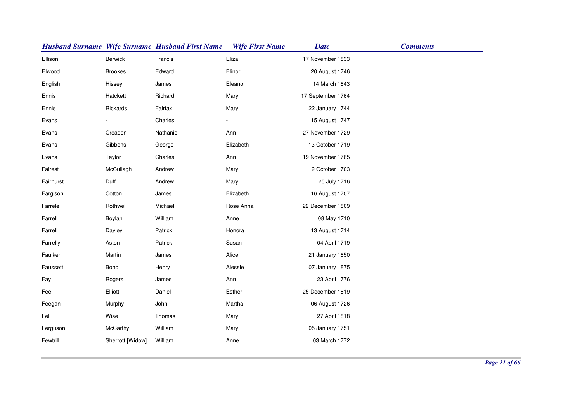|           |                  | <b>Husband Surname Wife Surname Husband First Name</b> | <b>Wife First Name</b> | <b>Date</b>       | <b>Comments</b> |
|-----------|------------------|--------------------------------------------------------|------------------------|-------------------|-----------------|
| Ellison   | Berwick          | Francis                                                | Eliza                  | 17 November 1833  |                 |
| Elwood    | <b>Brookes</b>   | Edward                                                 | Elinor                 | 20 August 1746    |                 |
| English   | Hissey           | James                                                  | Eleanor                | 14 March 1843     |                 |
| Ennis     | Hatckett         | Richard                                                | Mary                   | 17 September 1764 |                 |
| Ennis     | Rickards         | Fairfax                                                | Mary                   | 22 January 1744   |                 |
| Evans     |                  | Charles                                                |                        | 15 August 1747    |                 |
| Evans     | Creadon          | Nathaniel                                              | Ann                    | 27 November 1729  |                 |
| Evans     | Gibbons          | George                                                 | Elizabeth              | 13 October 1719   |                 |
| Evans     | Taylor           | Charles                                                | Ann                    | 19 November 1765  |                 |
| Fairest   | McCullagh        | Andrew                                                 | Mary                   | 19 October 1703   |                 |
| Fairhurst | Duff             | Andrew                                                 | Mary                   | 25 July 1716      |                 |
| Fargison  | Cotton           | James                                                  | Elizabeth              | 16 August 1707    |                 |
| Farrele   | Rothwell         | Michael                                                | Rose Anna              | 22 December 1809  |                 |
| Farrell   | Boylan           | William                                                | Anne                   | 08 May 1710       |                 |
| Farrell   | Dayley           | Patrick                                                | Honora                 | 13 August 1714    |                 |
| Farrelly  | Aston            | Patrick                                                | Susan                  | 04 April 1719     |                 |
| Faulker   | Martin           | James                                                  | Alice                  | 21 January 1850   |                 |
| Faussett  | Bond             | Henry                                                  | Alessie                | 07 January 1875   |                 |
| Fay       | Rogers           | James                                                  | Ann                    | 23 April 1776     |                 |
| Fee       | Elliott          | Daniel                                                 | Esther                 | 25 December 1819  |                 |
| Feegan    | Murphy           | John                                                   | Martha                 | 06 August 1726    |                 |
| Fell      | Wise             | Thomas                                                 | Mary                   | 27 April 1818     |                 |
| Ferguson  | McCarthy         | William                                                | Mary                   | 05 January 1751   |                 |
| Fewtrill  | Sherrott [Widow] | William                                                | Anne                   | 03 March 1772     |                 |
|           |                  |                                                        |                        |                   |                 |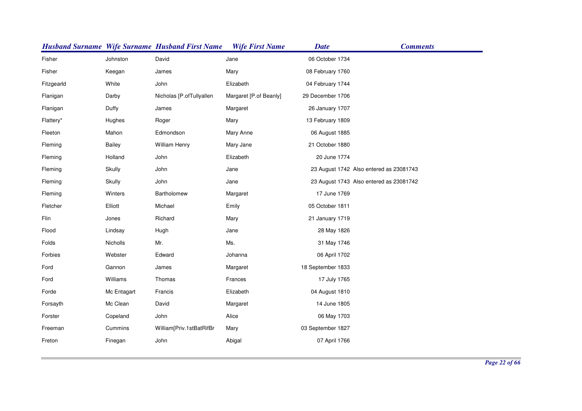|            |             | <b>Husband Surname Wife Surname Husband First Name</b> | <b>Wife First Name</b> | <b>Date</b>       | <b>Comments</b>                         |
|------------|-------------|--------------------------------------------------------|------------------------|-------------------|-----------------------------------------|
| Fisher     | Johnston    | David                                                  | Jane                   | 06 October 1734   |                                         |
| Fisher     | Keegan      | James                                                  | Mary                   | 08 February 1760  |                                         |
| Fitzgearld | White       | John                                                   | Elizabeth              | 04 February 1744  |                                         |
| Flanigan   | Darby       | Nicholas [P.ofTullyallen                               | Margaret [P.of Beanly] | 29 December 1706  |                                         |
| Flanigan   | Duffy       | James                                                  | Margaret               | 26 January 1707   |                                         |
| Flattery*  | Hughes      | Roger                                                  | Mary                   | 13 February 1809  |                                         |
| Fleeton    | Mahon       | Edmondson                                              | Mary Anne              | 06 August 1885    |                                         |
| Fleming    | Bailey      | William Henry                                          | Mary Jane              | 21 October 1880   |                                         |
| Fleming    | Holland     | John                                                   | Elizabeth              | 20 June 1774      |                                         |
| Fleming    | Skully      | John                                                   | Jane                   |                   | 23 August 1742 Also entered as 23081743 |
| Fleming    | Skully      | John                                                   | Jane                   |                   | 23 August 1743 Also entered as 23081742 |
| Fleming    | Winters     | Bartholomew                                            | Margaret               | 17 June 1769      |                                         |
| Fletcher   | Elliott     | Michael                                                | Emily                  | 05 October 1811   |                                         |
| Flin       | Jones       | Richard                                                | Mary                   | 21 January 1719   |                                         |
| Flood      | Lindsay     | Hugh                                                   | Jane                   | 28 May 1826       |                                         |
| Folds      | Nicholls    | Mr.                                                    | Ms.                    | 31 May 1746       |                                         |
| Forbies    | Webster     | Edward                                                 | Johanna                | 06 April 1702     |                                         |
| Ford       | Gannon      | James                                                  | Margaret               | 18 September 1833 |                                         |
| Ford       | Williams    | Thomas                                                 | Frances                | 17 July 1765      |                                         |
| Forde      | Mc Entagart | Francis                                                | Elizabeth              | 04 August 1810    |                                         |
| Forsayth   | Mc Clean    | David                                                  | Margaret               | 14 June 1805      |                                         |
| Forster    | Copeland    | John                                                   | Alice                  | 06 May 1703       |                                         |
| Freeman    | Cummins     | William[Priv.1stBatRifBr                               | Mary                   | 03 September 1827 |                                         |
| Freton     | Finegan     | John                                                   | Abigal                 | 07 April 1766     |                                         |
|            |             |                                                        |                        |                   |                                         |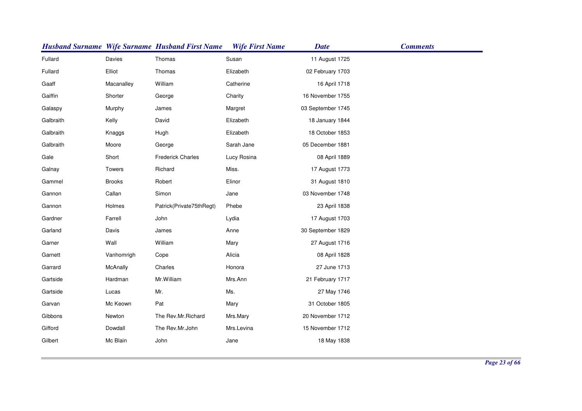|           |               | <b>Husband Surname Wife Surname Husband First Name</b> | <b>Wife First Name</b> | <b>Date</b>       | <b>Comments</b> |
|-----------|---------------|--------------------------------------------------------|------------------------|-------------------|-----------------|
| Fullard   | Davies        | Thomas                                                 | Susan                  | 11 August 1725    |                 |
| Fullard   | Elliot        | Thomas                                                 | Elizabeth              | 02 February 1703  |                 |
| Gaaff     | Macanalley    | William                                                | Catherine              | 16 April 1718     |                 |
| Gaiffin   | Shorter       | George                                                 | Charity                | 16 November 1755  |                 |
| Galaspy   | Murphy        | James                                                  | Margret                | 03 September 1745 |                 |
| Galbraith | Kelly         | David                                                  | Elizabeth              | 18 January 1844   |                 |
| Galbraith | Knaggs        | Hugh                                                   | Elizabeth              | 18 October 1853   |                 |
| Galbraith | Moore         | George                                                 | Sarah Jane             | 05 December 1881  |                 |
| Gale      | Short         | <b>Frederick Charles</b>                               | Lucy Rosina            | 08 April 1889     |                 |
| Galnay    | Towers        | Richard                                                | Miss.                  | 17 August 1773    |                 |
| Gammel    | <b>Brooks</b> | Robert                                                 | Elinor                 | 31 August 1810    |                 |
| Gannon    | Callan        | Simon                                                  | Jane                   | 03 November 1748  |                 |
| Gannon    | Holmes        | Patrick(Private75thRegt)                               | Phebe                  | 23 April 1838     |                 |
| Gardner   | Farrell       | John                                                   | Lydia                  | 17 August 1703    |                 |
| Garland   | Davis         | James                                                  | Anne                   | 30 September 1829 |                 |
| Garner    | Wall          | William                                                | Mary                   | 27 August 1716    |                 |
| Garnett   | Vanhomrigh    | Cope                                                   | Alicia                 | 08 April 1828     |                 |
| Garrard   | McAnally      | Charles                                                | Honora                 | 27 June 1713      |                 |
| Gartside  | Hardman       | Mr. William                                            | Mrs.Ann                | 21 February 1717  |                 |
| Gartside  | Lucas         | Mr.                                                    | Ms.                    | 27 May 1746       |                 |
| Garvan    | Mc Keown      | Pat                                                    | Mary                   | 31 October 1805   |                 |
| Gibbons   | Newton        | The Rev.Mr.Richard                                     | Mrs.Mary               | 20 November 1712  |                 |
| Gifford   | Dowdall       | The Rev.Mr.John                                        | Mrs.Levina             | 15 November 1712  |                 |
| Gilbert   | Mc Blain      | John                                                   | Jane                   | 18 May 1838       |                 |
|           |               |                                                        |                        |                   |                 |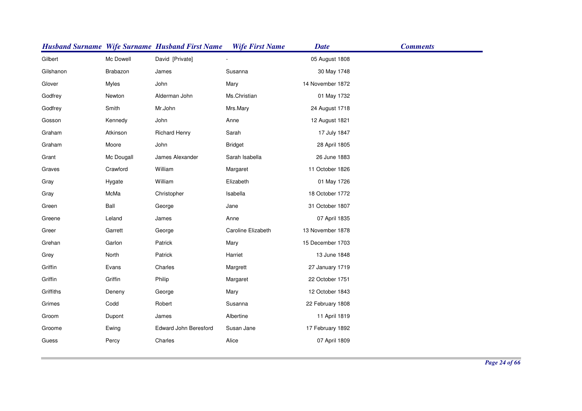|           |            | <b>Husband Surname Wife Surname Husband First Name</b> | <b>Wife First Name</b> | <b>Date</b>      | <b>Comments</b> |
|-----------|------------|--------------------------------------------------------|------------------------|------------------|-----------------|
| Gilbert   | Mc Dowell  | David [Private]                                        |                        | 05 August 1808   |                 |
| Gilshanon | Brabazon   | James                                                  | Susanna                | 30 May 1748      |                 |
| Glover    | Myles      | John                                                   | Mary                   | 14 November 1872 |                 |
| Godfrey   | Newton     | Alderman John                                          | Ms.Christian           | 01 May 1732      |                 |
| Godfrey   | Smith      | Mr.John                                                | Mrs.Mary               | 24 August 1718   |                 |
| Gosson    | Kennedy    | John                                                   | Anne                   | 12 August 1821   |                 |
| Graham    | Atkinson   | <b>Richard Henry</b>                                   | Sarah                  | 17 July 1847     |                 |
| Graham    | Moore      | John                                                   | <b>Bridget</b>         | 28 April 1805    |                 |
| Grant     | Mc Dougall | James Alexander                                        | Sarah Isabella         | 26 June 1883     |                 |
| Graves    | Crawford   | William                                                | Margaret               | 11 October 1826  |                 |
| Gray      | Hygate     | William                                                | Elizabeth              | 01 May 1726      |                 |
| Gray      | McMa       | Christopher                                            | Isabella               | 18 October 1772  |                 |
| Green     | Ball       | George                                                 | Jane                   | 31 October 1807  |                 |
| Greene    | Leland     | James                                                  | Anne                   | 07 April 1835    |                 |
| Greer     | Garrett    | George                                                 | Caroline Elizabeth     | 13 November 1878 |                 |
| Grehan    | Garlon     | Patrick                                                | Mary                   | 15 December 1703 |                 |
| Grey      | North      | Patrick                                                | Harriet                | 13 June 1848     |                 |
| Griffin   | Evans      | Charles                                                | Margrett               | 27 January 1719  |                 |
| Griffin   | Griffin    | Philip                                                 | Margaret               | 22 October 1751  |                 |
| Griffiths | Deneny     | George                                                 | Mary                   | 12 October 1843  |                 |
| Grimes    | Codd       | Robert                                                 | Susanna                | 22 February 1808 |                 |
| Groom     | Dupont     | James                                                  | Albertine              | 11 April 1819    |                 |
| Groome    | Ewing      | <b>Edward John Beresford</b>                           | Susan Jane             | 17 February 1892 |                 |
| Guess     | Percy      | Charles                                                | Alice                  | 07 April 1809    |                 |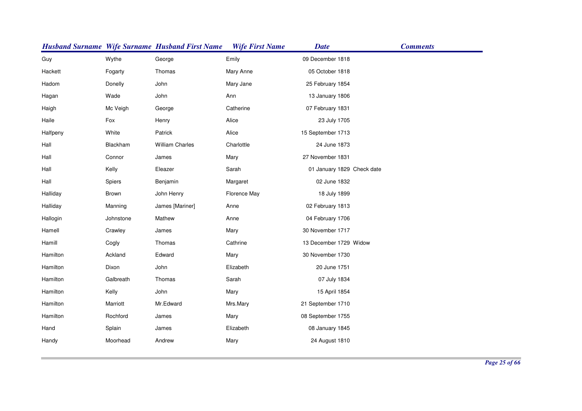|          |           | <b>Husband Surname Wife Surname Husband First Name</b> | <b>Wife First Name</b> | <b>Date</b>                | <b>Comments</b> |
|----------|-----------|--------------------------------------------------------|------------------------|----------------------------|-----------------|
| Guy      | Wythe     | George                                                 | Emily                  | 09 December 1818           |                 |
| Hackett  | Fogarty   | Thomas                                                 | Mary Anne              | 05 October 1818            |                 |
| Hadom    | Donelly   | John                                                   | Mary Jane              | 25 February 1854           |                 |
| Hagan    | Wade      | John                                                   | Ann                    | 13 January 1806            |                 |
| Haigh    | Mc Veigh  | George                                                 | Catherine              | 07 February 1831           |                 |
| Haile    | Fox       | Henry                                                  | Alice                  | 23 July 1705               |                 |
| Halfpeny | White     | Patrick                                                | Alice                  | 15 September 1713          |                 |
| Hall     | Blackham  | <b>William Charles</b>                                 | Charlottle             | 24 June 1873               |                 |
| Hall     | Connor    | James                                                  | Mary                   | 27 November 1831           |                 |
| Hall     | Kelly     | Eleazer                                                | Sarah                  | 01 January 1829 Check date |                 |
| Hall     | Spiers    | Benjamin                                               | Margaret               | 02 June 1832               |                 |
| Halliday | Brown     | John Henry                                             | Florence May           | 18 July 1899               |                 |
| Halliday | Manning   | James [Mariner]                                        | Anne                   | 02 February 1813           |                 |
| Hallogin | Johnstone | Mathew                                                 | Anne                   | 04 February 1706           |                 |
| Hamell   | Crawley   | James                                                  | Mary                   | 30 November 1717           |                 |
| Hamill   | Cogly     | Thomas                                                 | Cathrine               | 13 December 1729 Widow     |                 |
| Hamilton | Ackland   | Edward                                                 | Mary                   | 30 November 1730           |                 |
| Hamilton | Dixon     | John                                                   | Elizabeth              | 20 June 1751               |                 |
| Hamilton | Galbreath | Thomas                                                 | Sarah                  | 07 July 1834               |                 |
| Hamilton | Kelly     | John                                                   | Mary                   | 15 April 1854              |                 |
| Hamilton | Marriott  | Mr.Edward                                              | Mrs.Mary               | 21 September 1710          |                 |
| Hamilton | Rochford  | James                                                  | Mary                   | 08 September 1755          |                 |
| Hand     | Splain    | James                                                  | Elizabeth              | 08 January 1845            |                 |
| Handy    | Moorhead  | Andrew                                                 | Mary                   | 24 August 1810             |                 |
|          |           |                                                        |                        |                            |                 |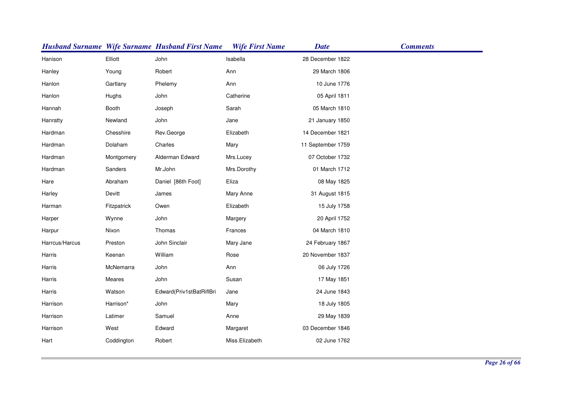|                |             | <b>Husband Surname Wife Surname Husband First Name</b> | <b>Wife First Name</b> | <b>Date</b>       | <b>Comments</b> |
|----------------|-------------|--------------------------------------------------------|------------------------|-------------------|-----------------|
| Hanison        | Elliott     | John                                                   | Isabella               | 28 December 1822  |                 |
| Hanley         | Young       | Robert                                                 | Ann                    | 29 March 1806     |                 |
| Hanlon         | Gartlany    | Phelemy                                                | Ann                    | 10 June 1776      |                 |
| Hanlon         | Hughs       | John                                                   | Catherine              | 05 April 1811     |                 |
| Hannah         | Booth       | Joseph                                                 | Sarah                  | 05 March 1810     |                 |
| Hanratty       | Newland     | John                                                   | Jane                   | 21 January 1850   |                 |
| Hardman        | Chesshire   | Rev.George                                             | Elizabeth              | 14 December 1821  |                 |
| Hardman        | Dolaham     | Charles                                                | Mary                   | 11 September 1759 |                 |
| Hardman        | Montgomery  | Alderman Edward                                        | Mrs.Lucey              | 07 October 1732   |                 |
| Hardman        | Sanders     | Mr.John                                                | Mrs.Dorothy            | 01 March 1712     |                 |
| Hare           | Abraham     | Daniel [86th Foot]                                     | Eliza                  | 08 May 1825       |                 |
| Harley         | Devitt      | James                                                  | Mary Anne              | 31 August 1815    |                 |
| Harman         | Fitzpatrick | Owen                                                   | Elizabeth              | 15 July 1758      |                 |
| Harper         | Wynne       | John                                                   | Margery                | 20 April 1752     |                 |
| Harpur         | Nixon       | Thomas                                                 | Frances                | 04 March 1810     |                 |
| Harrcus/Harcus | Preston     | John Sinclair                                          | Mary Jane              | 24 February 1867  |                 |
| Harris         | Keenan      | William                                                | Rose                   | 20 November 1837  |                 |
| Harris         | McNemarra   | John                                                   | Ann                    | 06 July 1726      |                 |
| Harris         | Meares      | John                                                   | Susan                  | 17 May 1851       |                 |
| Harris         | Watson      | Edward(Priv1stBatRiflBri                               | Jane                   | 24 June 1843      |                 |
| Harrison       | Harrison*   | John                                                   | Mary                   | 18 July 1805      |                 |
| Harrison       | Latimer     | Samuel                                                 | Anne                   | 29 May 1839       |                 |
| Harrison       | West        | Edward                                                 | Margaret               | 03 December 1846  |                 |
| Hart           | Coddington  | Robert                                                 | Miss.Elizabeth         | 02 June 1762      |                 |
|                |             |                                                        |                        |                   |                 |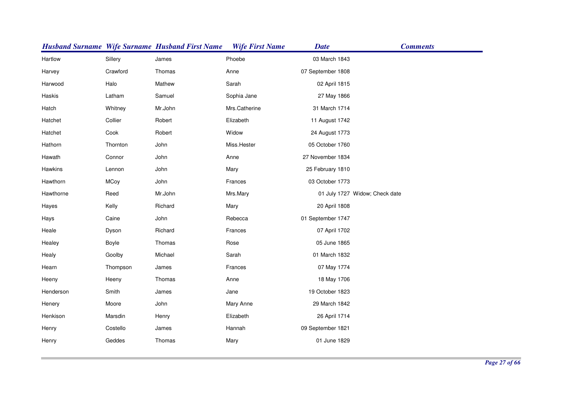|           |          | <b>Husband Surname Wife Surname Husband First Name</b> | <b>Wife First Name</b> | <b>Date</b>       | <b>Comments</b>                |
|-----------|----------|--------------------------------------------------------|------------------------|-------------------|--------------------------------|
| Hartlow   | Sillery  | James                                                  | Phoebe                 | 03 March 1843     |                                |
| Harvey    | Crawford | Thomas                                                 | Anne                   | 07 September 1808 |                                |
| Harwood   | Halo     | Mathew                                                 | Sarah                  | 02 April 1815     |                                |
| Haskis    | Latham   | Samuel                                                 | Sophia Jane            | 27 May 1866       |                                |
| Hatch     | Whitney  | Mr.John                                                | Mrs.Catherine          | 31 March 1714     |                                |
| Hatchet   | Collier  | Robert                                                 | Elizabeth              | 11 August 1742    |                                |
| Hatchet   | Cook     | Robert                                                 | Widow                  | 24 August 1773    |                                |
| Hathorn   | Thornton | John                                                   | Miss.Hester            | 05 October 1760   |                                |
| Hawath    | Connor   | John                                                   | Anne                   | 27 November 1834  |                                |
| Hawkins   | Lennon   | John                                                   | Mary                   | 25 February 1810  |                                |
| Hawthorn  | MCoy     | John                                                   | Frances                | 03 October 1773   |                                |
| Hawthorne | Reed     | Mr.John                                                | Mrs.Mary               |                   | 01 July 1727 Widow; Check date |
| Hayes     | Kelly    | Richard                                                | Mary                   | 20 April 1808     |                                |
| Hays      | Caine    | John                                                   | Rebecca                | 01 September 1747 |                                |
| Heale     | Dyson    | Richard                                                | Frances                | 07 April 1702     |                                |
| Healey    | Boyle    | Thomas                                                 | Rose                   | 05 June 1865      |                                |
| Healy     | Goolby   | Michael                                                | Sarah                  | 01 March 1832     |                                |
| Hearn     | Thompson | James                                                  | Frances                | 07 May 1774       |                                |
| Heeny     | Heeny    | Thomas                                                 | Anne                   | 18 May 1706       |                                |
| Henderson | Smith    | James                                                  | Jane                   | 19 October 1823   |                                |
| Henery    | Moore    | John                                                   | Mary Anne              | 29 March 1842     |                                |
| Henkison  | Marsdin  | Henry                                                  | Elizabeth              | 26 April 1714     |                                |
| Henry     | Costello | James                                                  | Hannah                 | 09 September 1821 |                                |
| Henry     | Geddes   | Thomas                                                 | Mary                   | 01 June 1829      |                                |
|           |          |                                                        |                        |                   |                                |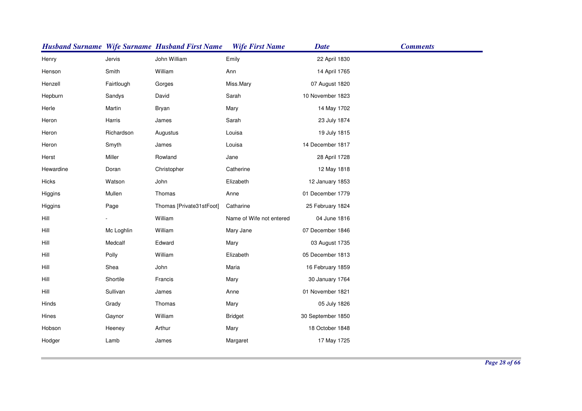|           |            | <b>Husband Surname Wife Surname Husband First Name</b> | <b>Wife First Name</b>   | <b>Date</b>       | <b>Comments</b> |
|-----------|------------|--------------------------------------------------------|--------------------------|-------------------|-----------------|
| Henry     | Jervis     | John William                                           | Emily                    | 22 April 1830     |                 |
| Henson    | Smith      | William                                                | Ann                      | 14 April 1765     |                 |
| Henzell   | Fairtlough | Gorges                                                 | Miss.Mary                | 07 August 1820    |                 |
| Hepburn   | Sandys     | David                                                  | Sarah                    | 10 November 1823  |                 |
| Herle     | Martin     | Bryan                                                  | Mary                     | 14 May 1702       |                 |
| Heron     | Harris     | James                                                  | Sarah                    | 23 July 1874      |                 |
| Heron     | Richardson | Augustus                                               | Louisa                   | 19 July 1815      |                 |
| Heron     | Smyth      | James                                                  | Louisa                   | 14 December 1817  |                 |
| Herst     | Miller     | Rowland                                                | Jane                     | 28 April 1728     |                 |
| Hewardine | Doran      | Christopher                                            | Catherine                | 12 May 1818       |                 |
| Hicks     | Watson     | John                                                   | Elizabeth                | 12 January 1853   |                 |
| Higgins   | Mullen     | Thomas                                                 | Anne                     | 01 December 1779  |                 |
| Higgins   | Page       | Thomas [Private31stFoot]                               | Catharine                | 25 February 1824  |                 |
| Hill      |            | William                                                | Name of Wife not entered | 04 June 1816      |                 |
| Hill      | Mc Loghlin | William                                                | Mary Jane                | 07 December 1846  |                 |
| Hill      | Medcalf    | Edward                                                 | Mary                     | 03 August 1735    |                 |
| Hill      | Polly      | William                                                | Elizabeth                | 05 December 1813  |                 |
| Hill      | Shea       | John                                                   | Maria                    | 16 February 1859  |                 |
| Hill      | Shortile   | Francis                                                | Mary                     | 30 January 1764   |                 |
| Hill      | Sullivan   | James                                                  | Anne                     | 01 November 1821  |                 |
| Hinds     | Grady      | Thomas                                                 | Mary                     | 05 July 1826      |                 |
| Hines     | Gaynor     | William                                                | <b>Bridget</b>           | 30 September 1850 |                 |
| Hobson    | Heeney     | Arthur                                                 | Mary                     | 18 October 1848   |                 |
| Hodger    | Lamb       | James                                                  | Margaret                 | 17 May 1725       |                 |
|           |            |                                                        |                          |                   |                 |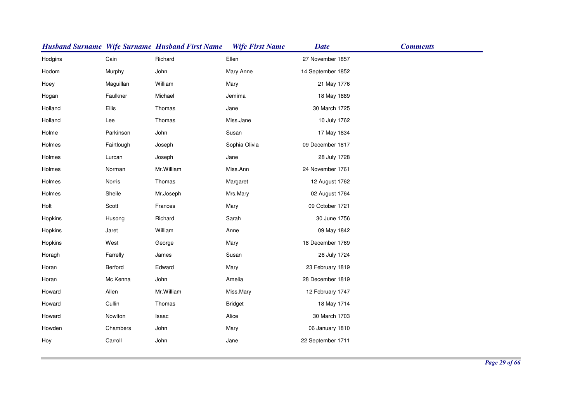|         |            | <b>Husband Surname Wife Surname Husband First Name</b> | <b>Wife First Name</b> | <b>Date</b>       | <b>Comments</b> |
|---------|------------|--------------------------------------------------------|------------------------|-------------------|-----------------|
| Hodgins | Cain       | Richard                                                | Ellen                  | 27 November 1857  |                 |
| Hodom   | Murphy     | John                                                   | Mary Anne              | 14 September 1852 |                 |
| Hoey    | Maguillan  | William                                                | Mary                   | 21 May 1776       |                 |
| Hogan   | Faulkner   | Michael                                                | Jemima                 | 18 May 1889       |                 |
| Holland | Ellis      | Thomas                                                 | Jane                   | 30 March 1725     |                 |
| Holland | Lee        | Thomas                                                 | Miss.Jane              | 10 July 1762      |                 |
| Holme   | Parkinson  | John                                                   | Susan                  | 17 May 1834       |                 |
| Holmes  | Fairtlough | Joseph                                                 | Sophia Olivia          | 09 December 1817  |                 |
| Holmes  | Lurcan     | Joseph                                                 | Jane                   | 28 July 1728      |                 |
| Holmes  | Norman     | Mr. William                                            | Miss.Ann               | 24 November 1761  |                 |
| Holmes  | Norris     | Thomas                                                 | Margaret               | 12 August 1762    |                 |
| Holmes  | Sheile     | Mr.Joseph                                              | Mrs.Mary               | 02 August 1764    |                 |
| Holt    | Scott      | Frances                                                | Mary                   | 09 October 1721   |                 |
| Hopkins | Husong     | Richard                                                | Sarah                  | 30 June 1756      |                 |
| Hopkins | Jaret      | William                                                | Anne                   | 09 May 1842       |                 |
| Hopkins | West       | George                                                 | Mary                   | 18 December 1769  |                 |
| Horagh  | Farrelly   | James                                                  | Susan                  | 26 July 1724      |                 |
| Horan   | Berford    | Edward                                                 | Mary                   | 23 February 1819  |                 |
| Horan   | Mc Kenna   | John                                                   | Amelia                 | 28 December 1819  |                 |
| Howard  | Allen      | Mr. William                                            | Miss.Mary              | 12 February 1747  |                 |
| Howard  | Cullin     | Thomas                                                 | <b>Bridget</b>         | 18 May 1714       |                 |
| Howard  | Nowlton    | Isaac                                                  | Alice                  | 30 March 1703     |                 |
| Howden  | Chambers   | John                                                   | Mary                   | 06 January 1810   |                 |
| Hoy     | Carroll    | John                                                   | Jane                   | 22 September 1711 |                 |
|         |            |                                                        |                        |                   |                 |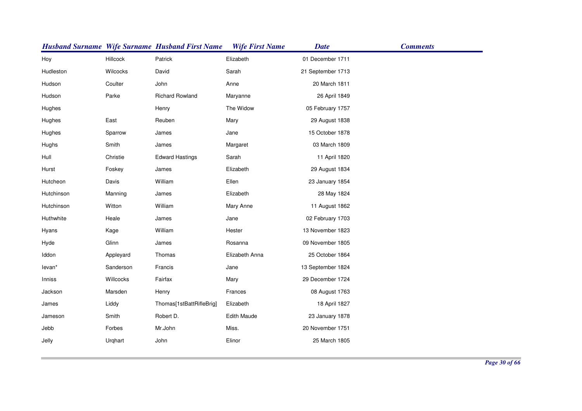|            |           | <b>Husband Surname Wife Surname Husband First Name</b> | <b>Wife First Name</b> | <b>Date</b>       | <b>Comments</b> |
|------------|-----------|--------------------------------------------------------|------------------------|-------------------|-----------------|
| Hoy        | Hillcock  | Patrick                                                | Elizabeth              | 01 December 1711  |                 |
| Hudleston  | Wilcocks  | David                                                  | Sarah                  | 21 September 1713 |                 |
| Hudson     | Coulter   | John                                                   | Anne                   | 20 March 1811     |                 |
| Hudson     | Parke     | <b>Richard Rowland</b>                                 | Maryanne               | 26 April 1849     |                 |
| Hughes     |           | Henry                                                  | The Widow              | 05 February 1757  |                 |
| Hughes     | East      | Reuben                                                 | Mary                   | 29 August 1838    |                 |
| Hughes     | Sparrow   | James                                                  | Jane                   | 15 October 1878   |                 |
| Hughs      | Smith     | James                                                  | Margaret               | 03 March 1809     |                 |
| Hull       | Christie  | <b>Edward Hastings</b>                                 | Sarah                  | 11 April 1820     |                 |
| Hurst      | Foskey    | James                                                  | Elizabeth              | 29 August 1834    |                 |
| Hutcheon   | Davis     | William                                                | Ellen                  | 23 January 1854   |                 |
| Hutchinson | Manning   | James                                                  | Elizabeth              | 28 May 1824       |                 |
| Hutchinson | Witton    | William                                                | Mary Anne              | 11 August 1862    |                 |
| Huthwhite  | Heale     | James                                                  | Jane                   | 02 February 1703  |                 |
| Hyans      | Kage      | William                                                | Hester                 | 13 November 1823  |                 |
| Hyde       | Glinn     | James                                                  | Rosanna                | 09 November 1805  |                 |
| Iddon      | Appleyard | Thomas                                                 | Elizabeth Anna         | 25 October 1864   |                 |
| levan*     | Sanderson | Francis                                                | Jane                   | 13 September 1824 |                 |
| Inniss     | Willcocks | Fairfax                                                | Mary                   | 29 December 1724  |                 |
| Jackson    | Marsden   | Henry                                                  | Frances                | 08 August 1763    |                 |
| James      | Liddy     | Thomas[1stBattRifleBrig]                               | Elizabeth              | 18 April 1827     |                 |
| Jameson    | Smith     | Robert D.                                              | Edith Maude            | 23 January 1878   |                 |
| Jebb       | Forbes    | Mr.John                                                | Miss.                  | 20 November 1751  |                 |
| Jelly      | Urghart   | John                                                   | Elinor                 | 25 March 1805     |                 |
|            |           |                                                        |                        |                   |                 |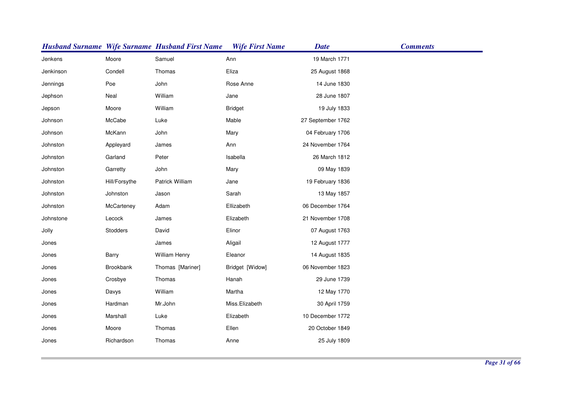|           |               | <b>Husband Surname Wife Surname Husband First Name</b> | <b>Wife First Name</b> | <b>Date</b>       | <b>Comments</b> |
|-----------|---------------|--------------------------------------------------------|------------------------|-------------------|-----------------|
| Jenkens   | Moore         | Samuel                                                 | Ann                    | 19 March 1771     |                 |
| Jenkinson | Condell       | Thomas                                                 | Eliza                  | 25 August 1868    |                 |
| Jennings  | Poe           | John                                                   | Rose Anne              | 14 June 1830      |                 |
| Jephson   | Neal          | William                                                | Jane                   | 28 June 1807      |                 |
| Jepson    | Moore         | William                                                | <b>Bridget</b>         | 19 July 1833      |                 |
| Johnson   | McCabe        | Luke                                                   | Mable                  | 27 September 1762 |                 |
| Johnson   | McKann        | John                                                   | Mary                   | 04 February 1706  |                 |
| Johnston  | Appleyard     | James                                                  | Ann                    | 24 November 1764  |                 |
| Johnston  | Garland       | Peter                                                  | Isabella               | 26 March 1812     |                 |
| Johnston  | Garretty      | John                                                   | Mary                   | 09 May 1839       |                 |
| Johnston  | Hill/Forsythe | Patrick William                                        | Jane                   | 19 February 1836  |                 |
| Johnston  | Johnston      | Jason                                                  | Sarah                  | 13 May 1857       |                 |
| Johnston  | McCarteney    | Adam                                                   | Ellizabeth             | 06 December 1764  |                 |
| Johnstone | Lecock        | James                                                  | Elizabeth              | 21 November 1708  |                 |
| Jolly     | Stodders      | David                                                  | Elinor                 | 07 August 1763    |                 |
| Jones     |               | James                                                  | Aligail                | 12 August 1777    |                 |
| Jones     | Barry         | William Henry                                          | Eleanor                | 14 August 1835    |                 |
| Jones     | Brookbank     | Thomas [Mariner]                                       | Bridget [Widow]        | 06 November 1823  |                 |
| Jones     | Crosbye       | Thomas                                                 | Hanah                  | 29 June 1739      |                 |
| Jones     | Davys         | William                                                | Martha                 | 12 May 1770       |                 |
| Jones     | Hardman       | Mr.John                                                | Miss.Elizabeth         | 30 April 1759     |                 |
| Jones     | Marshall      | Luke                                                   | Elizabeth              | 10 December 1772  |                 |
| Jones     | Moore         | Thomas                                                 | Ellen                  | 20 October 1849   |                 |
| Jones     | Richardson    | Thomas                                                 | Anne                   | 25 July 1809      |                 |
|           |               |                                                        |                        |                   |                 |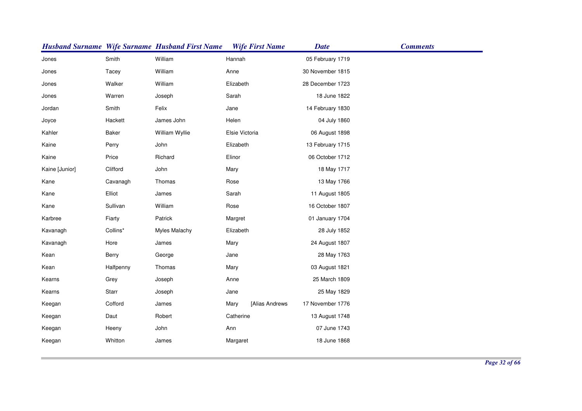|                |              | <b>Husband Surname Wife Surname Husband First Name</b> | <b>Wife First Name</b> | <b>Date</b>      | <b>Comments</b> |
|----------------|--------------|--------------------------------------------------------|------------------------|------------------|-----------------|
| Jones          | Smith        | William                                                | Hannah                 | 05 February 1719 |                 |
| Jones          | Tacey        | William                                                | Anne                   | 30 November 1815 |                 |
| Jones          | Walker       | William                                                | Elizabeth              | 28 December 1723 |                 |
| Jones          | Warren       | Joseph                                                 | Sarah                  | 18 June 1822     |                 |
| Jordan         | Smith        | Felix                                                  | Jane                   | 14 February 1830 |                 |
| Joyce          | Hackett      | James John                                             | Helen                  | 04 July 1860     |                 |
| Kahler         | <b>Baker</b> | William Wyllie                                         | Elsie Victoria         | 06 August 1898   |                 |
| Kaine          | Perry        | John                                                   | Elizabeth              | 13 February 1715 |                 |
| Kaine          | Price        | Richard                                                | Elinor                 | 06 October 1712  |                 |
| Kaine [Junior] | Clifford     | John                                                   | Mary                   | 18 May 1717      |                 |
| Kane           | Cavanagh     | Thomas                                                 | Rose                   | 13 May 1766      |                 |
| Kane           | Elliot       | James                                                  | Sarah                  | 11 August 1805   |                 |
| Kane           | Sullivan     | William                                                | Rose                   | 16 October 1807  |                 |
| Karbree        | Fiarty       | Patrick                                                | Margret                | 01 January 1704  |                 |
| Kavanagh       | Collins*     | Myles Malachy                                          | Elizabeth              | 28 July 1852     |                 |
| Kavanagh       | Hore         | James                                                  | Mary                   | 24 August 1807   |                 |
| Kean           | Berry        | George                                                 | Jane                   | 28 May 1763      |                 |
| Kean           | Halfpenny    | Thomas                                                 | Mary                   | 03 August 1821   |                 |
| Kearns         | Grey         | Joseph                                                 | Anne                   | 25 March 1809    |                 |
| Kearns         | Starr        | Joseph                                                 | Jane                   | 25 May 1829      |                 |
| Keegan         | Cofford      | James                                                  | [Alias Andrews<br>Mary | 17 November 1776 |                 |
| Keegan         | Daut         | Robert                                                 | Catherine              | 13 August 1748   |                 |
| Keegan         | Heeny        | John                                                   | Ann                    | 07 June 1743     |                 |
| Keegan         | Whitton      | James                                                  | Margaret               | 18 June 1868     |                 |
|                |              |                                                        |                        |                  |                 |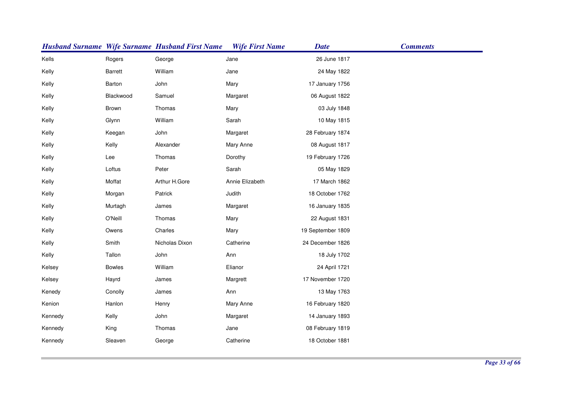|         |                | <b>Husband Surname Wife Surname Husband First Name</b> | <b>Wife First Name</b> | <b>Date</b>       | <b>Comments</b> |
|---------|----------------|--------------------------------------------------------|------------------------|-------------------|-----------------|
| Kells   | Rogers         | George                                                 | Jane                   | 26 June 1817      |                 |
| Kelly   | <b>Barrett</b> | William                                                | Jane                   | 24 May 1822       |                 |
| Kelly   | Barton         | John                                                   | Mary                   | 17 January 1756   |                 |
| Kelly   | Blackwood      | Samuel                                                 | Margaret               | 06 August 1822    |                 |
| Kelly   | Brown          | Thomas                                                 | Mary                   | 03 July 1848      |                 |
| Kelly   | Glynn          | William                                                | Sarah                  | 10 May 1815       |                 |
| Kelly   | Keegan         | John                                                   | Margaret               | 28 February 1874  |                 |
| Kelly   | Kelly          | Alexander                                              | Mary Anne              | 08 August 1817    |                 |
| Kelly   | Lee            | Thomas                                                 | Dorothy                | 19 February 1726  |                 |
| Kelly   | Loftus         | Peter                                                  | Sarah                  | 05 May 1829       |                 |
| Kelly   | Moffat         | Arthur H.Gore                                          | Annie Elizabeth        | 17 March 1862     |                 |
| Kelly   | Morgan         | Patrick                                                | Judith                 | 18 October 1762   |                 |
| Kelly   | Murtagh        | James                                                  | Margaret               | 16 January 1835   |                 |
| Kelly   | O'Neill        | Thomas                                                 | Mary                   | 22 August 1831    |                 |
| Kelly   | Owens          | Charles                                                | Mary                   | 19 September 1809 |                 |
| Kelly   | Smith          | Nicholas Dixon                                         | Catherine              | 24 December 1826  |                 |
| Kelly   | Tallon         | John                                                   | Ann                    | 18 July 1702      |                 |
| Kelsey  | <b>Bowles</b>  | William                                                | Elianor                | 24 April 1721     |                 |
| Kelsey  | Hayrd          | James                                                  | Margrett               | 17 November 1720  |                 |
| Kenedy  | Conolly        | James                                                  | Ann                    | 13 May 1763       |                 |
| Kenion  | Hanlon         | Henry                                                  | Mary Anne              | 16 February 1820  |                 |
| Kennedy | Kelly          | John                                                   | Margaret               | 14 January 1893   |                 |
| Kennedy | King           | Thomas                                                 | Jane                   | 08 February 1819  |                 |
| Kennedy | Sleaven        | George                                                 | Catherine              | 18 October 1881   |                 |
|         |                |                                                        |                        |                   |                 |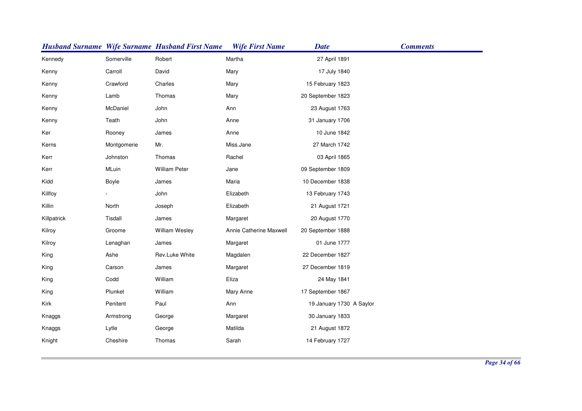|             |             | <b>Husband Surname Wife Surname Husband First Name</b> | <b>Wife First Name</b>  | <b>Date</b>              | <b>Comments</b> |
|-------------|-------------|--------------------------------------------------------|-------------------------|--------------------------|-----------------|
| Kennedy     | Somerville  | Robert                                                 | Martha                  | 27 April 1891            |                 |
| Kenny       | Carroll     | David                                                  | Mary                    | 17 July 1840             |                 |
| Kenny       | Crawford    | Charles                                                | Mary                    | 15 February 1823         |                 |
| Kenny       | Lamb        | Thomas                                                 | Mary                    | 20 September 1823        |                 |
| Kenny       | McDaniel    | John                                                   | Ann                     | 23 August 1763           |                 |
| Kenny       | Teath       | John                                                   | Anne                    | 31 January 1706          |                 |
| Ker         | Rooney      | James                                                  | Anne                    | 10 June 1842             |                 |
| Kerns       | Montgomerie | Mr.                                                    | Miss.Jane               | 27 March 1742            |                 |
| Kerr        | Johnston    | Thomas                                                 | Rachel                  | 03 April 1865            |                 |
| Kerr        | MLuin       | <b>William Peter</b>                                   | Jane                    | 09 September 1809        |                 |
| Kidd        | Boyle       | James                                                  | Maria                   | 10 December 1838         |                 |
| Killfoy     |             | John                                                   | Elizabeth               | 13 February 1743         |                 |
| Killin      | North       | Joseph                                                 | Elizabeth               | 21 August 1721           |                 |
| Killpatrick | Tisdall     | James                                                  | Margaret                | 20 August 1770           |                 |
| Kilroy      | Groome      | <b>William Wesley</b>                                  | Annie Catherine Maxwell | 20 September 1888        |                 |
| Kilroy      | Lenaghan    | James                                                  | Margaret                | 01 June 1777             |                 |
| King        | Ashe        | Rev.Luke White                                         | Magdalen                | 22 December 1827         |                 |
| King        | Carson      | James                                                  | Margaret                | 27 December 1819         |                 |
| King        | Codd        | William                                                | Eliza                   | 24 May 1841              |                 |
| King        | Plunket     | William                                                | Mary Anne               | 17 September 1867        |                 |
| Kirk        | Penitent    | Paul                                                   | Ann                     | 19 January 1730 A Saylor |                 |
| Knaggs      | Armstrong   | George                                                 | Margaret                | 30 January 1833          |                 |
| Knaggs      | Lytle       | George                                                 | Matilda                 | 21 August 1872           |                 |
| Knight      | Cheshire    | Thomas                                                 | Sarah                   | 14 February 1727         |                 |
|             |             |                                                        |                         |                          |                 |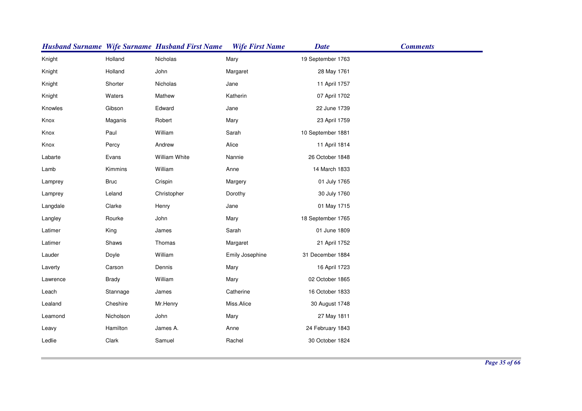|          |             | <b>Husband Surname Wife Surname Husband First Name</b> | <b>Wife First Name</b> | <b>Date</b>       | <b>Comments</b> |
|----------|-------------|--------------------------------------------------------|------------------------|-------------------|-----------------|
| Knight   | Holland     | Nicholas                                               | Mary                   | 19 September 1763 |                 |
| Knight   | Holland     | John                                                   | Margaret               | 28 May 1761       |                 |
| Knight   | Shorter     | Nicholas                                               | Jane                   | 11 April 1757     |                 |
| Knight   | Waters      | Mathew                                                 | Katherin               | 07 April 1702     |                 |
| Knowles  | Gibson      | Edward                                                 | Jane                   | 22 June 1739      |                 |
| Knox     | Maganis     | Robert                                                 | Mary                   | 23 April 1759     |                 |
| Knox     | Paul        | William                                                | Sarah                  | 10 September 1881 |                 |
| Knox     | Percy       | Andrew                                                 | Alice                  | 11 April 1814     |                 |
| Labarte  | Evans       | William White                                          | Nannie                 | 26 October 1848   |                 |
| Lamb     | Kimmins     | William                                                | Anne                   | 14 March 1833     |                 |
| Lamprey  | <b>Bruc</b> | Crispin                                                | Margery                | 01 July 1765      |                 |
| Lamprey  | Leland      | Christopher                                            | Dorothy                | 30 July 1760      |                 |
| Langdale | Clarke      | Henry                                                  | Jane                   | 01 May 1715       |                 |
| Langley  | Rourke      | John                                                   | Mary                   | 18 September 1765 |                 |
| Latimer  | King        | James                                                  | Sarah                  | 01 June 1809      |                 |
| Latimer  | Shaws       | Thomas                                                 | Margaret               | 21 April 1752     |                 |
| Lauder   | Doyle       | William                                                | Emily Josephine        | 31 December 1884  |                 |
| Laverty  | Carson      | Dennis                                                 | Mary                   | 16 April 1723     |                 |
| Lawrence | Brady       | William                                                | Mary                   | 02 October 1865   |                 |
| Leach    | Stannage    | James                                                  | Catherine              | 16 October 1833   |                 |
| Lealand  | Cheshire    | Mr.Henry                                               | Miss.Alice             | 30 August 1748    |                 |
| Leamond  | Nicholson   | John                                                   | Mary                   | 27 May 1811       |                 |
| Leavy    | Hamilton    | James A.                                               | Anne                   | 24 February 1843  |                 |
| Ledlie   | Clark       | Samuel                                                 | Rachel                 | 30 October 1824   |                 |
|          |             |                                                        |                        |                   |                 |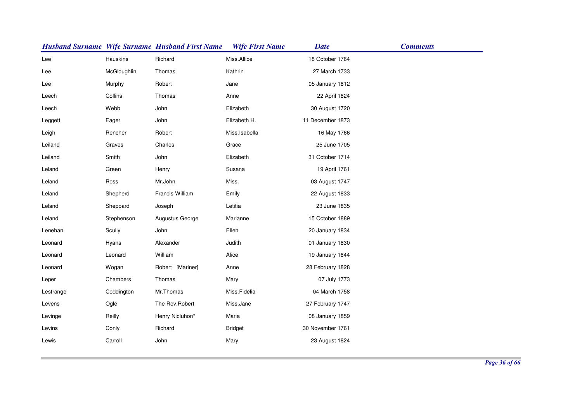|           |             | <b>Husband Surname Wife Surname Husband First Name</b> | <b>Wife First Name</b> | <b>Date</b>      | <b>Comments</b> |
|-----------|-------------|--------------------------------------------------------|------------------------|------------------|-----------------|
| Lee       | Hauskins    | Richard                                                | Miss.Allice            | 18 October 1764  |                 |
| Lee       | McGloughlin | Thomas                                                 | Kathrin                | 27 March 1733    |                 |
| Lee       | Murphy      | Robert                                                 | Jane                   | 05 January 1812  |                 |
| Leech     | Collins     | Thomas                                                 | Anne                   | 22 April 1824    |                 |
| Leech     | Webb        | John                                                   | Elizabeth              | 30 August 1720   |                 |
| Leggett   | Eager       | John                                                   | Elizabeth H.           | 11 December 1873 |                 |
| Leigh     | Rencher     | Robert                                                 | Miss.Isabella          | 16 May 1766      |                 |
| Leiland   | Graves      | Charles                                                | Grace                  | 25 June 1705     |                 |
| Leiland   | Smith       | John                                                   | Elizabeth              | 31 October 1714  |                 |
| Leland    | Green       | Henry                                                  | Susana                 | 19 April 1761    |                 |
| Leland    | Ross        | Mr.John                                                | Miss.                  | 03 August 1747   |                 |
| Leland    | Shepherd    | Francis William                                        | Emily                  | 22 August 1833   |                 |
| Leland    | Sheppard    | Joseph                                                 | Letitia                | 23 June 1835     |                 |
| Leland    | Stephenson  | Augustus George                                        | Marianne               | 15 October 1889  |                 |
| Lenehan   | Scully      | John                                                   | Ellen                  | 20 January 1834  |                 |
| Leonard   | Hyans       | Alexander                                              | Judith                 | 01 January 1830  |                 |
| Leonard   | Leonard     | William                                                | Alice                  | 19 January 1844  |                 |
| Leonard   | Wogan       | Robert [Mariner]                                       | Anne                   | 28 February 1828 |                 |
| Leper     | Chambers    | Thomas                                                 | Mary                   | 07 July 1773     |                 |
| Lestrange | Coddington  | Mr.Thomas                                              | Miss.Fidelia           | 04 March 1758    |                 |
| Levens    | Ogle        | The Rev.Robert                                         | Miss.Jane              | 27 February 1747 |                 |
| Levinge   | Reilly      | Henry Nicluhon*                                        | Maria                  | 08 January 1859  |                 |
| Levins    | Conly       | Richard                                                | <b>Bridget</b>         | 30 November 1761 |                 |
| Lewis     | Carroll     | John                                                   | Mary                   | 23 August 1824   |                 |
|           |             |                                                        |                        |                  |                 |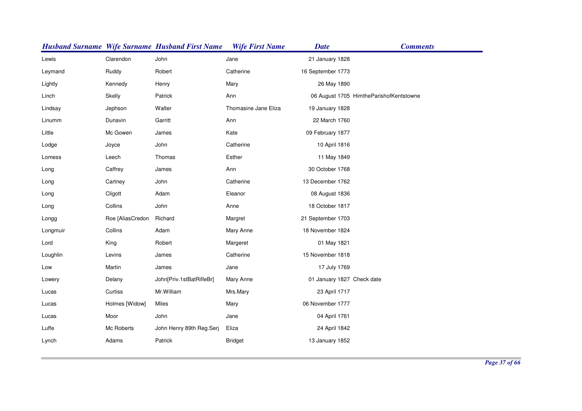|          |                  | <b>Husband Surname Wife Surname Husband First Name</b> | <b>Wife First Name</b> | <b>Date</b>                | <b>Comments</b>                         |
|----------|------------------|--------------------------------------------------------|------------------------|----------------------------|-----------------------------------------|
| Lewis    | Clarendon        | John                                                   | Jane                   | 21 January 1828            |                                         |
| Leymand  | Ruddy            | Robert                                                 | Catherine              | 16 September 1773          |                                         |
| Lightly  | Kennedy          | Henry                                                  | Mary                   | 26 May 1890                |                                         |
| Linch    | Skelly           | Patrick                                                | Ann                    |                            | 06 August 1705 HimtheParishofKentstowne |
| Lindsay  | Jephson          | Walter                                                 | Thomasine Jane Eliza   | 19 January 1828            |                                         |
| Linumm   | Dunavin          | Garritt                                                | Ann                    | 22 March 1760              |                                         |
| Little   | Mc Gowen         | James                                                  | Kate                   | 09 February 1877           |                                         |
| Lodge    | Joyce            | John                                                   | Catherine              | 10 April 1816              |                                         |
| Lomess   | Leech            | Thomas                                                 | Esther                 | 11 May 1849                |                                         |
| Long     | Caffrey          | James                                                  | Ann                    | 30 October 1768            |                                         |
| Long     | Cartney          | John                                                   | Catherine              | 13 December 1762           |                                         |
| Long     | Cligott          | Adam                                                   | Eleanor                | 08 August 1836             |                                         |
| Long     | Collins          | John                                                   | Anne                   | 18 October 1817            |                                         |
| Longg    | Roe [AliasCredon | Richard                                                | Margret                | 21 September 1703          |                                         |
| Longmuir | Collins          | Adam                                                   | Mary Anne              | 18 November 1824           |                                         |
| Lord     | King             | Robert                                                 | Margeret               | 01 May 1821                |                                         |
| Loughlin | Levins           | James                                                  | Catherine              | 15 November 1818           |                                         |
| Low      | Martin           | James                                                  | Jane                   | 17 July 1769               |                                         |
| Lowery   | Delany           | John[Priv.1stBatRifleBr]                               | Mary Anne              | 01 January 1827 Check date |                                         |
| Lucas    | Curtiss          | Mr.William                                             | Mrs.Mary               | 23 April 1717              |                                         |
| Lucas    | Holmes [Widow]   | Miles                                                  | Mary                   | 06 November 1777           |                                         |
| Lucas    | Moor             | John                                                   | Jane                   | 04 April 1761              |                                         |
| Luffe    | Mc Roberts       | John Henry 89th Reg.Serj                               | Eliza                  | 24 April 1842              |                                         |
| Lynch    | Adams            | Patrick                                                | <b>Bridget</b>         | 13 January 1852            |                                         |
|          |                  |                                                        |                        |                            |                                         |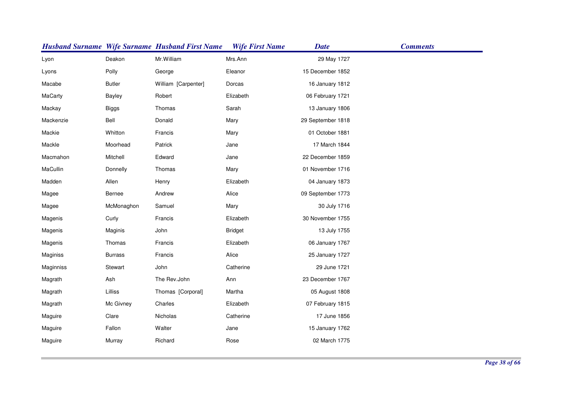|           |                | <b>Husband Surname Wife Surname Husband First Name</b> | <b>Wife First Name</b> | <b>Date</b>       | <b>Comments</b> |
|-----------|----------------|--------------------------------------------------------|------------------------|-------------------|-----------------|
| Lyon      | Deakon         | Mr.William                                             | Mrs.Ann                | 29 May 1727       |                 |
| Lyons     | Polly          | George                                                 | Eleanor                | 15 December 1852  |                 |
| Macabe    | <b>Butler</b>  | William [Carpenter]                                    | Dorcas                 | 16 January 1812   |                 |
| MaCarty   | <b>Bayley</b>  | Robert                                                 | Elizabeth              | 06 February 1721  |                 |
| Mackay    | <b>Biggs</b>   | Thomas                                                 | Sarah                  | 13 January 1806   |                 |
| Mackenzie | Bell           | Donald                                                 | Mary                   | 29 September 1818 |                 |
| Mackie    | Whitton        | Francis                                                | Mary                   | 01 October 1881   |                 |
| Mackle    | Moorhead       | Patrick                                                | Jane                   | 17 March 1844     |                 |
| Macmahon  | Mitchell       | Edward                                                 | Jane                   | 22 December 1859  |                 |
| MaCullin  | Donnelly       | Thomas                                                 | Mary                   | 01 November 1716  |                 |
| Madden    | Allen          | Henry                                                  | Elizabeth              | 04 January 1873   |                 |
| Magee     | <b>Bernee</b>  | Andrew                                                 | Alice                  | 09 September 1773 |                 |
| Magee     | McMonaghon     | Samuel                                                 | Mary                   | 30 July 1716      |                 |
| Magenis   | Curly          | Francis                                                | Elizabeth              | 30 November 1755  |                 |
| Magenis   | Maginis        | John                                                   | <b>Bridget</b>         | 13 July 1755      |                 |
| Magenis   | Thomas         | Francis                                                | Elizabeth              | 06 January 1767   |                 |
| Maginiss  | <b>Burrass</b> | Francis                                                | Alice                  | 25 January 1727   |                 |
| Maginniss | Stewart        | John                                                   | Catherine              | 29 June 1721      |                 |
| Magrath   | Ash            | The Rev.John                                           | Ann                    | 23 December 1767  |                 |
| Magrath   | Lilliss        | Thomas [Corporal]                                      | Martha                 | 05 August 1808    |                 |
| Magrath   | Mc Givney      | Charles                                                | Elizabeth              | 07 February 1815  |                 |
| Maguire   | Clare          | Nicholas                                               | Catherine              | 17 June 1856      |                 |
| Maguire   | Fallon         | Walter                                                 | Jane                   | 15 January 1762   |                 |
| Maguire   | Murray         | Richard                                                | Rose                   | 02 March 1775     |                 |
|           |                |                                                        |                        |                   |                 |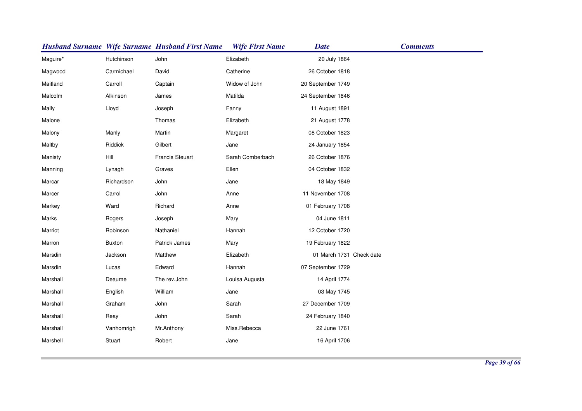|          |               | <b>Husband Surname Wife Surname Husband First Name</b> | <b>Wife First Name</b> | <b>Date</b>              | <b>Comments</b> |
|----------|---------------|--------------------------------------------------------|------------------------|--------------------------|-----------------|
| Maguire* | Hutchinson    | John                                                   | Elizabeth              | 20 July 1864             |                 |
| Magwood  | Carmichael    | David                                                  | Catherine              | 26 October 1818          |                 |
| Maitland | Carroll       | Captain                                                | Widow of John          | 20 September 1749        |                 |
| Malcolm  | Alkinson      | James                                                  | Matilda                | 24 September 1846        |                 |
| Mally    | Lloyd         | Joseph                                                 | Fanny                  | 11 August 1891           |                 |
| Malone   |               | Thomas                                                 | Elizabeth              | 21 August 1778           |                 |
| Malony   | Manly         | Martin                                                 | Margaret               | 08 October 1823          |                 |
| Maltby   | Riddick       | Gilbert                                                | Jane                   | 24 January 1854          |                 |
| Manisty  | Hill          | <b>Francis Steuart</b>                                 | Sarah Comberbach       | 26 October 1876          |                 |
| Manning  | Lynagh        | Graves                                                 | Ellen                  | 04 October 1832          |                 |
| Marcar   | Richardson    | John                                                   | Jane                   | 18 May 1849              |                 |
| Marcer   | Carrol        | John                                                   | Anne                   | 11 November 1708         |                 |
| Markey   | Ward          | Richard                                                | Anne                   | 01 February 1708         |                 |
| Marks    | Rogers        | Joseph                                                 | Mary                   | 04 June 1811             |                 |
| Marriot  | Robinson      | Nathaniel                                              | Hannah                 | 12 October 1720          |                 |
| Marron   | <b>Buxton</b> | Patrick James                                          | Mary                   | 19 February 1822         |                 |
| Marsdin  | Jackson       | Matthew                                                | Elizabeth              | 01 March 1731 Check date |                 |
| Marsdin  | Lucas         | Edward                                                 | Hannah                 | 07 September 1729        |                 |
| Marshall | Deaume        | The rev.John                                           | Louisa Augusta         | 14 April 1774            |                 |
| Marshall | English       | William                                                | Jane                   | 03 May 1745              |                 |
| Marshall | Graham        | John                                                   | Sarah                  | 27 December 1709         |                 |
| Marshall | Reay          | John                                                   | Sarah                  | 24 February 1840         |                 |
| Marshall | Vanhomrigh    | Mr.Anthony                                             | Miss.Rebecca           | 22 June 1761             |                 |
| Marshell | Stuart        | Robert                                                 | Jane                   | 16 April 1706            |                 |
|          |               |                                                        |                        |                          |                 |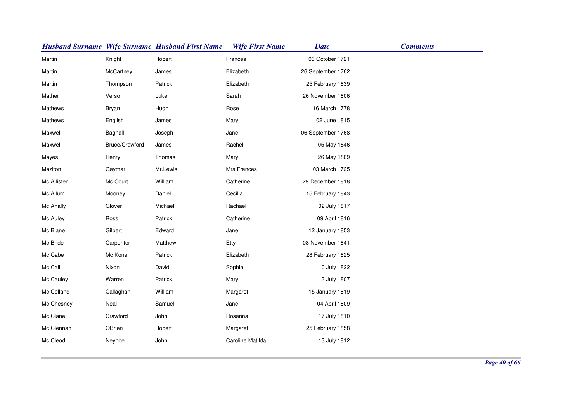|             |                | <b>Husband Surname Wife Surname Husband First Name</b> | <b>Wife First Name</b> | <b>Date</b>       | <b>Comments</b> |
|-------------|----------------|--------------------------------------------------------|------------------------|-------------------|-----------------|
| Martin      | Knight         | Robert                                                 | Frances                | 03 October 1721   |                 |
| Martin      | McCartney      | James                                                  | Elizabeth              | 26 September 1762 |                 |
| Martin      | Thompson       | Patrick                                                | Elizabeth              | 25 February 1839  |                 |
| Mather      | Verso          | Luke                                                   | Sarah                  | 26 November 1806  |                 |
| Mathews     | Bryan          | Hugh                                                   | Rose                   | 16 March 1778     |                 |
| Mathews     | English        | James                                                  | Mary                   | 02 June 1815      |                 |
| Maxwell     | Bagnall        | Joseph                                                 | Jane                   | 06 September 1768 |                 |
| Maxwell     | Bruce/Crawford | James                                                  | Rachel                 | 05 May 1846       |                 |
| Mayes       | Henry          | Thomas                                                 | Mary                   | 26 May 1809       |                 |
| Maziton     | Gaymar         | Mr.Lewis                                               | Mrs.Frances            | 03 March 1725     |                 |
| Mc Allister | Mc Court       | William                                                | Catherine              | 29 December 1818  |                 |
| Mc Allum    | Mooney         | Daniel                                                 | Cecilia                | 15 February 1843  |                 |
| Mc Anally   | Glover         | Michael                                                | Rachael                | 02 July 1817      |                 |
| Mc Auley    | Ross           | Patrick                                                | Catherine              | 09 April 1816     |                 |
| Mc Blane    | Gilbert        | Edward                                                 | Jane                   | 12 January 1853   |                 |
| Mc Bride    | Carpenter      | Matthew                                                | Etty                   | 08 November 1841  |                 |
| Mc Cabe     | Mc Kone        | Patrick                                                | Elizabeth              | 28 February 1825  |                 |
| Mc Call     | Nixon          | David                                                  | Sophia                 | 10 July 1822      |                 |
| Mc Cauley   | Warren         | Patrick                                                | Mary                   | 13 July 1807      |                 |
| Mc Celland  | Callaghan      | William                                                | Margaret               | 15 January 1819   |                 |
| Mc Chesney  | Neal           | Samuel                                                 | Jane                   | 04 April 1809     |                 |
| Mc Clane    | Crawford       | John                                                   | Rosanna                | 17 July 1810      |                 |
| Mc Clennan  | OBrien         | Robert                                                 | Margaret               | 25 February 1858  |                 |
| Mc Cleod    | Neynoe         | John                                                   | Caroline Matilda       | 13 July 1812      |                 |
|             |                |                                                        |                        |                   |                 |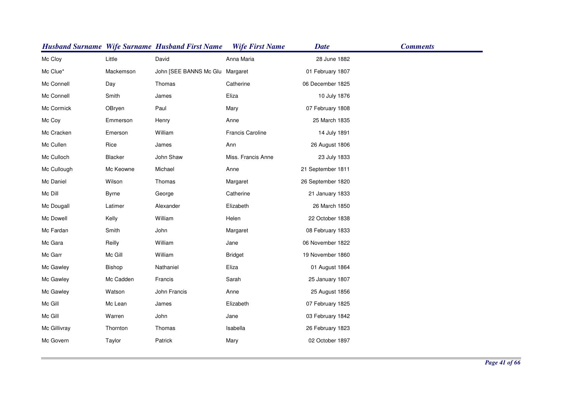|              |              | <b>Husband Surname Wife Surname Husband First Name</b> | <b>Wife First Name</b> | <b>Date</b>       | <b>Comments</b> |
|--------------|--------------|--------------------------------------------------------|------------------------|-------------------|-----------------|
| Mc Cloy      | Little       | David                                                  | Anna Maria             | 28 June 1882      |                 |
| Mc Clue*     | Mackemson    | John [SEE BANNS Mc Glu Margaret                        |                        | 01 February 1807  |                 |
| Mc Connell   | Day          | Thomas                                                 | Catherine              | 06 December 1825  |                 |
| Mc Connell   | Smith        | James                                                  | Eliza                  | 10 July 1876      |                 |
| Mc Cormick   | OBryen       | Paul                                                   | Mary                   | 07 February 1808  |                 |
| Mc Coy       | Emmerson     | Henry                                                  | Anne                   | 25 March 1835     |                 |
| Mc Cracken   | Emerson      | William                                                | Francis Caroline       | 14 July 1891      |                 |
| Mc Cullen    | Rice         | James                                                  | Ann                    | 26 August 1806    |                 |
| Mc Culloch   | Blacker      | John Shaw                                              | Miss. Francis Anne     | 23 July 1833      |                 |
| Mc Cullough  | Mc Keowne    | Michael                                                | Anne                   | 21 September 1811 |                 |
| Mc Daniel    | Wilson       | Thomas                                                 | Margaret               | 26 September 1820 |                 |
| Mc Dill      | <b>Byrne</b> | George                                                 | Catherine              | 21 January 1833   |                 |
| Mc Dougall   | Latimer      | Alexander                                              | Elizabeth              | 26 March 1850     |                 |
| Mc Dowell    | Kelly        | William                                                | Helen                  | 22 October 1838   |                 |
| Mc Fardan    | Smith        | John                                                   | Margaret               | 08 February 1833  |                 |
| Mc Gara      | Reilly       | William                                                | Jane                   | 06 November 1822  |                 |
| Mc Garr      | Mc Gill      | William                                                | <b>Bridget</b>         | 19 November 1860  |                 |
| Mc Gawley    | Bishop       | Nathaniel                                              | Eliza                  | 01 August 1864    |                 |
| Mc Gawley    | Mc Cadden    | Francis                                                | Sarah                  | 25 January 1807   |                 |
| Mc Gawley    | Watson       | John Francis                                           | Anne                   | 25 August 1856    |                 |
| Mc Gill      | Mc Lean      | James                                                  | Elizabeth              | 07 February 1825  |                 |
| Mc Gill      | Warren       | John                                                   | Jane                   | 03 February 1842  |                 |
| Mc Gillivray | Thornton     | Thomas                                                 | Isabella               | 26 February 1823  |                 |
| Mc Govern    | Taylor       | Patrick                                                | Mary                   | 02 October 1897   |                 |
|              |              |                                                        |                        |                   |                 |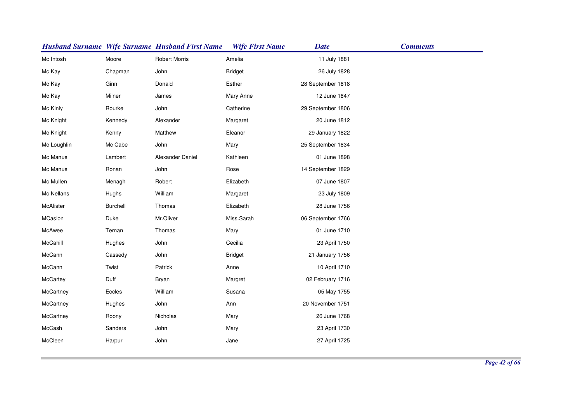|             |                 | <b>Husband Surname Wife Surname Husband First Name</b> | <b>Wife First Name</b> | <b>Date</b>       | <b>Comments</b> |
|-------------|-----------------|--------------------------------------------------------|------------------------|-------------------|-----------------|
| Mc Intosh   | Moore           | <b>Robert Morris</b>                                   | Amelia                 | 11 July 1881      |                 |
| Mc Kay      | Chapman         | John                                                   | <b>Bridget</b>         | 26 July 1828      |                 |
| Mc Kay      | Ginn            | Donald                                                 | Esther                 | 28 September 1818 |                 |
| Mc Kay      | Milner          | James                                                  | Mary Anne              | 12 June 1847      |                 |
| Mc Kinly    | Rourke          | John                                                   | Catherine              | 29 September 1806 |                 |
| Mc Knight   | Kennedy         | Alexander                                              | Margaret               | 20 June 1812      |                 |
| Mc Knight   | Kenny           | Matthew                                                | Eleanor                | 29 January 1822   |                 |
| Mc Loughlin | Mc Cabe         | John                                                   | Mary                   | 25 September 1834 |                 |
| Mc Manus    | Lambert         | Alexander Daniel                                       | Kathleen               | 01 June 1898      |                 |
| Mc Manus    | Ronan           | John                                                   | Rose                   | 14 September 1829 |                 |
| Mc Mullen   | Menagh          | Robert                                                 | Elizabeth              | 07 June 1807      |                 |
| Mc Nellans  | Hughs           | William                                                | Margaret               | 23 July 1809      |                 |
| McAlister   | <b>Burchell</b> | Thomas                                                 | Elizabeth              | 28 June 1756      |                 |
| MCaslon     | Duke            | Mr.Oliver                                              | Miss.Sarah             | 06 September 1766 |                 |
| McAwee      | Ternan          | Thomas                                                 | Mary                   | 01 June 1710      |                 |
| McCahill    | Hughes          | John                                                   | Cecilia                | 23 April 1750     |                 |
| McCann      | Cassedy         | John                                                   | <b>Bridget</b>         | 21 January 1756   |                 |
| McCann      | Twist           | Patrick                                                | Anne                   | 10 April 1710     |                 |
| McCartey    | Duff            | Bryan                                                  | Margret                | 02 February 1716  |                 |
| McCartney   | Eccles          | William                                                | Susana                 | 05 May 1755       |                 |
| McCartney   | Hughes          | John                                                   | Ann                    | 20 November 1751  |                 |
| McCartney   | Roony           | Nicholas                                               | Mary                   | 26 June 1768      |                 |
| McCash      | Sanders         | John                                                   | Mary                   | 23 April 1730     |                 |
| McCleen     | Harpur          | John                                                   | Jane                   | 27 April 1725     |                 |
|             |                 |                                                        |                        |                   |                 |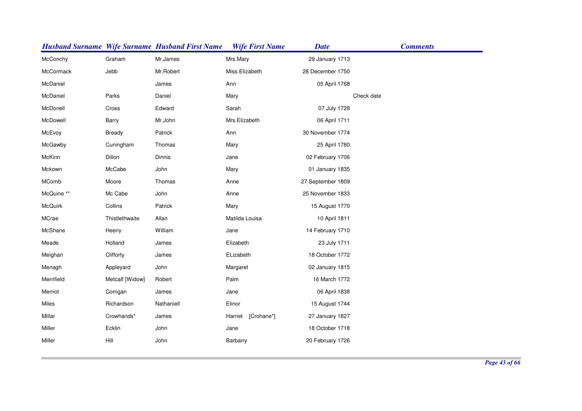|            |                 | <b>Husband Surname Wife Surname Husband First Name</b> | <b>Wife First Name</b> | <b>Date</b>       | <b>Comments</b> |
|------------|-----------------|--------------------------------------------------------|------------------------|-------------------|-----------------|
| McConchy   | Graham          | Mr.James                                               | Mrs.Mary               | 29 January 1713   |                 |
| McCormack  | Jebb            | Mr.Robert                                              | Miss.Elizabeth         | 28 December 1750  |                 |
| McDaniel   |                 | James                                                  | Ann                    | 05 April 1768     |                 |
| McDaniel   | Parks           | Daniel                                                 | Mary                   |                   | Check date      |
| McDonell   | Cross           | Edward                                                 | Sarah                  | 07 July 1728      |                 |
| McDowell   | Barry           | Mr.John                                                | Mrs.Elizabeth          | 06 April 1711     |                 |
| McEvoy     | Bready          | Patrick                                                | Ann                    | 30 November 1774  |                 |
| McGawby    | Cuningham       | Thomas                                                 | Mary                   | 25 April 1780     |                 |
| McKinn     | Dillon          | Dinnis                                                 | Jane                   | 02 February 1706  |                 |
| Mckown     | McCabe          | John                                                   | Mary                   | 01 January 1835   |                 |
| MComb      | Moore           | Thomas                                                 | Anne                   | 27 September 1809 |                 |
| McQuine ** | Mc Cabe         | John                                                   | Anne                   | 25 November 1833  |                 |
| McQuirk    | Collins         | Patrick                                                | Mary                   | 15 August 1770    |                 |
| MCrae      | Thistlethwaite  | Allan                                                  | Matilda Louisa         | 10 April 1811     |                 |
| McShane    | Heeny           | William                                                | Jane                   | 14 February 1710  |                 |
| Meade      | Holland         | James                                                  | Elizabeth              | 23 July 1711      |                 |
| Meighan    | Clifforty       | James                                                  | ELizabeth              | 18 October 1772   |                 |
| Menagh     | Appleyard       | John                                                   | Margaret               | 02 January 1815   |                 |
| Merrifield | Metcalf [Widow] | Robert                                                 | Palm                   | 16 March 1772     |                 |
| Merriot    | Corrigan        | James                                                  | Jane                   | 06 April 1838     |                 |
| Miles      | Richardson      | Nathaniell                                             | Elinor                 | 15 August 1744    |                 |
| Millar     | Crowhands*      | James                                                  | [Crohane*]<br>Harriet  | 27 January 1827   |                 |
| Miller     | Ecklin          | John                                                   | Jane                   | 18 October 1718   |                 |
| Miller     | Hill            | John                                                   | Barbarry               | 20 February 1726  |                 |
|            |                 |                                                        |                        |                   |                 |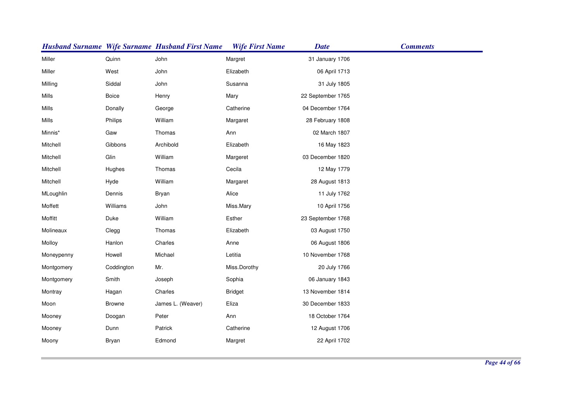|            |               | <b>Husband Surname Wife Surname Husband First Name</b> | <b>Wife First Name</b> | <b>Date</b>       | <b>Comments</b> |
|------------|---------------|--------------------------------------------------------|------------------------|-------------------|-----------------|
| Miller     | Quinn         | John                                                   | Margret                | 31 January 1706   |                 |
| Miller     | West          | John                                                   | Elizabeth              | 06 April 1713     |                 |
| Milling    | Siddal        | John                                                   | Susanna                | 31 July 1805      |                 |
| Mills      | <b>Boice</b>  | Henry                                                  | Mary                   | 22 September 1765 |                 |
| Mills      | Donally       | George                                                 | Catherine              | 04 December 1764  |                 |
| Mills      | Philips       | William                                                | Margaret               | 28 February 1808  |                 |
| Minnis*    | Gaw           | Thomas                                                 | Ann                    | 02 March 1807     |                 |
| Mitchell   | Gibbons       | Archibold                                              | Elizabeth              | 16 May 1823       |                 |
| Mitchell   | Glin          | William                                                | Margeret               | 03 December 1820  |                 |
| Mitchell   | Hughes        | Thomas                                                 | Cecila                 | 12 May 1779       |                 |
| Mitchell   | Hyde          | William                                                | Margaret               | 28 August 1813    |                 |
| MLoughlin  | Dennis        | <b>Bryan</b>                                           | Alice                  | 11 July 1762      |                 |
| Moffett    | Williams      | John                                                   | Miss.Mary              | 10 April 1756     |                 |
| Moffitt    | Duke          | William                                                | Esther                 | 23 September 1768 |                 |
| Molineaux  | Clegg         | Thomas                                                 | Elizabeth              | 03 August 1750    |                 |
| Molloy     | Hanlon        | Charles                                                | Anne                   | 06 August 1806    |                 |
| Moneypenny | Howell        | Michael                                                | Letitia                | 10 November 1768  |                 |
| Montgomery | Coddington    | Mr.                                                    | Miss.Dorothy           | 20 July 1766      |                 |
| Montgomery | Smith         | Joseph                                                 | Sophia                 | 06 January 1843   |                 |
| Montray    | Hagan         | Charles                                                | <b>Bridget</b>         | 13 November 1814  |                 |
| Moon       | <b>Browne</b> | James L. (Weaver)                                      | Eliza                  | 30 December 1833  |                 |
| Mooney     | Doogan        | Peter                                                  | Ann                    | 18 October 1764   |                 |
| Mooney     | Dunn          | Patrick                                                | Catherine              | 12 August 1706    |                 |
| Moony      | Bryan         | Edmond                                                 | Margret                | 22 April 1702     |                 |
|            |               |                                                        |                        |                   |                 |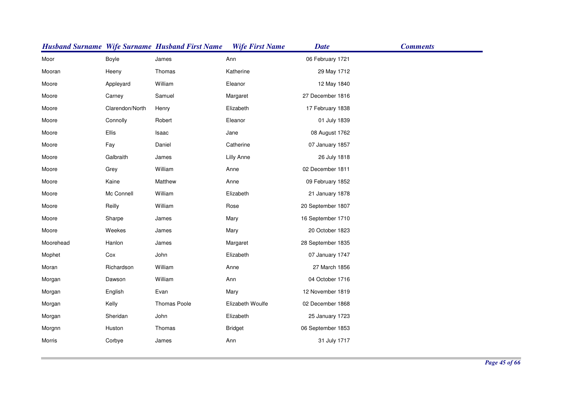|           |                 | <b>Husband Surname Wife Surname Husband First Name</b> | <b>Wife First Name</b> | <b>Date</b>       | <b>Comments</b> |
|-----------|-----------------|--------------------------------------------------------|------------------------|-------------------|-----------------|
| Moor      | Boyle           | James                                                  | Ann                    | 06 February 1721  |                 |
| Mooran    | Heeny           | Thomas                                                 | Katherine              | 29 May 1712       |                 |
| Moore     | Appleyard       | William                                                | Eleanor                | 12 May 1840       |                 |
| Moore     | Carney          | Samuel                                                 | Margaret               | 27 December 1816  |                 |
| Moore     | Clarendon/North | Henry                                                  | Elizabeth              | 17 February 1838  |                 |
| Moore     | Connolly        | Robert                                                 | Eleanor                | 01 July 1839      |                 |
| Moore     | Ellis           | Isaac                                                  | Jane                   | 08 August 1762    |                 |
| Moore     | Fay             | Daniel                                                 | Catherine              | 07 January 1857   |                 |
| Moore     | Galbraith       | James                                                  | <b>Lilly Anne</b>      | 26 July 1818      |                 |
| Moore     | Grey            | William                                                | Anne                   | 02 December 1811  |                 |
| Moore     | Kaine           | Matthew                                                | Anne                   | 09 February 1852  |                 |
| Moore     | Mc Connell      | William                                                | Elizabeth              | 21 January 1878   |                 |
| Moore     | Reilly          | William                                                | Rose                   | 20 September 1807 |                 |
| Moore     | Sharpe          | James                                                  | Mary                   | 16 September 1710 |                 |
| Moore     | Weekes          | James                                                  | Mary                   | 20 October 1823   |                 |
| Moorehead | Hanlon          | James                                                  | Margaret               | 28 September 1835 |                 |
| Mophet    | Cox             | John                                                   | Elizabeth              | 07 January 1747   |                 |
| Moran     | Richardson      | William                                                | Anne                   | 27 March 1856     |                 |
| Morgan    | Dawson          | William                                                | Ann                    | 04 October 1716   |                 |
| Morgan    | English         | Evan                                                   | Mary                   | 12 November 1819  |                 |
| Morgan    | Kelly           | Thomas Poole                                           | Elizabeth Woulfe       | 02 December 1868  |                 |
| Morgan    | Sheridan        | John                                                   | Elizabeth              | 25 January 1723   |                 |
| Morgnn    | Huston          | Thomas                                                 | <b>Bridget</b>         | 06 September 1853 |                 |
| Morris    | Corbye          | James                                                  | Ann                    | 31 July 1717      |                 |
|           |                 |                                                        |                        |                   |                 |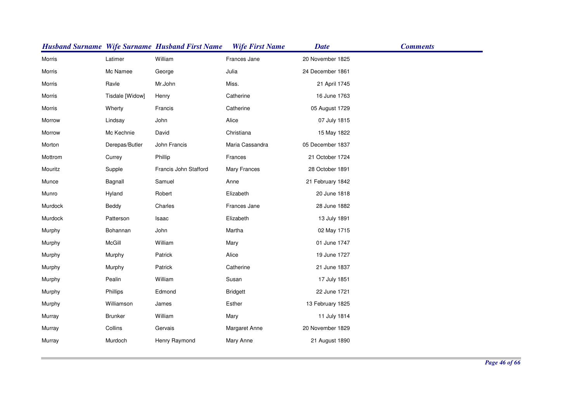|         |                 | <b>Husband Surname Wife Surname Husband First Name</b> | <b>Wife First Name</b> | <b>Date</b>      | <b>Comments</b> |
|---------|-----------------|--------------------------------------------------------|------------------------|------------------|-----------------|
| Morris  | Latimer         | William                                                | Frances Jane           | 20 November 1825 |                 |
| Morris  | Mc Namee        | George                                                 | Julia                  | 24 December 1861 |                 |
| Morris  | Ravle           | Mr.John                                                | Miss.                  | 21 April 1745    |                 |
| Morris  | Tisdale [Widow] | Henry                                                  | Catherine              | 16 June 1763     |                 |
| Morris  | Wherty          | Francis                                                | Catherine              | 05 August 1729   |                 |
| Morrow  | Lindsay         | John                                                   | Alice                  | 07 July 1815     |                 |
| Morrow  | Mc Kechnie      | David                                                  | Christiana             | 15 May 1822      |                 |
| Morton  | Derepas/Butler  | John Francis                                           | Maria Cassandra        | 05 December 1837 |                 |
| Mottrom | Currey          | Phillip                                                | Frances                | 21 October 1724  |                 |
| Mouritz | Supple          | Francis John Stafford                                  | <b>Mary Frances</b>    | 28 October 1891  |                 |
| Munce   | Bagnall         | Samuel                                                 | Anne                   | 21 February 1842 |                 |
| Munro   | Hyland          | Robert                                                 | Elizabeth              | 20 June 1818     |                 |
| Murdock | Beddy           | Charles                                                | Frances Jane           | 28 June 1882     |                 |
| Murdock | Patterson       | Isaac                                                  | Elizabeth              | 13 July 1891     |                 |
| Murphy  | Bohannan        | John                                                   | Martha                 | 02 May 1715      |                 |
| Murphy  | McGill          | William                                                | Mary                   | 01 June 1747     |                 |
| Murphy  | Murphy          | Patrick                                                | Alice                  | 19 June 1727     |                 |
| Murphy  | Murphy          | Patrick                                                | Catherine              | 21 June 1837     |                 |
| Murphy  | Pealin          | William                                                | Susan                  | 17 July 1851     |                 |
| Murphy  | Phillips        | Edmond                                                 | <b>Bridgett</b>        | 22 June 1721     |                 |
| Murphy  | Williamson      | James                                                  | Esther                 | 13 February 1825 |                 |
| Murray  | <b>Brunker</b>  | William                                                | Mary                   | 11 July 1814     |                 |
| Murray  | Collins         | Gervais                                                | Margaret Anne          | 20 November 1829 |                 |
| Murray  | Murdoch         | Henry Raymond                                          | Mary Anne              | 21 August 1890   |                 |
|         |                 |                                                        |                        |                  |                 |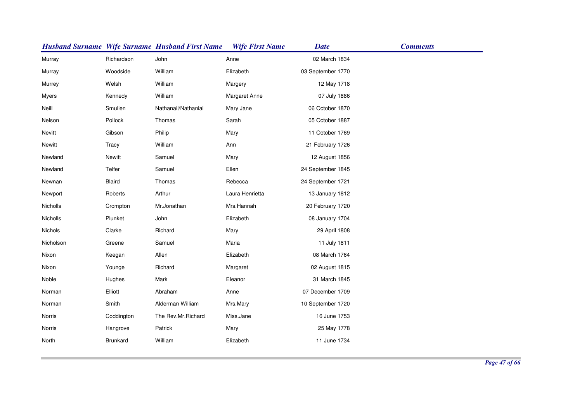|           |               | <b>Husband Surname Wife Surname Husband First Name</b> | <b>Wife First Name</b> | <b>Date</b>       | <b>Comments</b> |
|-----------|---------------|--------------------------------------------------------|------------------------|-------------------|-----------------|
| Murray    | Richardson    | John                                                   | Anne                   | 02 March 1834     |                 |
| Murray    | Woodside      | William                                                | Elizabeth              | 03 September 1770 |                 |
| Murrey    | Welsh         | William                                                | Margery                | 12 May 1718       |                 |
| Myers     | Kennedy       | William                                                | Margaret Anne          | 07 July 1886      |                 |
| Neill     | Smullen       | Nathanail/Nathanial                                    | Mary Jane              | 06 October 1870   |                 |
| Nelson    | Pollock       | Thomas                                                 | Sarah                  | 05 October 1887   |                 |
| Nevitt    | Gibson        | Philip                                                 | Mary                   | 11 October 1769   |                 |
| Newitt    | Tracy         | William                                                | Ann                    | 21 February 1726  |                 |
| Newland   | <b>Newitt</b> | Samuel                                                 | Mary                   | 12 August 1856    |                 |
| Newland   | Telfer        | Samuel                                                 | Ellen                  | 24 September 1845 |                 |
| Newnan    | Blaird        | Thomas                                                 | Rebecca                | 24 September 1721 |                 |
| Newport   | Roberts       | Arthur                                                 | Laura Henrietta        | 13 January 1812   |                 |
| Nicholls  | Crompton      | Mr.Jonathan                                            | Mrs.Hannah             | 20 February 1720  |                 |
| Nicholls  | Plunket       | John                                                   | Elizabeth              | 08 January 1704   |                 |
| Nichols   | Clarke        | Richard                                                | Mary                   | 29 April 1808     |                 |
| Nicholson | Greene        | Samuel                                                 | Maria                  | 11 July 1811      |                 |
| Nixon     | Keegan        | Allen                                                  | Elizabeth              | 08 March 1764     |                 |
| Nixon     | Younge        | Richard                                                | Margaret               | 02 August 1815    |                 |
| Noble     | Hughes        | Mark                                                   | Eleanor                | 31 March 1845     |                 |
| Norman    | Elliott       | Abraham                                                | Anne                   | 07 December 1709  |                 |
| Norman    | Smith         | Alderman William                                       | Mrs.Mary               | 10 September 1720 |                 |
| Norris    | Coddington    | The Rev.Mr.Richard                                     | Miss.Jane              | 16 June 1753      |                 |
| Norris    | Hangrove      | Patrick                                                | Mary                   | 25 May 1778       |                 |
| North     | Brunkard      | William                                                | Elizabeth              | 11 June 1734      |                 |
|           |               |                                                        |                        |                   |                 |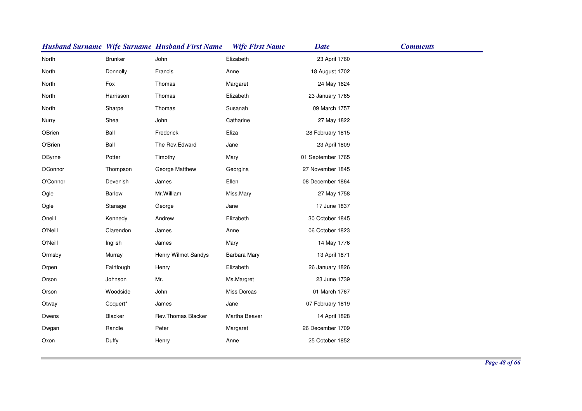|          |                | <b>Husband Surname Wife Surname Husband First Name</b> | <b>Wife First Name</b> | <b>Date</b>       | <b>Comments</b> |
|----------|----------------|--------------------------------------------------------|------------------------|-------------------|-----------------|
| North    | <b>Brunker</b> | John                                                   | Elizabeth              | 23 April 1760     |                 |
| North    | Donnolly       | Francis                                                | Anne                   | 18 August 1702    |                 |
| North    | Fox            | Thomas                                                 | Margaret               | 24 May 1824       |                 |
| North    | Harrisson      | Thomas                                                 | Elizabeth              | 23 January 1765   |                 |
| North    | Sharpe         | Thomas                                                 | Susanah                | 09 March 1757     |                 |
| Nurry    | Shea           | John                                                   | Catharine              | 27 May 1822       |                 |
| OBrien   | Ball           | Frederick                                              | Eliza                  | 28 February 1815  |                 |
| O'Brien  | Ball           | The Rev.Edward                                         | Jane                   | 23 April 1809     |                 |
| OByrne   | Potter         | Timothy                                                | Mary                   | 01 September 1765 |                 |
| OConnor  | Thompson       | George Matthew                                         | Georgina               | 27 November 1845  |                 |
| O'Connor | Devenish       | James                                                  | Ellen                  | 08 December 1864  |                 |
| Ogle     | Barlow         | Mr. William                                            | Miss.Mary              | 27 May 1758       |                 |
| Ogle     | Stanage        | George                                                 | Jane                   | 17 June 1837      |                 |
| Oneill   | Kennedy        | Andrew                                                 | Elizabeth              | 30 October 1845   |                 |
| O'Neill  | Clarendon      | James                                                  | Anne                   | 06 October 1823   |                 |
| O'Neill  | Inglish        | James                                                  | Mary                   | 14 May 1776       |                 |
| Ormsby   | Murray         | Henry Wilmot Sandys                                    | Barbara Mary           | 13 April 1871     |                 |
| Orpen    | Fairtlough     | Henry                                                  | Elizabeth              | 26 January 1826   |                 |
| Orson    | Johnson        | Mr.                                                    | Ms.Margret             | 23 June 1739      |                 |
| Orson    | Woodside       | John                                                   | Miss Dorcas            | 01 March 1767     |                 |
| Otway    | Coquert*       | James                                                  | Jane                   | 07 February 1819  |                 |
| Owens    | Blacker        | Rev.Thomas Blacker                                     | Martha Beaver          | 14 April 1828     |                 |
| Owgan    | Randle         | Peter                                                  | Margaret               | 26 December 1709  |                 |
| Oxon     | Duffy          | Henry                                                  | Anne                   | 25 October 1852   |                 |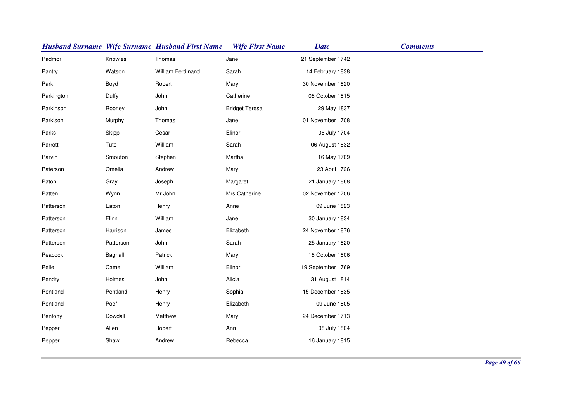|            |           | <b>Husband Surname Wife Surname Husband First Name</b> | <b>Wife First Name</b><br><b>Date</b> |                   | <b>Comments</b> |
|------------|-----------|--------------------------------------------------------|---------------------------------------|-------------------|-----------------|
| Padmor     | Knowles   | Thomas                                                 | Jane                                  | 21 September 1742 |                 |
| Pantry     | Watson    | William Ferdinand                                      | Sarah                                 | 14 February 1838  |                 |
| Park       | Boyd      | Robert                                                 | Mary                                  | 30 November 1820  |                 |
| Parkington | Duffy     | John                                                   | Catherine                             | 08 October 1815   |                 |
| Parkinson  | Rooney    | John                                                   | <b>Bridget Teresa</b>                 | 29 May 1837       |                 |
| Parkison   | Murphy    | Thomas                                                 | Jane                                  | 01 November 1708  |                 |
| Parks      | Skipp     | Cesar                                                  | Elinor                                | 06 July 1704      |                 |
| Parrott    | Tute      | William                                                | Sarah                                 | 06 August 1832    |                 |
| Parvin     | Smouton   | Stephen                                                | Martha                                | 16 May 1709       |                 |
| Paterson   | Omelia    | Andrew                                                 | Mary                                  | 23 April 1726     |                 |
| Paton      | Gray      | Joseph                                                 | Margaret                              | 21 January 1868   |                 |
| Patten     | Wynn      | Mr.John                                                | Mrs.Catherine                         | 02 November 1706  |                 |
| Patterson  | Eaton     | Henry                                                  | Anne                                  | 09 June 1823      |                 |
| Patterson  | Flinn     | William                                                | Jane                                  | 30 January 1834   |                 |
| Patterson  | Harrison  | James                                                  | Elizabeth                             | 24 November 1876  |                 |
| Patterson  | Patterson | John                                                   | Sarah                                 | 25 January 1820   |                 |
| Peacock    | Bagnall   | Patrick                                                | Mary                                  | 18 October 1806   |                 |
| Peile      | Came      | William                                                | Elinor                                | 19 September 1769 |                 |
| Pendry     | Holmes    | John                                                   | Alicia                                | 31 August 1814    |                 |
| Pentland   | Pentland  | Henry                                                  | Sophia                                | 15 December 1835  |                 |
| Pentland   | Poe*      | Henry                                                  | Elizabeth                             | 09 June 1805      |                 |
| Pentony    | Dowdall   | Matthew                                                | Mary                                  | 24 December 1713  |                 |
| Pepper     | Allen     | Robert                                                 | Ann                                   | 08 July 1804      |                 |
| Pepper     | Shaw      | Andrew                                                 | Rebecca                               | 16 January 1815   |                 |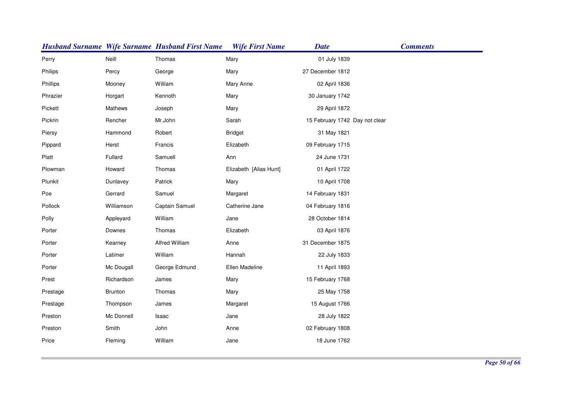|          |                | <b>Husband Surname Wife Surname Husband First Name</b> | <b>Wife First Name</b> | <b>Date</b>                    | <b>Comments</b> |
|----------|----------------|--------------------------------------------------------|------------------------|--------------------------------|-----------------|
| Perry    | Neill          | Thomas                                                 | Mary                   | 01 July 1839                   |                 |
| Philips  | Percy          | George                                                 | Mary                   | 27 December 1812               |                 |
| Phillips | Mooney         | William                                                | Mary Anne              | 02 April 1836                  |                 |
| Phrazier | Horgart        | Kennoth                                                | Mary                   | 30 January 1742                |                 |
| Pickett  | <b>Mathews</b> | Joseph                                                 | Mary                   | 29 April 1872                  |                 |
| Pickrin  | Rencher        | Mr.John                                                | Sarah                  | 15 February 1742 Day not clear |                 |
| Piersy   | Hammond        | Robert                                                 | <b>Bridget</b>         | 31 May 1821                    |                 |
| Pippard  | Herst          | Francis                                                | Elizabeth              | 09 February 1715               |                 |
| Platt    | Fullard        | Samuell                                                | Ann                    | 24 June 1731                   |                 |
| Plowman  | Howard         | Thomas                                                 | Elizabeth [Alias Hunt] | 01 April 1722                  |                 |
| Plunkit  | Dunlavey       | Patrick                                                | Mary                   | 10 April 1708                  |                 |
| Poe      | Gerrard        | Samuel                                                 | Margaret               | 14 February 1831               |                 |
| Pollock  | Williamson     | Captain Samuel                                         | Catherine Jane         | 04 February 1816               |                 |
| Polly    | Appleyard      | William                                                | Jane                   | 28 October 1814                |                 |
| Porter   | Downes         | Thomas                                                 | Elizabeth              | 03 April 1876                  |                 |
| Porter   | Kearney        | Alfred William                                         | Anne                   | 31 December 1875               |                 |
| Porter   | Latimer        | William                                                | Hannah                 | 22 July 1833                   |                 |
| Porter   | Mc Dougall     | George Edmund                                          | Ellen Madeline         | 11 April 1893                  |                 |
| Prest    | Richardson     | James                                                  | Mary                   | 15 February 1768               |                 |
| Prestage | Brunton        | Thomas                                                 | Mary                   | 25 May 1758                    |                 |
| Prestage | Thompson       | James                                                  | Margaret               | 15 August 1766                 |                 |
| Preston  | Mc Donnell     | Isaac                                                  | Jane                   | 28 July 1822                   |                 |
| Preston  | Smith          | John                                                   | Anne                   | 02 February 1808               |                 |
| Price    | Fleming        | William                                                | Jane                   | 18 June 1762                   |                 |
|          |                |                                                        |                        |                                |                 |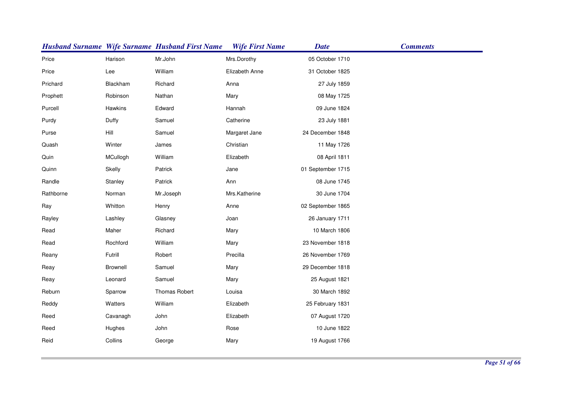|           |                 | <b>Husband Surname Wife Surname Husband First Name</b> | <b>Wife First Name</b> | <b>Date</b>       | <b>Comments</b> |
|-----------|-----------------|--------------------------------------------------------|------------------------|-------------------|-----------------|
| Price     | Harison         | Mr.John                                                | Mrs.Dorothy            | 05 October 1710   |                 |
| Price     | Lee             | William                                                | Elizabeth Anne         | 31 October 1825   |                 |
| Prichard  | Blackham        | Richard                                                | Anna                   | 27 July 1859      |                 |
| Prophett  | Robinson        | Nathan                                                 | Mary                   | 08 May 1725       |                 |
| Purcell   | Hawkins         | Edward                                                 | Hannah                 | 09 June 1824      |                 |
| Purdy     | Duffy           | Samuel                                                 | Catherine              | 23 July 1881      |                 |
| Purse     | Hill            | Samuel                                                 | Margaret Jane          | 24 December 1848  |                 |
| Quash     | Winter          | James                                                  | Christian              | 11 May 1726       |                 |
| Quin      | MCullogh        | William                                                | Elizabeth              | 08 April 1811     |                 |
| Quinn     | Skelly          | Patrick                                                | Jane                   | 01 September 1715 |                 |
| Randle    | Stanley         | Patrick                                                | Ann                    | 08 June 1745      |                 |
| Rathborne | Norman          | Mr.Joseph                                              | Mrs.Katherine          | 30 June 1704      |                 |
| Ray       | Whitton         | Henry                                                  | Anne                   | 02 September 1865 |                 |
| Rayley    | Lashley         | Glasney                                                | Joan                   | 26 January 1711   |                 |
| Read      | Maher           | Richard                                                | Mary                   | 10 March 1806     |                 |
| Read      | Rochford        | William                                                | Mary                   | 23 November 1818  |                 |
| Reany     | Futrill         | Robert                                                 | Precilla               | 26 November 1769  |                 |
| Reay      | <b>Brownell</b> | Samuel                                                 | Mary                   | 29 December 1818  |                 |
| Reay      | Leonard         | Samuel                                                 | Mary                   | 25 August 1821    |                 |
| Reburn    | Sparrow         | <b>Thomas Robert</b>                                   | Louisa                 | 30 March 1892     |                 |
| Reddy     | Watters         | William                                                | Elizabeth              | 25 February 1831  |                 |
| Reed      | Cavanagh        | John                                                   | Elizabeth              | 07 August 1720    |                 |
| Reed      | Hughes          | John                                                   | Rose                   | 10 June 1822      |                 |
| Reid      | Collins         | George                                                 | Mary                   | 19 August 1766    |                 |
|           |                 |                                                        |                        |                   |                 |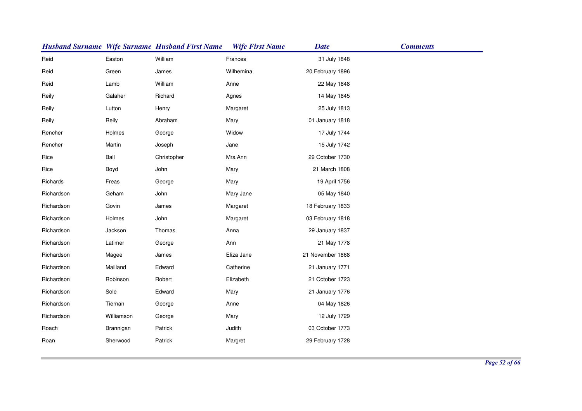|            |            | <b>Husband Surname Wife Surname Husband First Name</b> | <b>Wife First Name</b> | <b>Date</b>      | <b>Comments</b> |
|------------|------------|--------------------------------------------------------|------------------------|------------------|-----------------|
| Reid       | Easton     | William                                                | Frances                | 31 July 1848     |                 |
| Reid       | Green      | James                                                  | Wilhemina              | 20 February 1896 |                 |
| Reid       | Lamb       | William                                                | Anne                   | 22 May 1848      |                 |
| Reily      | Galaher    | Richard                                                | Agnes                  | 14 May 1845      |                 |
| Reily      | Lutton     | Henry                                                  | Margaret               | 25 July 1813     |                 |
| Reily      | Reily      | Abraham                                                | Mary                   | 01 January 1818  |                 |
| Rencher    | Holmes     | George                                                 | Widow                  | 17 July 1744     |                 |
| Rencher    | Martin     | Joseph                                                 | Jane                   | 15 July 1742     |                 |
| Rice       | Ball       | Christopher                                            | Mrs.Ann                | 29 October 1730  |                 |
| Rice       | Boyd       | John                                                   | Mary                   | 21 March 1808    |                 |
| Richards   | Freas      | George                                                 | Mary                   | 19 April 1756    |                 |
| Richardson | Geham      | John                                                   | Mary Jane              | 05 May 1840      |                 |
| Richardson | Govin      | James                                                  | Margaret               | 18 February 1833 |                 |
| Richardson | Holmes     | John                                                   | Margaret               | 03 February 1818 |                 |
| Richardson | Jackson    | Thomas                                                 | Anna                   | 29 January 1837  |                 |
| Richardson | Latimer    | George                                                 | Ann                    | 21 May 1778      |                 |
| Richardson | Magee      | James                                                  | Eliza Jane             | 21 November 1868 |                 |
| Richardson | Mailland   | Edward                                                 | Catherine              | 21 January 1771  |                 |
| Richardson | Robinson   | Robert                                                 | Elizabeth              | 21 October 1723  |                 |
| Richardson | Sole       | Edward                                                 | Mary                   | 21 January 1776  |                 |
| Richardson | Tiernan    | George                                                 | Anne                   | 04 May 1826      |                 |
| Richardson | Williamson | George                                                 | Mary                   | 12 July 1729     |                 |
| Roach      | Brannigan  | Patrick                                                | Judith                 | 03 October 1773  |                 |
| Roan       | Sherwood   | Patrick                                                | Margret                | 29 February 1728 |                 |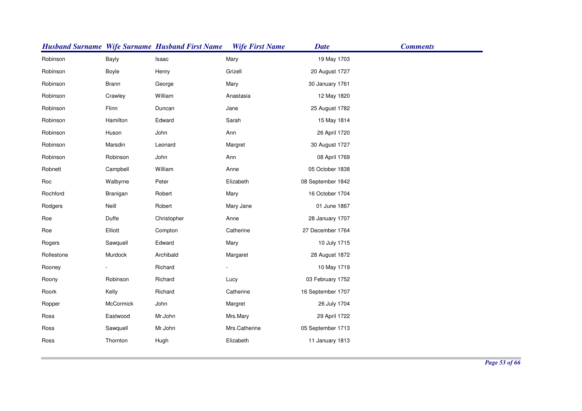|            |                  | <b>Husband Surname Wife Surname Husband First Name</b> | <b>Wife First Name</b> | <b>Date</b>       | <b>Comments</b> |
|------------|------------------|--------------------------------------------------------|------------------------|-------------------|-----------------|
| Robinson   | Bayly            | Isaac                                                  | Mary                   | 19 May 1703       |                 |
| Robinson   | Boyle            | Henry                                                  | Grizell                | 20 August 1727    |                 |
| Robinson   | Brann            | George                                                 | Mary                   | 30 January 1761   |                 |
| Robinson   | Crawley          | William                                                | Anastasia              | 12 May 1820       |                 |
| Robinson   | Flinn            | Duncan                                                 | Jane                   | 25 August 1782    |                 |
| Robinson   | Hamilton         | Edward                                                 | Sarah                  | 15 May 1814       |                 |
| Robinson   | Huson            | John                                                   | Ann                    | 26 April 1720     |                 |
| Robinson   | Marsdin          | Leonard                                                | Margret                | 30 August 1727    |                 |
| Robinson   | Robinson         | John                                                   | Ann                    | 08 April 1769     |                 |
| Robnett    | Campbell         | William                                                | Anne                   | 05 October 1838   |                 |
| Roc        | Walbyrne         | Peter                                                  | Elizabeth              | 08 September 1842 |                 |
| Rochford   | Branigan         | Robert                                                 | Mary                   | 16 October 1704   |                 |
| Rodgers    | Neill            | Robert                                                 | Mary Jane              | 01 June 1867      |                 |
| Roe        | Duffe            | Christopher                                            | Anne                   | 28 January 1707   |                 |
| Roe        | Elliott          | Compton                                                | Catherine              | 27 December 1764  |                 |
| Rogers     | Sawquell         | Edward                                                 | Mary                   | 10 July 1715      |                 |
| Rollestone | Murdock          | Archibald                                              | Margaret               | 28 August 1872    |                 |
| Rooney     |                  | Richard                                                |                        | 10 May 1719       |                 |
| Roony      | Robinson         | Richard                                                | Lucy                   | 03 February 1752  |                 |
| Roork      | Kelly            | Richard                                                | Catherine              | 16 September 1707 |                 |
| Ropper     | <b>McCormick</b> | John                                                   | Margret                | 26 July 1704      |                 |
| Ross       | Eastwood         | Mr.John                                                | Mrs.Mary               | 29 April 1722     |                 |
| Ross       | Sawquell         | Mr.John                                                | Mrs.Catherine          | 05 September 1713 |                 |
| Ross       | Thornton         | Hugh                                                   | Elizabeth              | 11 January 1813   |                 |
|            |                  |                                                        |                        |                   |                 |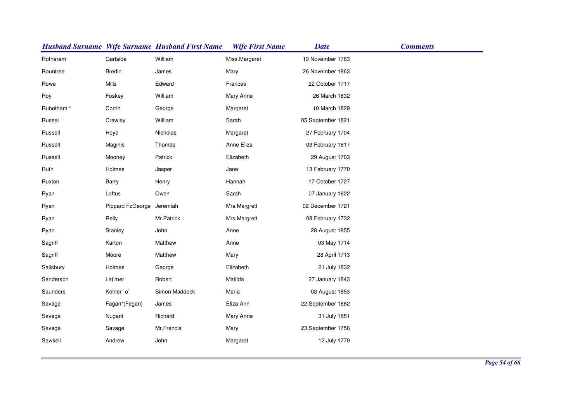|                       |                           | <b>Husband Surname Wife Surname Husband First Name</b> | <b>Wife First Name</b> | <b>Date</b>       | <b>Comments</b> |
|-----------------------|---------------------------|--------------------------------------------------------|------------------------|-------------------|-----------------|
| Rotheram              | Gartside                  | William                                                | Miss.Margaret          | 19 November 1763  |                 |
| Rountree              | <b>Bredin</b>             | James                                                  | Mary                   | 26 November 1863  |                 |
| Rowe                  | Mills                     | Edward                                                 | Frances                | 22 October 1717   |                 |
| Roy                   | Foskey                    | William                                                | Mary Anne              | 26 March 1832     |                 |
| Rubotham <sup>*</sup> | Corrin                    | George                                                 | Margaret               | 10 March 1829     |                 |
| Russel                | Crawley                   | William                                                | Sarah                  | 05 September 1821 |                 |
| Russell               | Hoye                      | Nicholas                                               | Margaret               | 27 February 1704  |                 |
| Russell               | Maginis                   | Thomas                                                 | Anne Eliza             | 03 February 1817  |                 |
| Russell               | Mooney                    | Patrick                                                | Elizabeth              | 29 August 1703    |                 |
| Ruth                  | Holmes                    | Jasper                                                 | Jane                   | 13 February 1770  |                 |
| Ruxton                | Barry                     | Henry                                                  | Hannah                 | 17 October 1727   |                 |
| Ryan                  | Loftus                    | Owen                                                   | Sarah                  | 07 January 1822   |                 |
| Ryan                  | Pippard FzGeorge Jeremiah |                                                        | Mrs.Margrett           | 02 December 1721  |                 |
| Ryan                  | Reily                     | Mr.Patrick                                             | Mrs.Margrett           | 08 February 1732  |                 |
| Ryan                  | Stanley                   | John                                                   | Anne                   | 28 August 1855    |                 |
| Sagriff               | Karton                    | Matthew                                                | Anne                   | 03 May 1714       |                 |
| Sagriff               | Moore                     | Matthew                                                | Mary                   | 28 April 1713     |                 |
| Salisbury             | Holmes                    | George                                                 | Elizabeth              | 21 July 1832      |                 |
| Sanderson             | Latimer                   | Robert                                                 | Matilda                | 27 January 1843   |                 |
| Saunders              | Kohler `o`                | Simon Maddock                                          | Maria                  | 03 August 1853    |                 |
| Savage                | Fagan*(Fegan)             | James                                                  | Eliza Ann              | 22 September 1862 |                 |
| Savage                | Nugent                    | Richard                                                | Mary Anne              | 31 July 1851      |                 |
| Savage                | Savage                    | Mr.Francis                                             | Mary                   | 23 September 1756 |                 |
| Sawkell               | Andrew                    | John                                                   | Margaret               | 12 July 1770      |                 |
|                       |                           |                                                        |                        |                   |                 |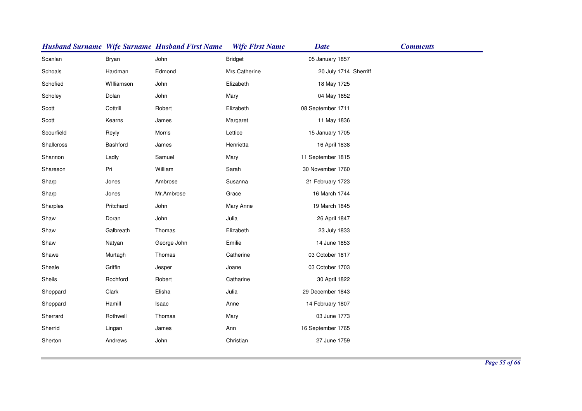|            |            | <b>Husband Surname Wife Surname Husband First Name</b> | <b>Wife First Name</b> | <b>Date</b>           | <b>Comments</b> |
|------------|------------|--------------------------------------------------------|------------------------|-----------------------|-----------------|
| Scanlan    | Bryan      | John                                                   | <b>Bridget</b>         | 05 January 1857       |                 |
| Schoals    | Hardman    | Edmond                                                 | Mrs.Catherine          | 20 July 1714 Sherriff |                 |
| Schofied   | Williamson | John                                                   | Elizabeth              | 18 May 1725           |                 |
| Scholey    | Dolan      | John                                                   | Mary                   | 04 May 1852           |                 |
| Scott      | Cottrill   | Robert                                                 | Elizabeth              | 08 September 1711     |                 |
| Scott      | Kearns     | James                                                  | Margaret               | 11 May 1836           |                 |
| Scourfield | Reyly      | Morris                                                 | Lettice                | 15 January 1705       |                 |
| Shallcross | Bashford   | James                                                  | Henrietta              | 16 April 1838         |                 |
| Shannon    | Ladly      | Samuel                                                 | Mary                   | 11 September 1815     |                 |
| Shareson   | Pri        | William                                                | Sarah                  | 30 November 1760      |                 |
| Sharp      | Jones      | Ambrose                                                | Susanna                | 21 February 1723      |                 |
| Sharp      | Jones      | Mr.Ambrose                                             | Grace                  | 16 March 1744         |                 |
| Sharples   | Pritchard  | John                                                   | Mary Anne              | 19 March 1845         |                 |
| Shaw       | Doran      | John                                                   | Julia                  | 26 April 1847         |                 |
| Shaw       | Galbreath  | Thomas                                                 | Elizabeth              | 23 July 1833          |                 |
| Shaw       | Natyan     | George John                                            | Emilie                 | 14 June 1853          |                 |
| Shawe      | Murtagh    | Thomas                                                 | Catherine              | 03 October 1817       |                 |
| Sheale     | Griffin    | Jesper                                                 | Joane                  | 03 October 1703       |                 |
| Sheils     | Rochford   | Robert                                                 | Catharine              | 30 April 1822         |                 |
| Sheppard   | Clark      | Elisha                                                 | Julia                  | 29 December 1843      |                 |
| Sheppard   | Hamill     | Isaac                                                  | Anne                   | 14 February 1807      |                 |
| Sherrard   | Rothwell   | Thomas                                                 | Mary                   | 03 June 1773          |                 |
| Sherrid    | Lingan     | James                                                  | Ann                    | 16 September 1765     |                 |
| Sherton    | Andrews    | John                                                   | Christian              | 27 June 1759          |                 |
|            |            |                                                        |                        |                       |                 |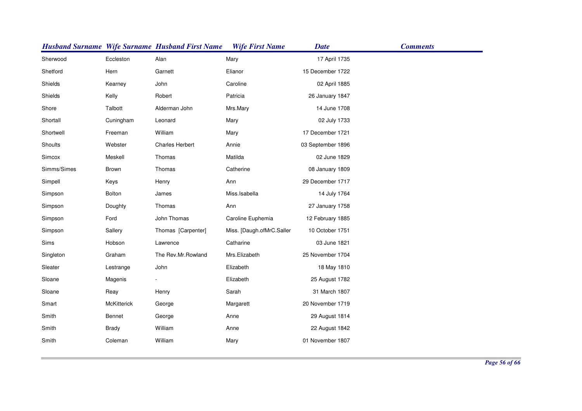|             |                    | <b>Husband Surname Wife Surname Husband First Name</b> | <b>Wife First Name</b>    | <b>Date</b>       | <b>Comments</b> |
|-------------|--------------------|--------------------------------------------------------|---------------------------|-------------------|-----------------|
| Sherwood    | Eccleston          | Alan                                                   | Mary                      | 17 April 1735     |                 |
| Shetford    | Hern               | Garnett                                                | Elianor                   | 15 December 1722  |                 |
| Shields     | Kearney            | John                                                   | Caroline                  | 02 April 1885     |                 |
| Shields     | Kelly              | Robert                                                 | Patricia                  | 26 January 1847   |                 |
| Shore       | Talbott            | Alderman John                                          | Mrs.Mary                  | 14 June 1708      |                 |
| Shortall    | Cuningham          | Leonard                                                | Mary                      | 02 July 1733      |                 |
| Shortwell   | Freeman            | William                                                | Mary                      | 17 December 1721  |                 |
| Shoults     | Webster            | Charles Herbert                                        | Annie                     | 03 September 1896 |                 |
| Simcox      | Meskell            | Thomas                                                 | Matilda                   | 02 June 1829      |                 |
| Simms/Simes | Brown              | Thomas                                                 | Catherine                 | 08 January 1809   |                 |
| Simpell     | Keys               | Henry                                                  | Ann                       | 29 December 1717  |                 |
| Simpson     | Bolton             | James                                                  | Miss.Isabella             | 14 July 1764      |                 |
| Simpson     | Doughty            | Thomas                                                 | Ann                       | 27 January 1758   |                 |
| Simpson     | Ford               | John Thomas                                            | Caroline Euphemia         | 12 February 1885  |                 |
| Simpson     | Sallery            | Thomas [Carpenter]                                     | Miss. [Daugh.ofMrC.Saller | 10 October 1751   |                 |
| Sims        | Hobson             | Lawrence                                               | Catharine                 | 03 June 1821      |                 |
| Singleton   | Graham             | The Rev.Mr.Rowland                                     | Mrs.Elizabeth             | 25 November 1704  |                 |
| Sleater     | Lestrange          | John                                                   | Elizabeth                 | 18 May 1810       |                 |
| Sloane      | Magenis            |                                                        | Elizabeth                 | 25 August 1782    |                 |
| Sloane      | Reay               | Henry                                                  | Sarah                     | 31 March 1807     |                 |
| Smart       | <b>McKitterick</b> | George                                                 | Margarett                 | 20 November 1719  |                 |
| Smith       | Bennet             | George                                                 | Anne                      | 29 August 1814    |                 |
| Smith       | <b>Brady</b>       | William                                                | Anne                      | 22 August 1842    |                 |
| Smith       | Coleman            | William                                                | Mary                      | 01 November 1807  |                 |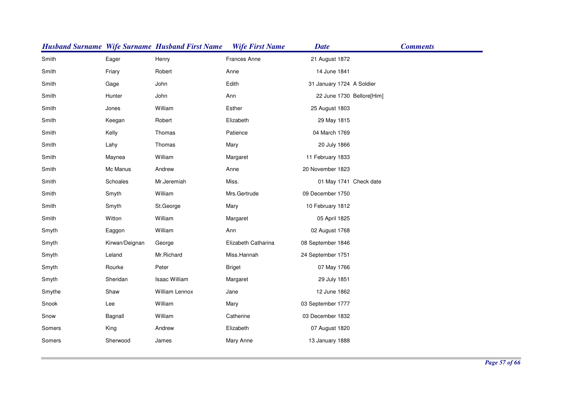|        |                | <b>Husband Surname Wife Surname Husband First Name</b> | <b>Wife First Name</b> | <b>Date</b>               | <b>Comments</b> |
|--------|----------------|--------------------------------------------------------|------------------------|---------------------------|-----------------|
| Smith  | Eager          | Henry                                                  | <b>Frances Anne</b>    | 21 August 1872            |                 |
| Smith  | Friary         | Robert                                                 | Anne                   | 14 June 1841              |                 |
| Smith  | Gage           | John                                                   | Edith                  | 31 January 1724 A Soldier |                 |
| Smith  | Hunter         | John                                                   | Ann                    | 22 June 1730 Bellore[Him] |                 |
| Smith  | Jones          | William                                                | Esther                 | 25 August 1803            |                 |
| Smith  | Keegan         | Robert                                                 | Elizabeth              | 29 May 1815               |                 |
| Smith  | Kelly          | Thomas                                                 | Patience               | 04 March 1769             |                 |
| Smith  | Lahy           | Thomas                                                 | Mary                   | 20 July 1866              |                 |
| Smith  | Maynea         | William                                                | Margaret               | 11 February 1833          |                 |
| Smith  | Mc Manus       | Andrew                                                 | Anne                   | 20 November 1823          |                 |
| Smith  | Schoales       | Mr.Jeremiah                                            | Miss.                  | 01 May 1741 Check date    |                 |
| Smith  | Smyth          | William                                                | Mrs.Gertrude           | 09 December 1750          |                 |
| Smith  | Smyth          | St.George                                              | Mary                   | 10 February 1812          |                 |
| Smith  | Witton         | William                                                | Margaret               | 05 April 1825             |                 |
| Smyth  | Eaggon         | William                                                | Ann                    | 02 August 1768            |                 |
| Smyth  | Kirwan/Deignan | George                                                 | Elizabeth Catharina    | 08 September 1846         |                 |
| Smyth  | Leland         | Mr.Richard                                             | Miss.Hannah            | 24 September 1751         |                 |
| Smyth  | Rourke         | Peter                                                  | <b>Briget</b>          | 07 May 1766               |                 |
| Smyth  | Sheridan       | Isaac William                                          | Margaret               | 29 July 1851              |                 |
| Smythe | Shaw           | William Lennox                                         | Jane                   | 12 June 1862              |                 |
| Snook  | Lee            | William                                                | Mary                   | 03 September 1777         |                 |
| Snow   | Bagnall        | William                                                | Catherine              | 03 December 1832          |                 |
| Somers | King           | Andrew                                                 | Elizabeth              | 07 August 1820            |                 |
| Somers | Sherwood       | James                                                  | Mary Anne              | 13 January 1888           |                 |
|        |                |                                                        |                        |                           |                 |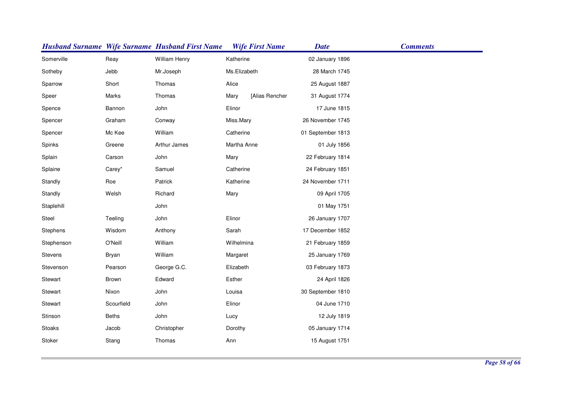|            |              | <b>Husband Surname Wife Surname Husband First Name</b> |              | <b>Wife First Name</b> | <b>Date</b>       | <b>Comments</b> |
|------------|--------------|--------------------------------------------------------|--------------|------------------------|-------------------|-----------------|
| Somerville | Reay         | William Henry                                          | Katherine    |                        | 02 January 1896   |                 |
| Sotheby    | Jebb         | Mr.Joseph                                              | Ms.Elizabeth |                        | 28 March 1745     |                 |
| Sparrow    | Short        | Thomas                                                 | Alice        |                        | 25 August 1887    |                 |
| Speer      | Marks        | Thomas                                                 | Mary         | [Alias Rencher         | 31 August 1774    |                 |
| Spence     | Bannon       | John                                                   | Elinor       |                        | 17 June 1815      |                 |
| Spencer    | Graham       | Conway                                                 | Miss.Mary    |                        | 26 November 1745  |                 |
| Spencer    | Mc Kee       | William                                                | Catherine    |                        | 01 September 1813 |                 |
| Spinks     | Greene       | Arthur James                                           | Martha Anne  |                        | 01 July 1856      |                 |
| Splain     | Carson       | John                                                   | Mary         |                        | 22 February 1814  |                 |
| Splaine    | Carey*       | Samuel                                                 | Catherine    |                        | 24 February 1851  |                 |
| Standly    | Roe          | Patrick                                                | Katherine    |                        | 24 November 1711  |                 |
| Standly    | Welsh        | Richard                                                | Mary         |                        | 09 April 1705     |                 |
| Staplehill |              | John                                                   |              |                        | 01 May 1751       |                 |
| Steel      | Teeling      | John                                                   | Elinor       |                        | 26 January 1707   |                 |
| Stephens   | Wisdom       | Anthony                                                | Sarah        |                        | 17 December 1852  |                 |
| Stephenson | O'Neill      | William                                                | Wilhelmina   |                        | 21 February 1859  |                 |
| Stevens    | Bryan        | William                                                | Margaret     |                        | 25 January 1769   |                 |
| Stevenson  | Pearson      | George G.C.                                            | Elizabeth    |                        | 03 February 1873  |                 |
| Stewart    | Brown        | Edward                                                 | Esther       |                        | 24 April 1826     |                 |
| Stewart    | Nixon        | John                                                   | Louisa       |                        | 30 September 1810 |                 |
| Stewart    | Scourfield   | John                                                   | Elinor       |                        | 04 June 1710      |                 |
| Stinson    | <b>Beths</b> | John                                                   | Lucy         |                        | 12 July 1819      |                 |
| Stoaks     | Jacob        | Christopher                                            | Dorothy      |                        | 05 January 1714   |                 |
| Stoker     | Stang        | Thomas                                                 | Ann          |                        | 15 August 1751    |                 |
|            |              |                                                        |              |                        |                   |                 |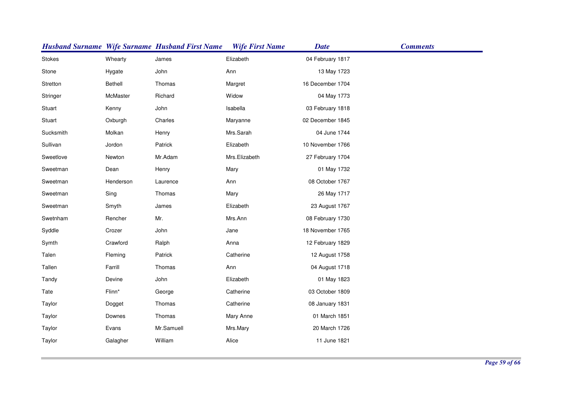|           |           | <b>Husband Surname Wife Surname Husband First Name</b> | <b>Wife First Name</b> | <b>Date</b>      | <b>Comments</b> |
|-----------|-----------|--------------------------------------------------------|------------------------|------------------|-----------------|
| Stokes    | Whearty   | James                                                  | Elizabeth              | 04 February 1817 |                 |
| Stone     | Hygate    | John                                                   | Ann                    | 13 May 1723      |                 |
| Stretton  | Bethell   | Thomas                                                 | Margret                | 16 December 1704 |                 |
| Stringer  | McMaster  | Richard                                                | Widow                  | 04 May 1773      |                 |
| Stuart    | Kenny     | John                                                   | Isabella               | 03 February 1818 |                 |
| Stuart    | Oxburgh   | Charles                                                | Maryanne               | 02 December 1845 |                 |
| Sucksmith | Molkan    | Henry                                                  | Mrs.Sarah              | 04 June 1744     |                 |
| Sullivan  | Jordon    | Patrick                                                | Elizabeth              | 10 November 1766 |                 |
| Sweetlove | Newton    | Mr.Adam                                                | Mrs.Elizabeth          | 27 February 1704 |                 |
| Sweetman  | Dean      | Henry                                                  | Mary                   | 01 May 1732      |                 |
| Sweetman  | Henderson | Laurence                                               | Ann                    | 08 October 1767  |                 |
| Sweetman  | Sing      | Thomas                                                 | Mary                   | 26 May 1717      |                 |
| Sweetman  | Smyth     | James                                                  | Elizabeth              | 23 August 1767   |                 |
| Swetnham  | Rencher   | Mr.                                                    | Mrs.Ann                | 08 February 1730 |                 |
| Syddle    | Crozer    | John                                                   | Jane                   | 18 November 1765 |                 |
| Symth     | Crawford  | Ralph                                                  | Anna                   | 12 February 1829 |                 |
| Talen     | Fleming   | Patrick                                                | Catherine              | 12 August 1758   |                 |
| Tallen    | Farrill   | Thomas                                                 | Ann                    | 04 August 1718   |                 |
| Tandy     | Devine    | John                                                   | Elizabeth              | 01 May 1823      |                 |
| Tate      | Flinn*    | George                                                 | Catherine              | 03 October 1809  |                 |
| Taylor    | Dogget    | Thomas                                                 | Catherine              | 08 January 1831  |                 |
| Taylor    | Downes    | Thomas                                                 | Mary Anne              | 01 March 1851    |                 |
| Taylor    | Evans     | Mr.Samuell                                             | Mrs.Mary               | 20 March 1726    |                 |
| Taylor    | Galagher  | William                                                | Alice                  | 11 June 1821     |                 |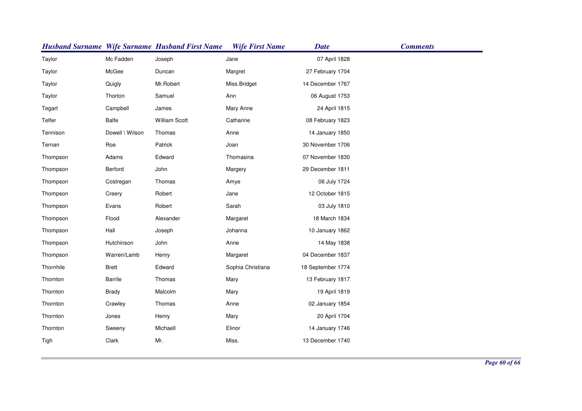|           |                 | <b>Husband Surname Wife Surname Husband First Name</b> | <b>Wife First Name</b> | <b>Date</b>       | <b>Comments</b> |
|-----------|-----------------|--------------------------------------------------------|------------------------|-------------------|-----------------|
| Taylor    | Mc Fadden       | Joseph                                                 | Jane                   | 07 April 1828     |                 |
| Taylor    | McGee           | Duncan                                                 | Margret                | 27 February 1704  |                 |
| Taylor    | Quigly          | Mr.Robert                                              | Miss.Bridget           | 14 December 1767  |                 |
| Taylor    | Thorton         | Samuel                                                 | Ann                    | 06 August 1753    |                 |
| Tegart    | Campbell        | James                                                  | Mary Anne              | 24 April 1815     |                 |
| Telfer    | Balfe           | <b>William Scott</b>                                   | Catharine              | 08 February 1823  |                 |
| Tennison  | Dowell \ Wilson | Thomas                                                 | Anne                   | 14 January 1850   |                 |
| Ternan    | Roe             | Patrick                                                | Joan                   | 30 November 1706  |                 |
| Thompson  | Adams           | Edward                                                 | Thomasina              | 07 November 1830  |                 |
| Thompson  | Berford         | John                                                   | Margery                | 29 December 1811  |                 |
| Thompson  | Costregan       | Thomas                                                 | Amye                   | 06 July 1724      |                 |
| Thompson  | Creery          | Robert                                                 | Jane                   | 12 October 1815   |                 |
| Thompson  | Evans           | Robert                                                 | Sarah                  | 03 July 1810      |                 |
| Thompson  | Flood           | Alexander                                              | Margaret               | 18 March 1834     |                 |
| Thompson  | Hall            | Joseph                                                 | Johanna                | 10 January 1862   |                 |
| Thompson  | Hutchinson      | John                                                   | Anne                   | 14 May 1838       |                 |
| Thompson  | Warren/Lamb     | Henry                                                  | Margaret               | 04 December 1837  |                 |
| Thornhile | <b>Brett</b>    | Edward                                                 | Sophia Christiana      | 18 September 1774 |                 |
| Thornton  | <b>Barrile</b>  | Thomas                                                 | Mary                   | 13 February 1817  |                 |
| Thornton  | Brady           | Malcolm                                                | Mary                   | 19 April 1819     |                 |
| Thornton  | Crawley         | Thomas                                                 | Anne                   | 02 January 1854   |                 |
| Thornton  | Jones           | Henry                                                  | Mary                   | 20 April 1704     |                 |
| Thornton  | Sweeny          | Michaell                                               | Elinor                 | 14 January 1746   |                 |
| Tigh      | Clark           | Mr.                                                    | Miss.                  | 13 December 1740  |                 |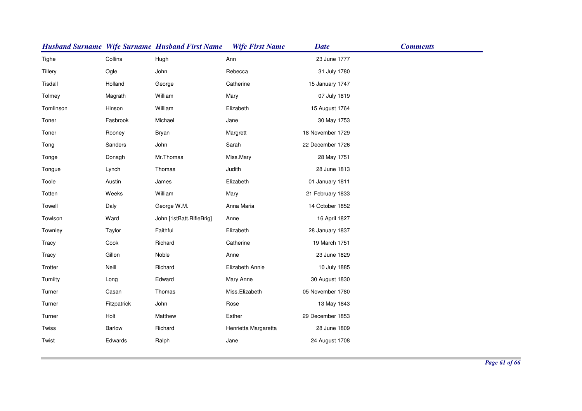|           |               | <b>Husband Surname Wife Surname Husband First Name</b> | <b>Wife First Name</b> | <b>Date</b>      | <b>Comments</b> |
|-----------|---------------|--------------------------------------------------------|------------------------|------------------|-----------------|
| Tighe     | Collins       | Hugh                                                   | Ann                    | 23 June 1777     |                 |
| Tillery   | Ogle          | John                                                   | Rebecca                | 31 July 1780     |                 |
| Tisdall   | Holland       | George                                                 | Catherine              | 15 January 1747  |                 |
| Tolmey    | Magrath       | William                                                | Mary                   | 07 July 1819     |                 |
| Tomlinson | Hinson        | William                                                | Elizabeth              | 15 August 1764   |                 |
| Toner     | Fasbrook      | Michael                                                | Jane                   | 30 May 1753      |                 |
| Toner     | Rooney        | Bryan                                                  | Margrett               | 18 November 1729 |                 |
| Tong      | Sanders       | John                                                   | Sarah                  | 22 December 1726 |                 |
| Tonge     | Donagh        | Mr.Thomas                                              | Miss.Mary              | 28 May 1751      |                 |
| Tongue    | Lynch         | Thomas                                                 | Judith                 | 28 June 1813     |                 |
| Toole     | Austin        | James                                                  | Elizabeth              | 01 January 1811  |                 |
| Totten    | Weeks         | William                                                | Mary                   | 21 February 1833 |                 |
| Towell    | Daly          | George W.M.                                            | Anna Maria             | 14 October 1852  |                 |
| Towlson   | Ward          | John [1stBatt.RifleBrig]                               | Anne                   | 16 April 1827    |                 |
| Townley   | Taylor        | Faithful                                               | Elizabeth              | 28 January 1837  |                 |
| Tracy     | Cook          | Richard                                                | Catherine              | 19 March 1751    |                 |
| Tracy     | Gillon        | Noble                                                  | Anne                   | 23 June 1829     |                 |
| Trotter   | Neill         | Richard                                                | Elizabeth Annie        | 10 July 1885     |                 |
| Tumilty   | Long          | Edward                                                 | Mary Anne              | 30 August 1830   |                 |
| Turner    | Casan         | Thomas                                                 | Miss.Elizabeth         | 05 November 1780 |                 |
| Turner    | Fitzpatrick   | John                                                   | Rose                   | 13 May 1843      |                 |
| Turner    | Holt          | Matthew                                                | Esther                 | 29 December 1853 |                 |
| Twiss     | <b>Barlow</b> | Richard                                                | Henrietta Margaretta   | 28 June 1809     |                 |
| Twist     | Edwards       | Ralph                                                  | Jane                   | 24 August 1708   |                 |
|           |               |                                                        |                        |                  |                 |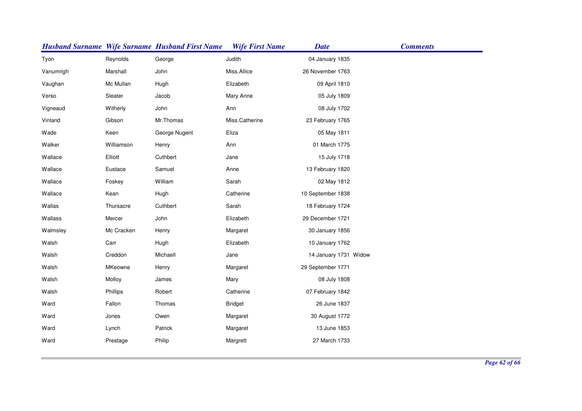|           |            | <b>Husband Surname Wife Surname Husband First Name</b> | <b>Wife First Name</b> | <b>Date</b>           | <b>Comments</b> |
|-----------|------------|--------------------------------------------------------|------------------------|-----------------------|-----------------|
| Tyon      | Reynolds   | George                                                 | Judith                 | 04 January 1835       |                 |
| Vanumrigh | Marshall   | John                                                   | Miss.Allice            | 26 November 1763      |                 |
| Vaughan   | Mc Mullan  | Hugh                                                   | Elizabeth              | 09 April 1810         |                 |
| Verso     | Sleater    | Jacob                                                  | Mary Anne              | 05 July 1809          |                 |
| Vigneaud  | Witherly   | John                                                   | Ann                    | 08 July 1702          |                 |
| Vinland   | Gibson     | Mr.Thomas                                              | Miss.Catherine         | 23 February 1765      |                 |
| Wade      | Keen       | George Nugent                                          | Eliza                  | 05 May 1811           |                 |
| Walker    | Williamson | Henry                                                  | Ann                    | 01 March 1775         |                 |
| Wallace   | Elliott    | Cuthbert                                               | Jane                   | 15 July 1718          |                 |
| Wallace   | Eustace    | Samuel                                                 | Anne                   | 13 February 1820      |                 |
| Wallace   | Foskey     | William                                                | Sarah                  | 02 May 1812           |                 |
| Wallace   | Kean       | Hugh                                                   | Catherine              | 10 September 1838     |                 |
| Wallas    | Thursacre  | Cuthbert                                               | Sarah                  | 18 February 1724      |                 |
| Wallass   | Mercer     | John                                                   | Elizabeth              | 29 December 1721      |                 |
| Walmsley  | Mc Cracken | Henry                                                  | Margaret               | 30 January 1856       |                 |
| Walsh     | Carr       | Hugh                                                   | Elizabeth              | 10 January 1762       |                 |
| Walsh     | Creddon    | Michaell                                               | Jane                   | 14 January 1731 Widow |                 |
| Walsh     | MKeowne    | Henry                                                  | Margaret               | 29 September 1771     |                 |
| Walsh     | Molloy     | James                                                  | Mary                   | 08 July 1808          |                 |
| Walsh     | Phillips   | Robert                                                 | Catherine              | 07 February 1842      |                 |
| Ward      | Fallon     | Thomas                                                 | <b>Bridget</b>         | 26 June 1837          |                 |
| Ward      | Jones      | Owen                                                   | Margaret               | 30 August 1772        |                 |
| Ward      | Lynch      | Patrick                                                | Margaret               | 13 June 1853          |                 |
| Ward      | Prestage   | Philip                                                 | Margrett               | 27 March 1733         |                 |
|           |            |                                                        |                        |                       |                 |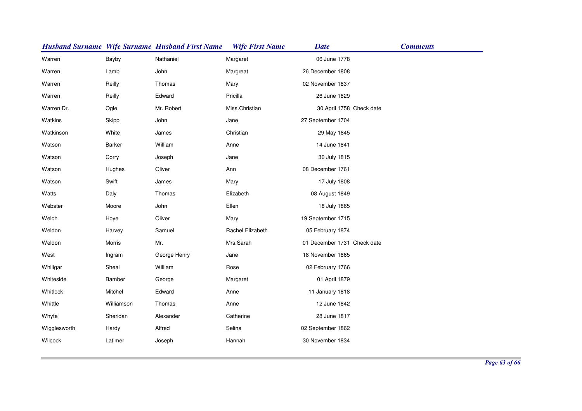|              |               | <b>Husband Surname Wife Surname Husband First Name</b> | <b>Wife First Name</b> | <b>Date</b>                 | <b>Comments</b> |
|--------------|---------------|--------------------------------------------------------|------------------------|-----------------------------|-----------------|
| Warren       | Bayby         | Nathaniel                                              | Margaret               | 06 June 1778                |                 |
| Warren       | Lamb          | John                                                   | Margreat               | 26 December 1808            |                 |
| Warren       | Reilly        | Thomas                                                 | Mary                   | 02 November 1837            |                 |
| Warren       | Reilly        | Edward                                                 | Pricilla               | 26 June 1829                |                 |
| Warren Dr.   | Ogle          | Mr. Robert                                             | Miss.Christian         | 30 April 1758 Check date    |                 |
| Watkins      | Skipp         | John                                                   | Jane                   | 27 September 1704           |                 |
| Watkinson    | White         | James                                                  | Christian              | 29 May 1845                 |                 |
| Watson       | <b>Barker</b> | William                                                | Anne                   | 14 June 1841                |                 |
| Watson       | Corry         | Joseph                                                 | Jane                   | 30 July 1815                |                 |
| Watson       | Hughes        | Oliver                                                 | Ann                    | 08 December 1761            |                 |
| Watson       | Swift         | James                                                  | Mary                   | 17 July 1808                |                 |
| Watts        | Daly          | Thomas                                                 | Elizabeth              | 08 August 1849              |                 |
| Webster      | Moore         | John                                                   | Ellen                  | 18 July 1865                |                 |
| Welch        | Hoye          | Oliver                                                 | Mary                   | 19 September 1715           |                 |
| Weldon       | Harvey        | Samuel                                                 | Rachel Elizabeth       | 05 February 1874            |                 |
| Weldon       | Morris        | Mr.                                                    | Mrs.Sarah              | 01 December 1731 Check date |                 |
| West         | Ingram        | George Henry                                           | Jane                   | 18 November 1865            |                 |
| Whiligar     | Sheal         | William                                                | Rose                   | 02 February 1766            |                 |
| Whiteside    | Bamber        | George                                                 | Margaret               | 01 April 1879               |                 |
| Whitlock     | Mitchel       | Edward                                                 | Anne                   | 11 January 1818             |                 |
| Whittle      | Williamson    | Thomas                                                 | Anne                   | 12 June 1842                |                 |
| Whyte        | Sheridan      | Alexander                                              | Catherine              | 28 June 1817                |                 |
| Wigglesworth | Hardy         | Alfred                                                 | Selina                 | 02 September 1862           |                 |
| Wilcock      | Latimer       | Joseph                                                 | Hannah                 | 30 November 1834            |                 |
|              |               |                                                        |                        |                             |                 |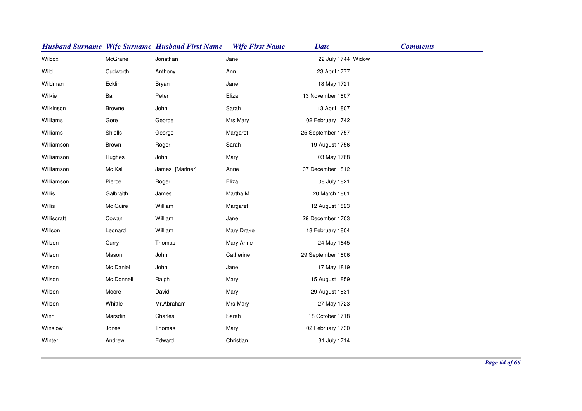|             |               | <b>Husband Surname Wife Surname Husband First Name</b> | <b>Wife First Name</b> | <b>Date</b>        | <b>Comments</b> |
|-------------|---------------|--------------------------------------------------------|------------------------|--------------------|-----------------|
| Wilcox      | McGrane       | Jonathan                                               | Jane                   | 22 July 1744 Widow |                 |
| Wild        | Cudworth      | Anthony                                                | Ann                    | 23 April 1777      |                 |
| Wildman     | Ecklin        | <b>Bryan</b>                                           | Jane                   | 18 May 1721        |                 |
| Wilkie      | Ball          | Peter                                                  | Eliza                  | 13 November 1807   |                 |
| Wilkinson   | <b>Browne</b> | John                                                   | Sarah                  | 13 April 1807      |                 |
| Williams    | Gore          | George                                                 | Mrs.Mary               | 02 February 1742   |                 |
| Williams    | Shiells       | George                                                 | Margaret               | 25 September 1757  |                 |
| Williamson  | Brown         | Roger                                                  | Sarah                  | 19 August 1756     |                 |
| Williamson  | Hughes        | John                                                   | Mary                   | 03 May 1768        |                 |
| Williamson  | Mc Kail       | James [Mariner]                                        | Anne                   | 07 December 1812   |                 |
| Williamson  | Pierce        | Roger                                                  | Eliza                  | 08 July 1821       |                 |
| Willis      | Galbraith     | James                                                  | Martha M.              | 20 March 1861      |                 |
| Willis      | Mc Guire      | William                                                | Margaret               | 12 August 1823     |                 |
| Williscraft | Cowan         | William                                                | Jane                   | 29 December 1703   |                 |
| Willson     | Leonard       | William                                                | Mary Drake             | 18 February 1804   |                 |
| Wilson      | Curry         | Thomas                                                 | Mary Anne              | 24 May 1845        |                 |
| Wilson      | Mason         | John                                                   | Catherine              | 29 September 1806  |                 |
| Wilson      | Mc Daniel     | John                                                   | Jane                   | 17 May 1819        |                 |
| Wilson      | Mc Donnell    | Ralph                                                  | Mary                   | 15 August 1859     |                 |
| Wilson      | Moore         | David                                                  | Mary                   | 29 August 1831     |                 |
| Wilson      | Whittle       | Mr.Abraham                                             | Mrs.Mary               | 27 May 1723        |                 |
| Winn        | Marsdin       | Charles                                                | Sarah                  | 18 October 1718    |                 |
| Winslow     | Jones         | Thomas                                                 | Mary                   | 02 February 1730   |                 |
| Winter      | Andrew        | Edward                                                 | Christian              | 31 July 1714       |                 |
|             |               |                                                        |                        |                    |                 |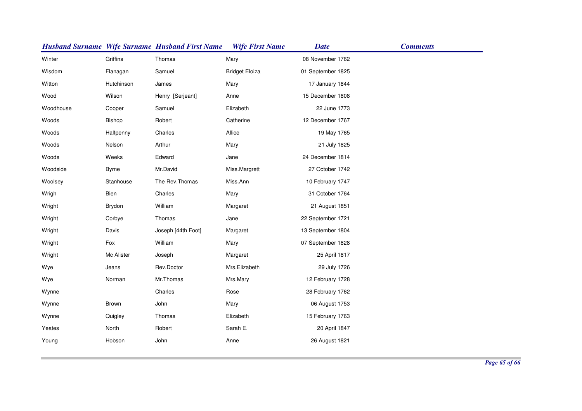|           |               | <b>Husband Surname Wife Surname Husband First Name</b> | <b>Wife First Name</b> | <b>Date</b>       | <b>Comments</b> |
|-----------|---------------|--------------------------------------------------------|------------------------|-------------------|-----------------|
| Winter    | Griffins      | Thomas                                                 | Mary                   | 08 November 1762  |                 |
| Wisdom    | Flanagan      | Samuel                                                 | <b>Bridget Eloiza</b>  | 01 September 1825 |                 |
| Witton    | Hutchinson    | James                                                  | Mary                   | 17 January 1844   |                 |
| Wood      | Wilson        | Henry [Serjeant]                                       | Anne                   | 15 December 1808  |                 |
| Woodhouse | Cooper        | Samuel                                                 | Elizabeth              | 22 June 1773      |                 |
| Woods     | <b>Bishop</b> | Robert                                                 | Catherine              | 12 December 1767  |                 |
| Woods     | Halfpenny     | Charles                                                | Allice                 | 19 May 1765       |                 |
| Woods     | Nelson        | Arthur                                                 | Mary                   | 21 July 1825      |                 |
| Woods     | Weeks         | Edward                                                 | Jane                   | 24 December 1814  |                 |
| Woodside  | <b>Byrne</b>  | Mr.David                                               | Miss.Margrett          | 27 October 1742   |                 |
| Woolsey   | Stanhouse     | The Rev. Thomas                                        | Miss.Ann               | 10 February 1747  |                 |
| Wrigh     | Bien          | Charles                                                | Mary                   | 31 October 1764   |                 |
| Wright    | Brydon        | William                                                | Margaret               | 21 August 1851    |                 |
| Wright    | Corbye        | Thomas                                                 | Jane                   | 22 September 1721 |                 |
| Wright    | Davis         | Joseph [44th Foot]                                     | Margaret               | 13 September 1804 |                 |
| Wright    | Fox           | William                                                | Mary                   | 07 September 1828 |                 |
| Wright    | Mc Alister    | Joseph                                                 | Margaret               | 25 April 1817     |                 |
| Wye       | Jeans         | Rev.Doctor                                             | Mrs.Elizabeth          | 29 July 1726      |                 |
| Wye       | Norman        | Mr.Thomas                                              | Mrs.Mary               | 12 February 1728  |                 |
| Wynne     |               | Charles                                                | Rose                   | 28 February 1762  |                 |
| Wynne     | Brown         | John                                                   | Mary                   | 06 August 1753    |                 |
| Wynne     | Quigley       | Thomas                                                 | Elizabeth              | 15 February 1763  |                 |
| Yeates    | North         | Robert                                                 | Sarah E.               | 20 April 1847     |                 |
| Young     | Hobson        | John                                                   | Anne                   | 26 August 1821    |                 |
|           |               |                                                        |                        |                   |                 |